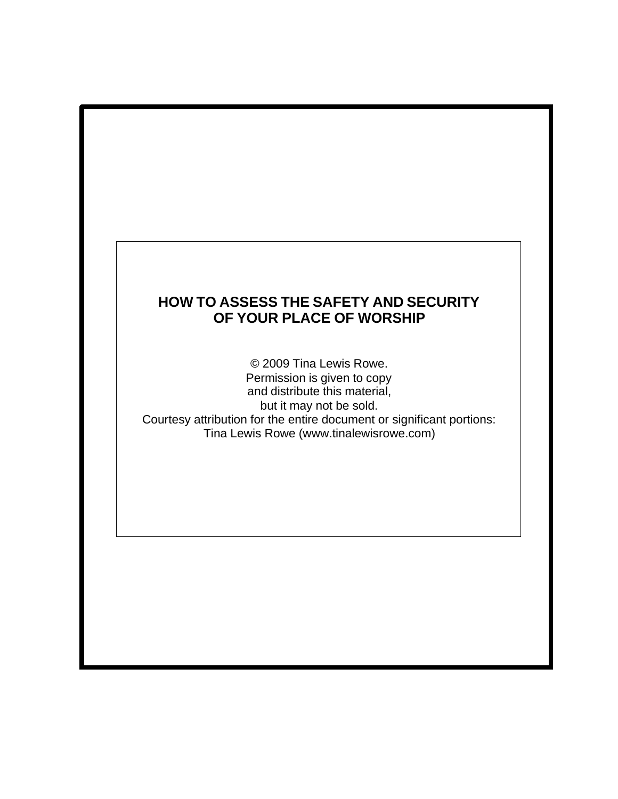## **HOW TO ASSESS THE SAFETY AND SECURITY OF YOUR PLACE OF WORSHIP**

© 2009 Tina Lewis Rowe. Permission is given to copy and distribute this material, but it may not be sold. Courtesy attribution for the entire document or significant portions: Tina Lewis Rowe (www.tinalewisrowe.com)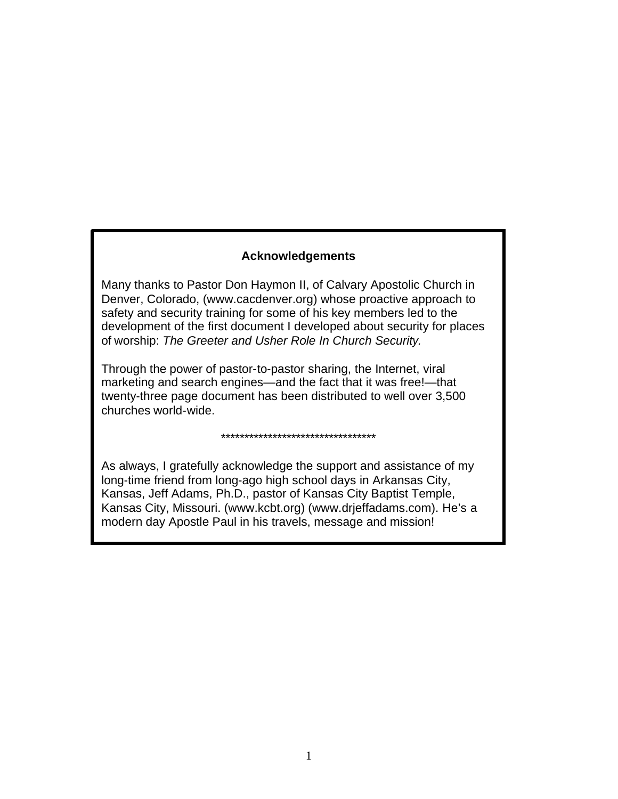### **Acknowledgements**

Many thanks to Pastor Don Haymon II, of Calvary Apostolic Church in Denver, Colorado, (www.cacdenver.org) whose proactive approach to safety and security training for some of his key members led to the development of the first document I developed about security for places of worship: *The Greeter and Usher Role In Church Security.*

Through the power of pastor-to-pastor sharing, the Internet, viral marketing and search engines—and the fact that it was free!—that twenty-three page document has been distributed to well over 3,500 churches world-wide.

As always, I gratefully acknowledge the support and assistance of my long-time friend from long-ago high school days in Arkansas City, Kansas, Jeff Adams, Ph.D., pastor of Kansas City Baptist Temple, Kansas City, Missouri. (www.kcbt.org) (www.drjeffadams.com). He's a modern day Apostle Paul in his travels, message and mission!

\*\*\*\*\*\*\*\*\*\*\*\*\*\*\*\*\*\*\*\*\*\*\*\*\*\*\*\*\*\*\*\*\*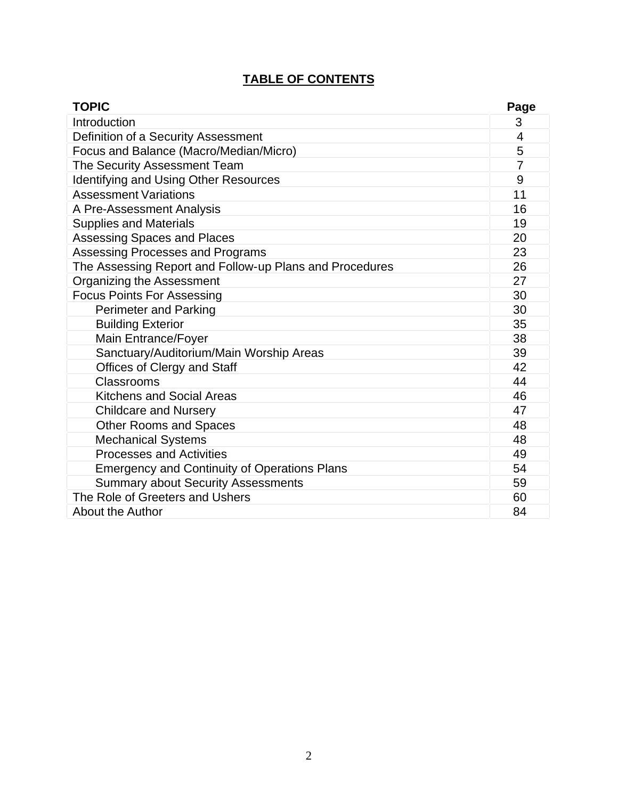## **TABLE OF CONTENTS**

| <b>TOPIC</b>                                            | Page           |
|---------------------------------------------------------|----------------|
| Introduction                                            | 3              |
| Definition of a Security Assessment                     | 4              |
| Focus and Balance (Macro/Median/Micro)                  | 5              |
| The Security Assessment Team                            | $\overline{7}$ |
| Identifying and Using Other Resources                   | 9              |
| <b>Assessment Variations</b>                            | 11             |
| A Pre-Assessment Analysis                               | 16             |
| <b>Supplies and Materials</b>                           | 19             |
| <b>Assessing Spaces and Places</b>                      | 20             |
| Assessing Processes and Programs                        | 23             |
| The Assessing Report and Follow-up Plans and Procedures | 26             |
| Organizing the Assessment                               | 27             |
| <b>Focus Points For Assessing</b>                       | 30             |
| <b>Perimeter and Parking</b>                            | 30             |
| <b>Building Exterior</b>                                | 35             |
| Main Entrance/Foyer                                     | 38             |
| Sanctuary/Auditorium/Main Worship Areas                 | 39             |
| Offices of Clergy and Staff                             | 42             |
| Classrooms                                              | 44             |
| <b>Kitchens and Social Areas</b>                        | 46             |
| <b>Childcare and Nursery</b>                            | 47             |
| <b>Other Rooms and Spaces</b>                           | 48             |
| <b>Mechanical Systems</b>                               | 48             |
| <b>Processes and Activities</b>                         | 49             |
| <b>Emergency and Continuity of Operations Plans</b>     | 54             |
| <b>Summary about Security Assessments</b>               | 59             |
| The Role of Greeters and Ushers                         | 60             |
| About the Author                                        | 84             |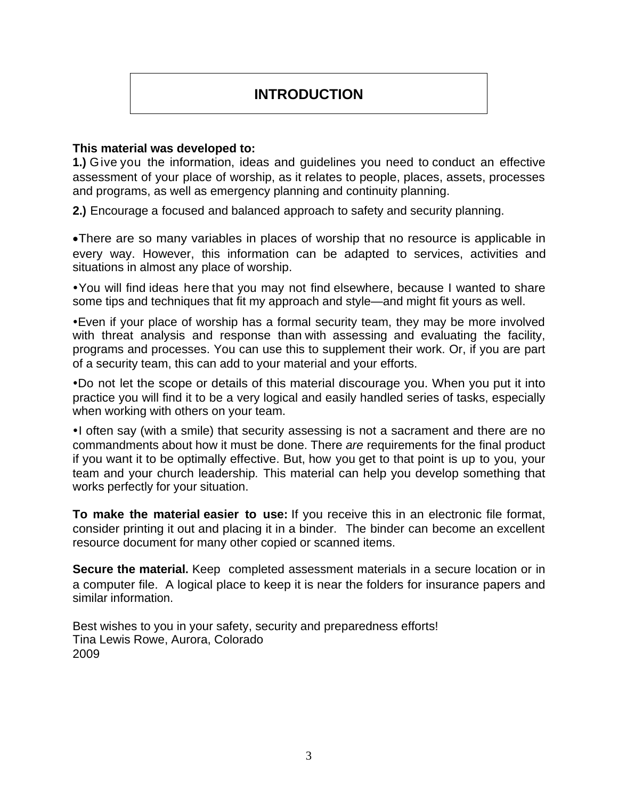# **INTRODUCTION**

### **This material was developed to:**

**1.)** Give you the information, ideas and guidelines you need to conduct an effective assessment of your place of worship, as it relates to people, places, assets, processes and programs, as well as emergency planning and continuity planning.

**2.)** Encourage a focused and balanced approach to safety and security planning.

·There are so many variables in places of worship that no resource is applicable in every way. However, this information can be adapted to services, activities and situations in almost any place of worship.

ŸYou will find ideas here that you may not find elsewhere, because I wanted to share some tips and techniques that fit my approach and style—and might fit yours as well.

• Even if your place of worship has a formal security team, they may be more involved with threat analysis and response than with assessing and evaluating the facility, programs and processes. You can use this to supplement their work. Or, if you are part of a security team, this can add to your material and your efforts.

. Do not let the scope or details of this material discourage you. When you put it into practice you will find it to be a very logical and easily handled series of tasks, especially when working with others on your team.

•I often say (with a smile) that security assessing is not a sacrament and there are no commandments about how it must be done. There *are* requirements for the final product if you want it to be optimally effective. But, how you get to that point is up to you, your team and your church leadership. This material can help you develop something that works perfectly for your situation.

**To make the material easier to use:** If you receive this in an electronic file format, consider printing it out and placing it in a binder. The binder can become an excellent resource document for many other copied or scanned items.

**Secure the material.** Keep completed assessment materials in a secure location or in a computer file. A logical place to keep it is near the folders for insurance papers and similar information.

Best wishes to you in your safety, security and preparedness efforts! Tina Lewis Rowe, Aurora, Colorado 2009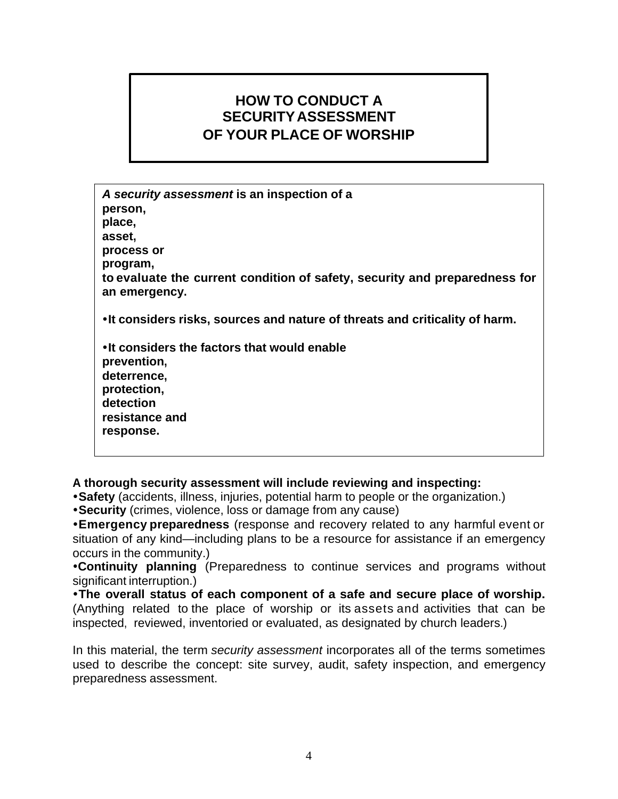# **HOW TO CONDUCT A SECURITY ASSESSMENT OF YOUR PLACE OF WORSHIP**

*A security assessment* **is an inspection of a person, place, asset, process or program, to evaluate the current condition of safety, security and preparedness for an emergency. ŸIt considers risks, sources and nature of threats and criticality of harm.**   $\cdot$ **It considers the factors that would enable prevention, deterrence, protection, detection resistance and response.** 

**A thorough security assessment will include reviewing and inspecting:**

**• Safety** (accidents, illness, injuries, potential harm to people or the organization.)

**\*Security** (crimes, violence, loss or damage from any cause)

**ŸEmergency preparedness** (response and recovery related to any harmful event or situation of any kind—including plans to be a resource for assistance if an emergency occurs in the community.)

**ŸIt includes a report containing findings, opinions and recommendations.** 

**•Continuity planning** (Preparedness to continue services and programs without significant interruption.)

**ŸThe overall status of each component of a safe and secure place of worship.** (Anything related to the place of worship or its assets and activities that can be inspected, reviewed, inventoried or evaluated, as designated by church leaders.)

In this material, the term *security assessment* incorporates all of the terms sometimes used to describe the concept: site survey, audit, safety inspection, and emergency preparedness assessment.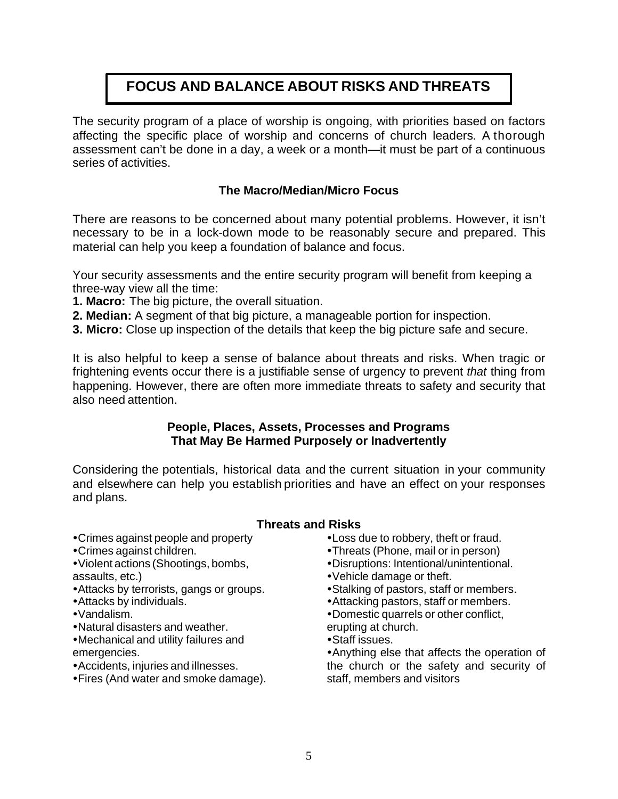# **FOCUS AND BALANCE ABOUT RISKS AND THREATS**

The security program of a place of worship is ongoing, with priorities based on factors affecting the specific place of worship and concerns of church leaders. A thorough assessment can't be done in a day, a week or a month—it must be part of a continuous series of activities.

### **The Macro/Median/Micro Focus**

There are reasons to be concerned about many potential problems. However, it isn't necessary to be in a lock-down mode to be reasonably secure and prepared. This material can help you keep a foundation of balance and focus.

Your security assessments and the entire security program will benefit from keeping a three-way view all the time:

- **1. Macro:** The big picture, the overall situation.
- **2. Median:** A segment of that big picture, a manageable portion for inspection.
- **3. Micro:** Close up inspection of the details that keep the big picture safe and secure.

It is also helpful to keep a sense of balance about threats and risks. When tragic or frightening events occur there is a justifiable sense of urgency to prevent *that* thing from happening. However, there are often more immediate threats to safety and security that also need attention.

### **People, Places, Assets, Processes and Programs That May Be Harmed Purposely or Inadvertently**

Considering the potentials, historical data and the current situation in your community and elsewhere can help you establish priorities and have an effect on your responses and plans.

### **Threats and Risks**

- Crimes against people and property
- Crimes against children.
- Violent actions (Shootings, bombs, assaults, etc.)
- Attacks by terrorists, gangs or groups.
- Attacks by individuals.
- $\cdot$ Vandalism.
- Natural disasters and weather.
- Mechanical and utility failures and emergencies.
- Accidents, injuries and illnesses.
- Fires (And water and smoke damage).
- Loss due to robbery, theft or fraud.
- •Threats (Phone, mail or in person)
- Disruptions: Intentional/unintentional.
- Vehicle damage or theft.
- Stalking of pastors, staff or members.
- Attacking pastors, staff or members.
- Domestic quarrels or other conflict,
- erupting at church.
- Staff issues.

• Anything else that affects the operation of the church or the safety and security of staff, members and visitors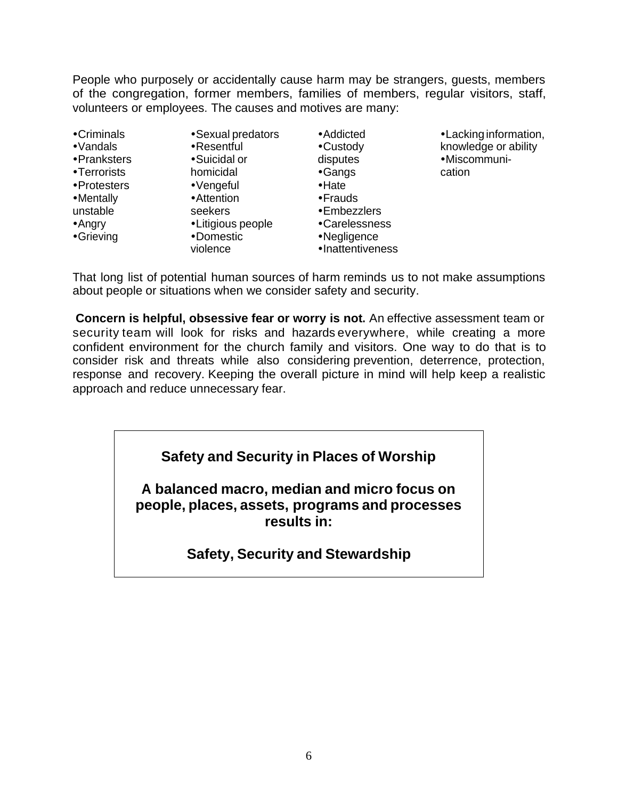People who purposely or accidentally cause harm may be strangers, guests, members of the congregation, former members, families of members, regular visitors, staff, volunteers or employees. The causes and motives are many:

| •Criminals<br>•Vandals | •Sexual predators<br>•Resentful | • Addicted<br>•Custody | • Lacking information,<br>knowledge or ability |
|------------------------|---------------------------------|------------------------|------------------------------------------------|
| •Pranksters            | •Suicidal or                    | disputes               | •Miscommuni-                                   |
| •Terrorists            | homicidal                       | •Gangs                 | cation                                         |
| •Protesters            | •Vengeful                       | $\cdot$ Hate           |                                                |
| •Mentally              | •Attention                      | •Frauds                |                                                |
| unstable               | seekers                         | •Embezzlers            |                                                |
| $•$ Angry              | •Litigious people               | •Carelessness          |                                                |
| •Grieving              | •Domestic                       | •Negligence            |                                                |
|                        | violence                        | •Inattentiveness       |                                                |

That long list of potential human sources of harm reminds us to not make assumptions about people or situations when we consider safety and security.

**Concern is helpful, obsessive fear or worry is not.** An effective assessment team or security team will look for risks and hazards everywhere, while creating a more confident environment for the church family and visitors. One way to do that is to consider risk and threats while also considering prevention, deterrence, protection, response and recovery. Keeping the overall picture in mind will help keep a realistic approach and reduce unnecessary fear.

## **Safety and Security in Places of Worship**

**A balanced macro, median and micro focus on people, places, assets, programs and processes results in:** 

## **Safety, Security and Stewardship**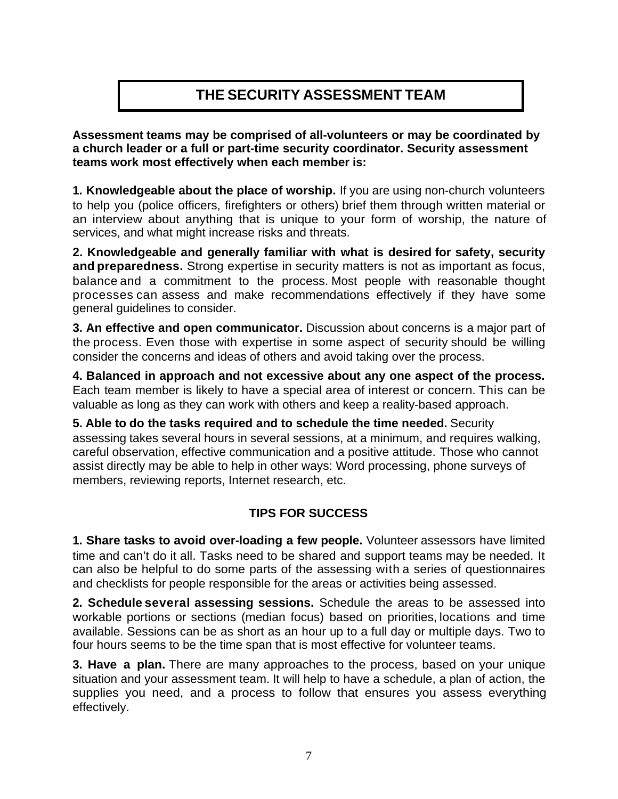# **THE SECURITY ASSESSMENT TEAM**

**Assessment teams may be comprised of all-volunteers or may be coordinated by a church leader or a full or part-time security coordinator. Security assessment teams work most effectively when each member is:** 

**1. Knowledgeable about the place of worship.** If you are using non-church volunteers to help you (police officers, firefighters or others) brief them through written material or an interview about anything that is unique to your form of worship, the nature of services, and what might increase risks and threats.

**2. Knowledgeable and generally familiar with what is desired for safety, security and preparedness.** Strong expertise in security matters is not as important as focus, balance and a commitment to the process. Most people with reasonable thought processes can assess and make recommendations effectively if they have some general guidelines to consider.

**3. An effective and open communicator.** Discussion about concerns is a major part of the process. Even those with expertise in some aspect of security should be willing consider the concerns and ideas of others and avoid taking over the process.

**4. Balanced in approach and not excessive about any one aspect of the process.** Each team member is likely to have a special area of interest or concern. This can be valuable as long as they can work with others and keep a reality-based approach.

**5. Able to do the tasks required and to schedule the time needed.** Security assessing takes several hours in several sessions, at a minimum, and requires walking, careful observation, effective communication and a positive attitude. Those who cannot assist directly may be able to help in other ways: Word processing, phone surveys of members, reviewing reports, Internet research, etc.

## **TIPS FOR SUCCESS**

**1. Share tasks to avoid over-loading a few people.** Volunteer assessors have limited time and can't do it all. Tasks need to be shared and support teams may be needed. It can also be helpful to do some parts of the assessing with a series of questionnaires and checklists for people responsible for the areas or activities being assessed.

**2. Schedule several assessing sessions.** Schedule the areas to be assessed into workable portions or sections (median focus) based on priorities, locations and time available. Sessions can be as short as an hour up to a full day or multiple days. Two to four hours seems to be the time span that is most effective for volunteer teams.

**3. Have a plan.** There are many approaches to the process, based on your unique situation and your assessment team. It will help to have a schedule, a plan of action, the supplies you need, and a process to follow that ensures you assess everything effectively.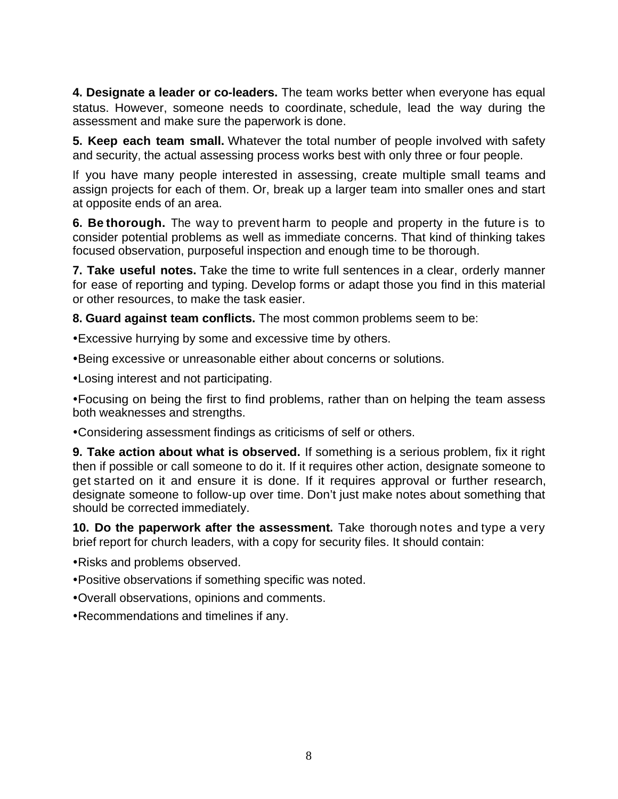**4. Designate a leader or co-leaders.** The team works better when everyone has equal status. However, someone needs to coordinate, schedule, lead the way during the assessment and make sure the paperwork is done.

**5. Keep each team small.** Whatever the total number of people involved with safety and security, the actual assessing process works best with only three or four people.

If you have many people interested in assessing, create multiple small teams and assign projects for each of them. Or, break up a larger team into smaller ones and start at opposite ends of an area.

**6. Be thorough.** The way to prevent harm to people and property in the future is to consider potential problems as well as immediate concerns. That kind of thinking takes focused observation, purposeful inspection and enough time to be thorough.

**7. Take useful notes.** Take the time to write full sentences in a clear, orderly manner for ease of reporting and typing. Develop forms or adapt those you find in this material or other resources, to make the task easier.

**8. Guard against team conflicts.** The most common problems seem to be:

• Excessive hurrying by some and excessive time by others.

**•Being excessive or unreasonable either about concerns or solutions.** 

• Losing interest and not participating.

• Focusing on being the first to find problems, rather than on helping the team assess both weaknesses and strengths.

• Considering assessment findings as criticisms of self or others.

**9. Take action about what is observed.** If something is a serious problem, fix it right then if possible or call someone to do it. If it requires other action, designate someone to get started on it and ensure it is done. If it requires approval or further research, designate someone to follow-up over time. Don't just make notes about something that should be corrected immediately.

**10. Do the paperwork after the assessment.** Take thorough notes and type a very brief report for church leaders, with a copy for security files. It should contain:

• Risks and problems observed.

- Positive observations if something specific was noted.
- Overall observations, opinions and comments.
- Recommendations and timelines if any.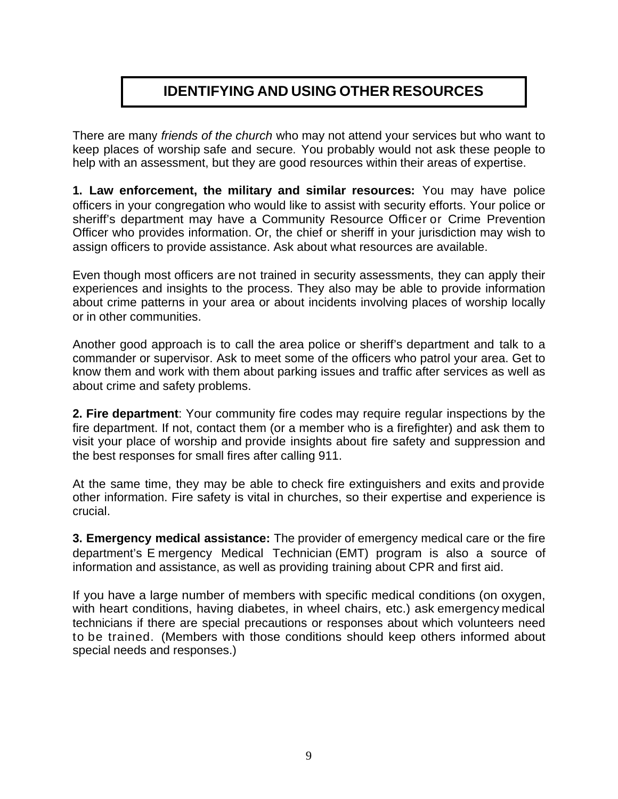# **IDENTIFYING AND USING OTHER RESOURCES**

There are many *friends of the church* who may not attend your services but who want to keep places of worship safe and secure. You probably would not ask these people to help with an assessment, but they are good resources within their areas of expertise.

**1. Law enforcement, the military and similar resources:** You may have police officers in your congregation who would like to assist with security efforts. Your police or sheriff's department may have a Community Resource Officer or Crime Prevention Officer who provides information. Or, the chief or sheriff in your jurisdiction may wish to assign officers to provide assistance. Ask about what resources are available.

Even though most officers are not trained in security assessments, they can apply their experiences and insights to the process. They also may be able to provide information about crime patterns in your area or about incidents involving places of worship locally or in other communities.

Another good approach is to call the area police or sheriff's department and talk to a commander or supervisor. Ask to meet some of the officers who patrol your area. Get to know them and work with them about parking issues and traffic after services as well as about crime and safety problems.

**2. Fire department**: Your community fire codes may require regular inspections by the fire department. If not, contact them (or a member who is a firefighter) and ask them to visit your place of worship and provide insights about fire safety and suppression and the best responses for small fires after calling 911.

At the same time, they may be able to check fire extinguishers and exits and provide other information. Fire safety is vital in churches, so their expertise and experience is crucial.

**3. Emergency medical assistance:** The provider of emergency medical care or the fire department's E mergency Medical Technician (EMT) program is also a source of information and assistance, as well as providing training about CPR and first aid.

If you have a large number of members with specific medical conditions (on oxygen, with heart conditions, having diabetes, in wheel chairs, etc.) ask emergency medical technicians if there are special precautions or responses about which volunteers need to be trained. (Members with those conditions should keep others informed about special needs and responses.)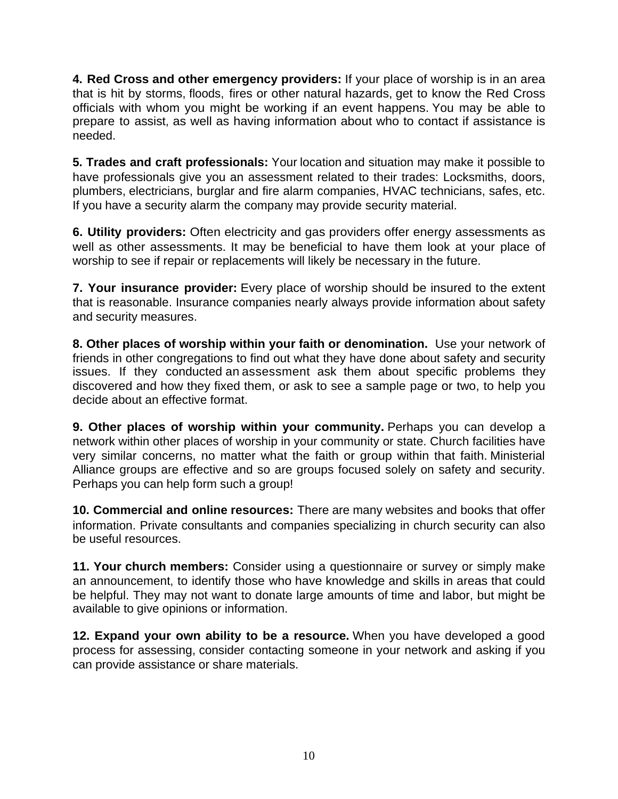**4. Red Cross and other emergency providers:** If your place of worship is in an area that is hit by storms, floods, fires or other natural hazards, get to know the Red Cross officials with whom you might be working if an event happens. You may be able to prepare to assist, as well as having information about who to contact if assistance is needed.

**5. Trades and craft professionals:** Your location and situation may make it possible to have professionals give you an assessment related to their trades: Locksmiths, doors, plumbers, electricians, burglar and fire alarm companies, HVAC technicians, safes, etc. If you have a security alarm the company may provide security material.

**6. Utility providers:** Often electricity and gas providers offer energy assessments as well as other assessments. It may be beneficial to have them look at your place of worship to see if repair or replacements will likely be necessary in the future.

**7. Your insurance provider:** Every place of worship should be insured to the extent that is reasonable. Insurance companies nearly always provide information about safety and security measures.

**8. Other places of worship within your faith or denomination.** Use your network of friends in other congregations to find out what they have done about safety and security issues. If they conducted an assessment ask them about specific problems they discovered and how they fixed them, or ask to see a sample page or two, to help you decide about an effective format.

**9. Other places of worship within your community.** Perhaps you can develop a network within other places of worship in your community or state. Church facilities have very similar concerns, no matter what the faith or group within that faith. Ministerial Alliance groups are effective and so are groups focused solely on safety and security. Perhaps you can help form such a group!

**10. Commercial and online resources:** There are many websites and books that offer information. Private consultants and companies specializing in church security can also be useful resources.

**11. Your church members:** Consider using a questionnaire or survey or simply make an announcement, to identify those who have knowledge and skills in areas that could be helpful. They may not want to donate large amounts of time and labor, but might be available to give opinions or information.

**12. Expand your own ability to be a resource.** When you have developed a good process for assessing, consider contacting someone in your network and asking if you can provide assistance or share materials.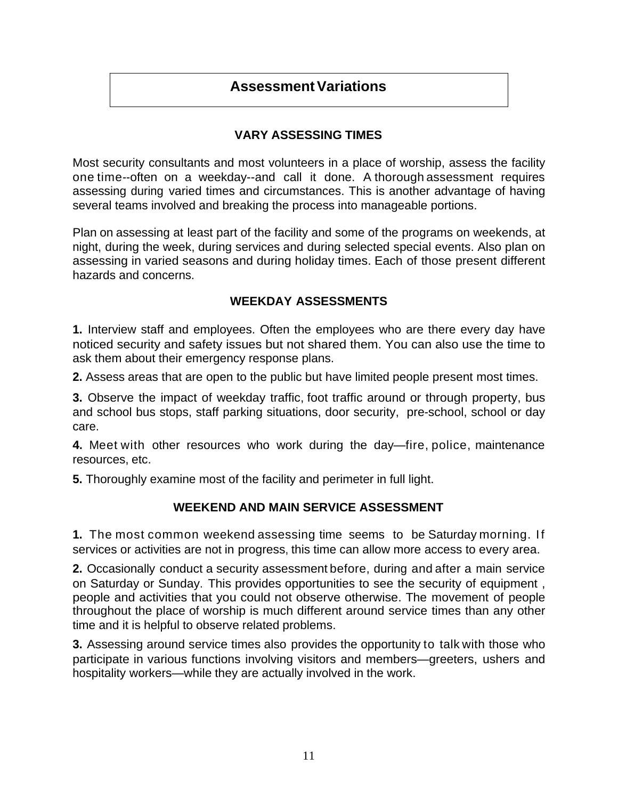## **Assessment Variations**

## **VARY ASSESSING TIMES**

Most security consultants and most volunteers in a place of worship, assess the facility one time--often on a weekday--and call it done. A thorough assessment requires assessing during varied times and circumstances. This is another advantage of having several teams involved and breaking the process into manageable portions.

Plan on assessing at least part of the facility and some of the programs on weekends, at night, during the week, during services and during selected special events. Also plan on assessing in varied seasons and during holiday times. Each of those present different hazards and concerns.

### **WEEKDAY ASSESSMENTS**

**1.** Interview staff and employees. Often the employees who are there every day have noticed security and safety issues but not shared them. You can also use the time to ask them about their emergency response plans.

**2.** Assess areas that are open to the public but have limited people present most times.

**3.** Observe the impact of weekday traffic, foot traffic around or through property, bus and school bus stops, staff parking situations, door security, pre-school, school or day care.

**4.** Meet with other resources who work during the day—fire, police, maintenance resources, etc.

**5.** Thoroughly examine most of the facility and perimeter in full light.

### **WEEKEND AND MAIN SERVICE ASSESSMENT**

**1.** The most common weekend assessing time seems to be Saturday morning. If services or activities are not in progress, this time can allow more access to every area.

**2.** Occasionally conduct a security assessment before, during and after a main service on Saturday or Sunday. This provides opportunities to see the security of equipment , people and activities that you could not observe otherwise. The movement of people throughout the place of worship is much different around service times than any other time and it is helpful to observe related problems.

**3.** Assessing around service times also provides the opportunity to talk with those who participate in various functions involving visitors and members—greeters, ushers and hospitality workers—while they are actually involved in the work.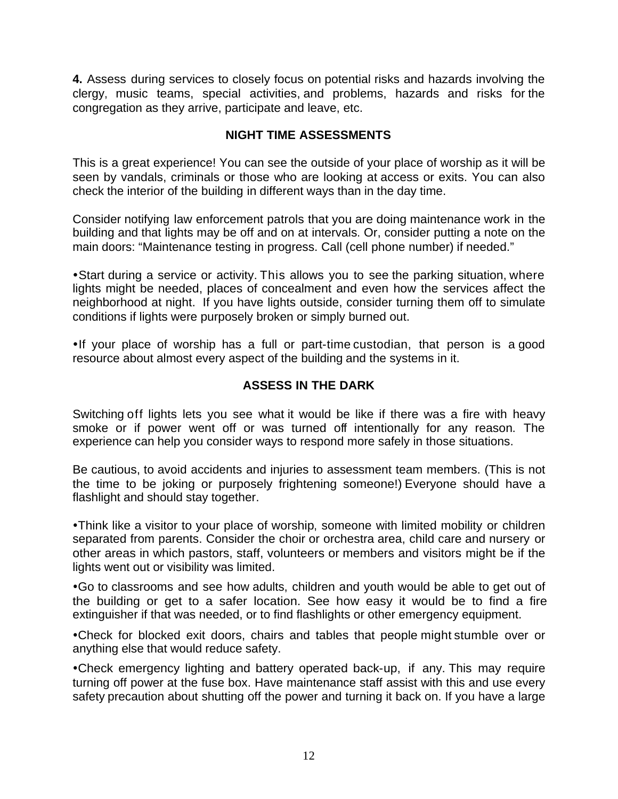**4.** Assess during services to closely focus on potential risks and hazards involving the clergy, music teams, special activities, and problems, hazards and risks for the congregation as they arrive, participate and leave, etc.

## **NIGHT TIME ASSESSMENTS**

This is a great experience! You can see the outside of your place of worship as it will be seen by vandals, criminals or those who are looking at access or exits. You can also check the interior of the building in different ways than in the day time.

Consider notifying law enforcement patrols that you are doing maintenance work in the building and that lights may be off and on at intervals. Or, consider putting a note on the main doors: "Maintenance testing in progress. Call (cell phone number) if needed."

• Start during a service or activity. This allows you to see the parking situation, where lights might be needed, places of concealment and even how the services affect the neighborhood at night. If you have lights outside, consider turning them off to simulate conditions if lights were purposely broken or simply burned out.

•If your place of worship has a full or part-time custodian, that person is a good resource about almost every aspect of the building and the systems in it.

### **ASSESS IN THE DARK**

Switching off lights lets you see what it would be like if there was a fire with heavy smoke or if power went off or was turned off intentionally for any reason. The experience can help you consider ways to respond more safely in those situations.

Be cautious, to avoid accidents and injuries to assessment team members. (This is not the time to be joking or purposely frightening someone!) Everyone should have a flashlight and should stay together.

• Think like a visitor to your place of worship, someone with limited mobility or children separated from parents. Consider the choir or orchestra area, child care and nursery or other areas in which pastors, staff, volunteers or members and visitors might be if the lights went out or visibility was limited.

• Go to classrooms and see how adults, children and youth would be able to get out of the building or get to a safer location. See how easy it would be to find a fire extinguisher if that was needed, or to find flashlights or other emergency equipment.

• Check for blocked exit doors, chairs and tables that people might stumble over or anything else that would reduce safety.

• Check emergency lighting and battery operated back-up, if any. This may require turning off power at the fuse box. Have maintenance staff assist with this and use every safety precaution about shutting off the power and turning it back on. If you have a large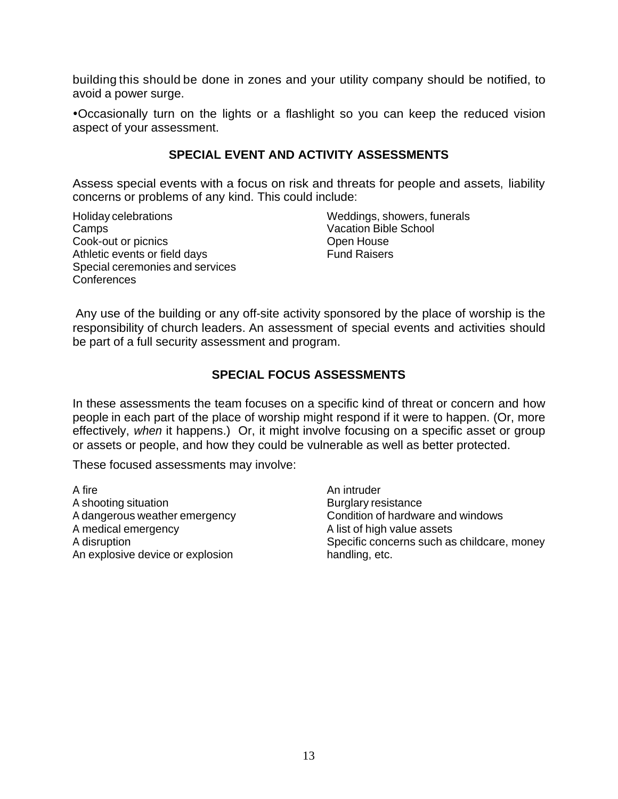building this should be done in zones and your utility company should be notified, to avoid a power surge.

•Occasionally turn on the lights or a flashlight so you can keep the reduced vision aspect of your assessment.

### **SPECIAL EVENT AND ACTIVITY ASSESSMENTS**

Assess special events with a focus on risk and threats for people and assets, liability concerns or problems of any kind. This could include:

Holiday celebrations Camps Cook-out or picnics Athletic events or field days Special ceremonies and services Conferences

Weddings, showers, funerals Vacation Bible School Open House Fund Raisers

Any use of the building or any off-site activity sponsored by the place of worship is the responsibility of church leaders. An assessment of special events and activities should be part of a full security assessment and program.

### **SPECIAL FOCUS ASSESSMENTS**

In these assessments the team focuses on a specific kind of threat or concern and how people in each part of the place of worship might respond if it were to happen. (Or, more effectively, *when* it happens.) Or, it might involve focusing on a specific asset or group or assets or people, and how they could be vulnerable as well as better protected.

These focused assessments may involve:

A fire A shooting situation A dangerous weather emergency A medical emergency A disruption An explosive device or explosion

An intruder Burglary resistance Condition of hardware and windows A list of high value assets Specific concerns such as childcare, money handling, etc.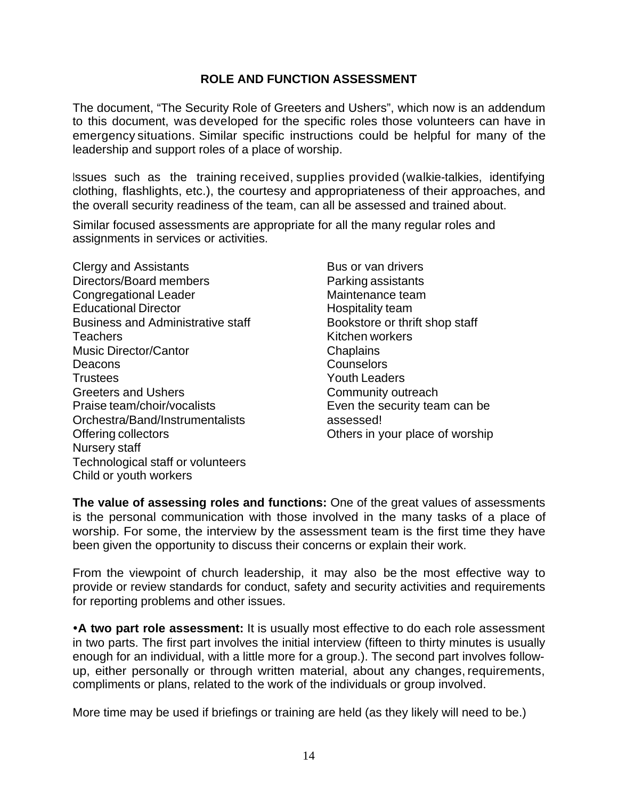### **ROLE AND FUNCTION ASSESSMENT**

The document, "The Security Role of Greeters and Ushers", which now is an addendum to this document, was developed for the specific roles those volunteers can have in emergency situations. Similar specific instructions could be helpful for many of the leadership and support roles of a place of worship.

Issues such as the training received, supplies provided (walkie-talkies, identifying clothing, flashlights, etc.), the courtesy and appropriateness of their approaches, and the overall security readiness of the team, can all be assessed and trained about.

Similar focused assessments are appropriate for all the many regular roles and assignments in services or activities.

Clergy and Assistants Directors/Board members Congregational Leader Educational Director Business and Administrative staff **Teachers** Music Director/Cantor Deacons **Trustees** Greeters and Ushers Praise team/choir/vocalists Orchestra/Band/Instrumentalists Offering collectors Nursery staff Technological staff or volunteers Child or youth workers

Bus or van drivers Parking assistants Maintenance team Hospitality team Bookstore or thrift shop staff Kitchen workers **Chaplains Counselors** Youth Leaders Community outreach Even the security team can be assessed! Others in your place of worship

**The value of assessing roles and functions:** One of the great values of assessments is the personal communication with those involved in the many tasks of a place of worship. For some, the interview by the assessment team is the first time they have been given the opportunity to discuss their concerns or explain their work.

From the viewpoint of church leadership, it may also be the most effective way to provide or review standards for conduct, safety and security activities and requirements for reporting problems and other issues.

**A two part role assessment:** It is usually most effective to do each role assessment in two parts. The first part involves the initial interview (fifteen to thirty minutes is usually enough for an individual, with a little more for a group.). The second part involves followup, either personally or through written material, about any changes, requirements, compliments or plans, related to the work of the individuals or group involved.

More time may be used if briefings or training are held (as they likely will need to be.)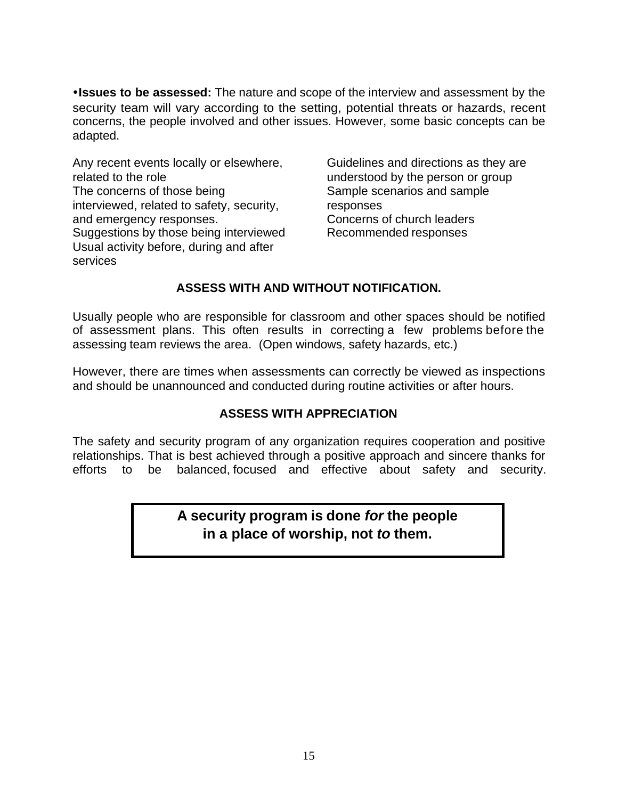**. Issues to be assessed:** The nature and scope of the interview and assessment by the security team will vary according to the setting, potential threats or hazards, recent concerns, the people involved and other issues. However, some basic concepts can be adapted.

Any recent events locally or elsewhere, related to the role The concerns of those being interviewed, related to safety, security, and emergency responses. Suggestions by those being interviewed Usual activity before, during and after services

Guidelines and directions as they are understood by the person or group Sample scenarios and sample responses Concerns of church leaders Recommended responses

## **ASSESS WITH AND WITHOUT NOTIFICATION.**

Usually people who are responsible for classroom and other spaces should be notified of assessment plans. This often results in correcting a few problems before the assessing team reviews the area. (Open windows, safety hazards, etc.)

However, there are times when assessments can correctly be viewed as inspections and should be unannounced and conducted during routine activities or after hours.

### **ASSESS WITH APPRECIATION**

The safety and security program of any organization requires cooperation and positive relationships. That is best achieved through a positive approach and sincere thanks for efforts to be balanced, focused and effective about safety and security.

## **A security program is done** *for* **the people in a place of worship, not** *to* **them.**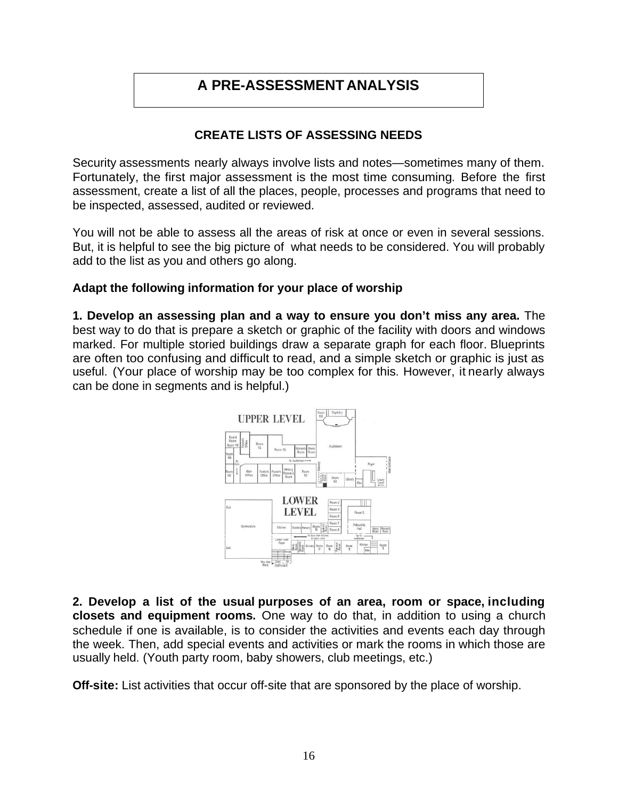# **A PRE-ASSESSMENT ANALYSIS**

### **CREATE LISTS OF ASSESSING NEEDS**

Security assessments nearly always involve lists and notes—sometimes many of them. Fortunately, the first major assessment is the most time consuming. Before the first assessment, create a list of all the places, people, processes and programs that need to be inspected, assessed, audited or reviewed.

You will not be able to assess all the areas of risk at once or even in several sessions. But, it is helpful to see the big picture of what needs to be considered. You will probably add to the list as you and others go along.

### **Adapt the following information for your place of worship**

**1. Develop an assessing plan and a way to ensure you don't miss any area.** The best way to do that is prepare a sketch or graphic of the facility with doors and windows marked. For multiple storied buildings draw a separate graph for each floor. Blueprints are often too confusing and difficult to read, and a simple sketch or graphic is just as useful. (Your place of worship may be too complex for this. However, it nearly always can be done in segments and is helpful.)



**2. Develop a list of the usual purposes of an area, room or space, including closets and equipment rooms.** One way to do that, in addition to using a church schedule if one is available, is to consider the activities and events each day through the week. Then, add special events and activities or mark the rooms in which those are usually held. (Youth party room, baby showers, club meetings, etc.)

**Off-site:** List activities that occur off-site that are sponsored by the place of worship.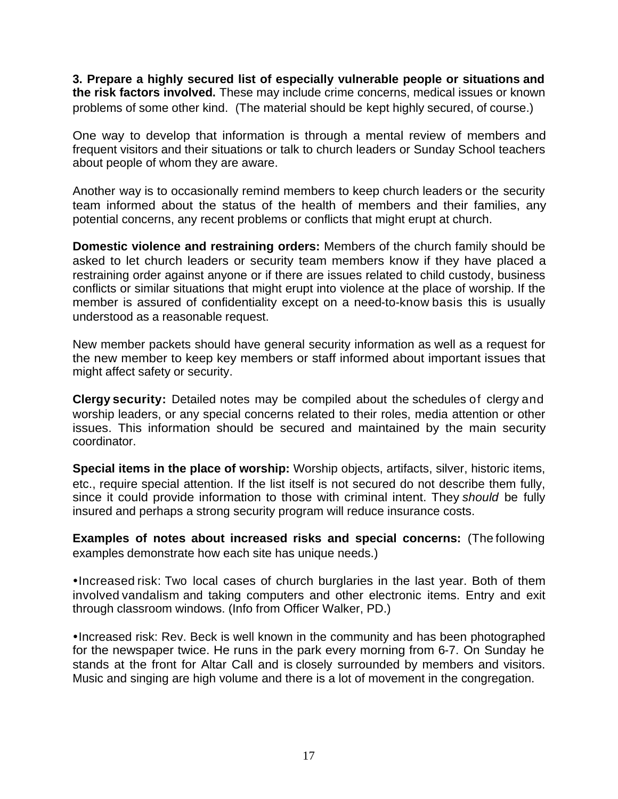**3. Prepare a highly secured list of especially vulnerable people or situations and the risk factors involved.** These may include crime concerns, medical issues or known problems of some other kind. (The material should be kept highly secured, of course.)

One way to develop that information is through a mental review of members and frequent visitors and their situations or talk to church leaders or Sunday School teachers about people of whom they are aware.

Another way is to occasionally remind members to keep church leaders or the security team informed about the status of the health of members and their families, any potential concerns, any recent problems or conflicts that might erupt at church.

**Domestic violence and restraining orders:** Members of the church family should be asked to let church leaders or security team members know if they have placed a restraining order against anyone or if there are issues related to child custody, business conflicts or similar situations that might erupt into violence at the place of worship. If the member is assured of confidentiality except on a need-to-know basis this is usually understood as a reasonable request.

New member packets should have general security information as well as a request for the new member to keep key members or staff informed about important issues that might affect safety or security.

**Clergy security:** Detailed notes may be compiled about the schedules of clergy and worship leaders, or any special concerns related to their roles, media attention or other issues. This information should be secured and maintained by the main security coordinator.

**Special items in the place of worship:** Worship objects, artifacts, silver, historic items, etc., require special attention. If the list itself is not secured do not describe them fully, since it could provide information to those with criminal intent. They *should* be fully insured and perhaps a strong security program will reduce insurance costs.

**Examples of notes about increased risks and special concerns:** (The following examples demonstrate how each site has unique needs.)

•Increased risk: Two local cases of church burglaries in the last year. Both of them involved vandalism and taking computers and other electronic items. Entry and exit through classroom windows. (Info from Officer Walker, PD.)

• Increased risk: Rev. Beck is well known in the community and has been photographed for the newspaper twice. He runs in the park every morning from 6-7. On Sunday he stands at the front for Altar Call and is closely surrounded by members and visitors. Music and singing are high volume and there is a lot of movement in the congregation.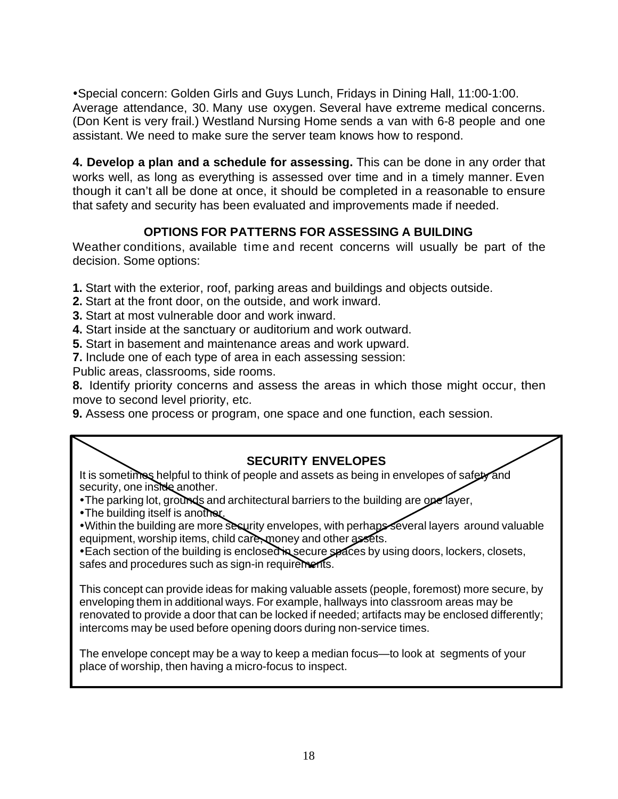• Special concern: Golden Girls and Guys Lunch, Fridays in Dining Hall, 11:00-1:00. Average attendance, 30. Many use oxygen. Several have extreme medical concerns. (Don Kent is very frail.) Westland Nursing Home sends a van with 6-8 people and one assistant. We need to make sure the server team knows how to respond.

**4. Develop a plan and a schedule for assessing.** This can be done in any order that works well, as long as everything is assessed over time and in a timely manner. Even though it can't all be done at once, it should be completed in a reasonable to ensure that safety and security has been evaluated and improvements made if needed.

## **OPTIONS FOR PATTERNS FOR ASSESSING A BUILDING**

Weather conditions, available time and recent concerns will usually be part of the decision. Some options:

**1.** Start with the exterior, roof, parking areas and buildings and objects outside.

- **2.** Start at the front door, on the outside, and work inward.
- **3.** Start at most vulnerable door and work inward.
- **4.** Start inside at the sanctuary or auditorium and work outward.

**5.** Start in basement and maintenance areas and work upward.

**7.** Include one of each type of area in each assessing session:

Public areas, classrooms, side rooms.

**8.** Identify priority concerns and assess the areas in which those might occur, then move to second level priority, etc.

**9.** Assess one process or program, one space and one function, each session.

## **SECURITY ENVELOPES**

It is sometimes helpful to think of people and assets as being in envelopes of safety and security, one inside another.

• The parking lot, grounds and architectural barriers to the building are one layer,

• The building itself is another.

. Within the building are more security envelopes, with perhaps several layers around valuable equipment, worship items, child care, money and other assets.

• Each section of the building is enclosed in secure spaces by using doors, lockers, closets, safes and procedures such as sign-in requirements.

This concept can provide ideas for making valuable assets (people, foremost) more secure, by enveloping them in additional ways. For example, hallways into classroom areas may be renovated to provide a door that can be locked if needed; artifacts may be enclosed differently; intercoms may be used before opening doors during non-service times.

The envelope concept may be a way to keep a median focus—to look at segments of your place of worship, then having a micro-focus to inspect.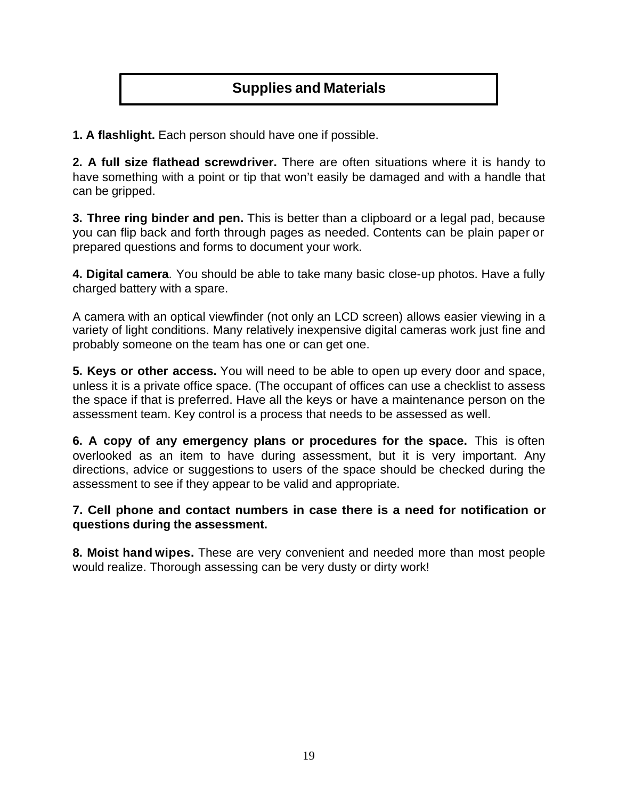# **Supplies and Materials**

**1. A flashlight.** Each person should have one if possible.

**2. A full size flathead screwdriver.** There are often situations where it is handy to have something with a point or tip that won't easily be damaged and with a handle that can be gripped.

**3. Three ring binder and pen.** This is better than a clipboard or a legal pad, because you can flip back and forth through pages as needed. Contents can be plain paper or prepared questions and forms to document your work.

**4. Digital camera**. You should be able to take many basic close-up photos. Have a fully charged battery with a spare.

A camera with an optical viewfinder (not only an LCD screen) allows easier viewing in a variety of light conditions. Many relatively inexpensive digital cameras work just fine and probably someone on the team has one or can get one.

**5. Keys or other access.** You will need to be able to open up every door and space, unless it is a private office space. (The occupant of offices can use a checklist to assess the space if that is preferred. Have all the keys or have a maintenance person on the assessment team. Key control is a process that needs to be assessed as well.

**6. A copy of any emergency plans or procedures for the space.** This is often overlooked as an item to have during assessment, but it is very important. Any directions, advice or suggestions to users of the space should be checked during the assessment to see if they appear to be valid and appropriate.

### **7. Cell phone and contact numbers in case there is a need for notification or questions during the assessment.**

**8. Moist hand wipes.** These are very convenient and needed more than most people would realize. Thorough assessing can be very dusty or dirty work!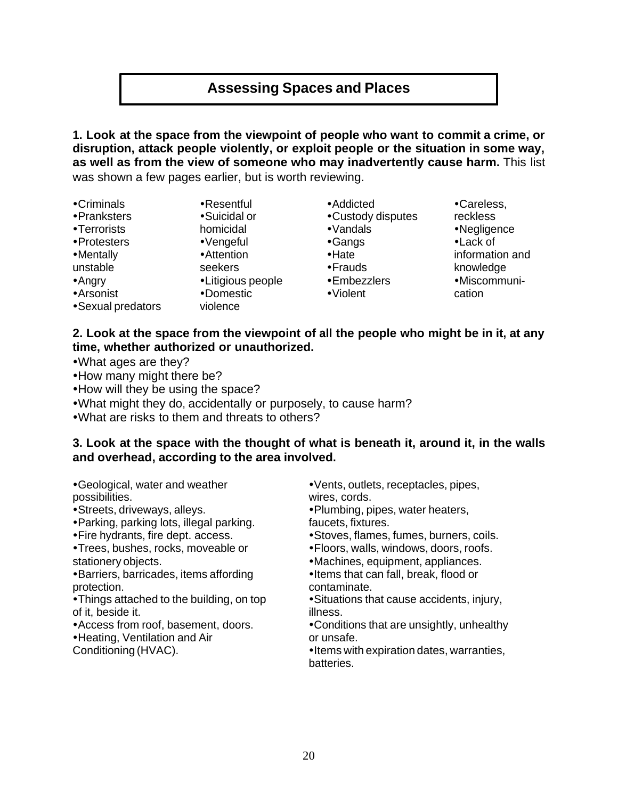# **Assessing Spaces and Places**

**1. Look at the space from the viewpoint of people who want to commit a crime, or disruption, attack people violently, or exploit people or the situation in some way, as well as from the view of someone who may inadvertently cause harm.** This list was shown a few pages earlier, but is worth reviewing.

 $\cdot$ Criminals

- •Pranksters
- •Terrorists
- Protesters
- •Mentally
- unstable
- $•$ Angry
- seekers
- Arsonist
- •Litigious people

•Resentful •Suicidal or homicidal  $\cdot$ Vengeful • Attention

- 
- Sexual predators
- •Domestic
- violence
- Addicted • Custody disputes
- $\cdot$ Vandals •Gangs
- $\cdot$ Hate
- $•$ Frauds
- $\cdot$ Embezzlers
- •Violent

•Careless. reckless •Negligence •Lack of information and knowledge •Miscommunication

### **2. Look at the space from the viewpoint of all the people who might be in it, at any time, whether authorized or unauthorized.**

- •What ages are they?
- How many might there be?
- How will they be using the space?
- . What might they do, accidentally or purposely, to cause harm?
- . What are risks to them and threats to others?

### **3. Look at the space with the thought of what is beneath it, around it, in the walls and overhead, according to the area involved.**

• Geological, water and weather possibilities.

• Streets, driveways, alleys.

- Parking, parking lots, illegal parking.
- Fire hydrants, fire dept. access.
- Trees, bushes, rocks, moveable or stationery objects.
- **•Barriers, barricades, items affording** protection.
- Things attached to the building, on top of it, beside it.
- Access from roof, basement, doors.
- Heating, Ventilation and Air
- Conditioning (HVAC).

• Vents, outlets, receptacles, pipes, wires, cords.

• Plumbing, pipes, water heaters,

faucets, fixtures.

• Stoves, flames, fumes, burners, coils.

**• Floors, walls, windows, doors, roofs.** 

• Machines, equipment, appliances.

•Items that can fall, break, flood or contaminate.

• Situations that cause accidents, injury, illness.

• Conditions that are unsightly, unhealthy or unsafe.

• Items with expiration dates, warranties, batteries.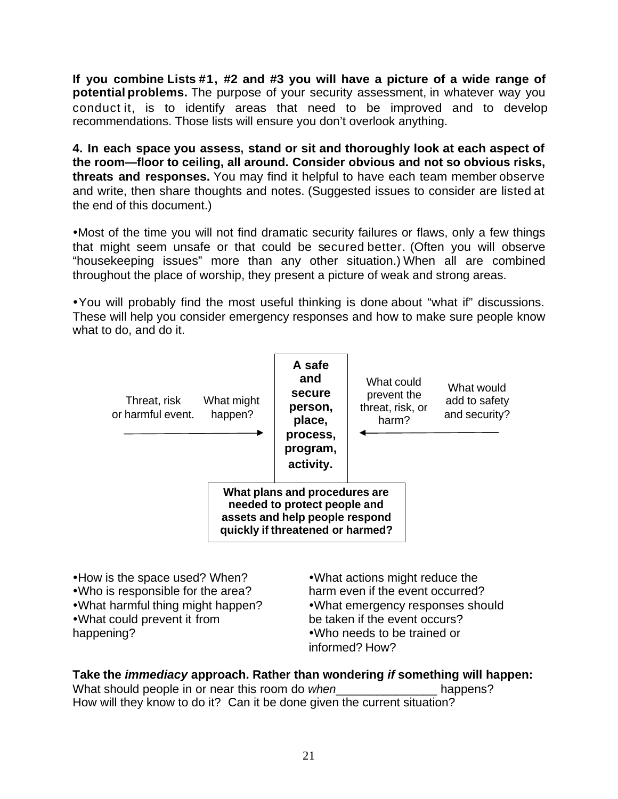**If you combine Lists #1, #2 and #3 you will have a picture of a wide range of potential problems.** The purpose of your security assessment, in whatever way you conduct it, is to identify areas that need to be improved and to develop recommendations. Those lists will ensure you don't overlook anything.

**4. In each space you assess, stand or sit and thoroughly look at each aspect of the room—floor to ceiling, all around. Consider obvious and not so obvious risks, threats and responses.** You may find it helpful to have each team member observe and write, then share thoughts and notes. (Suggested issues to consider are listed at the end of this document.)

• Most of the time you will not find dramatic security failures or flaws, only a few things that might seem unsafe or that could be secured better. (Often you will observe "housekeeping issues" more than any other situation.) When all are combined throughout the place of worship, they present a picture of weak and strong areas.

ŸYou will probably find the most useful thinking is done about "what if" discussions. These will help you consider emergency responses and how to make sure people know what to do, and do it.



happening?

• Who needs to be trained or informed? How?

# **Take the** *immediacy* **approach. Rather than wondering** *if* **something will happen:**

What should people in or near this room do *when* what should people in or near this room do *when* How will they know to do it? Can it be done given the current situation?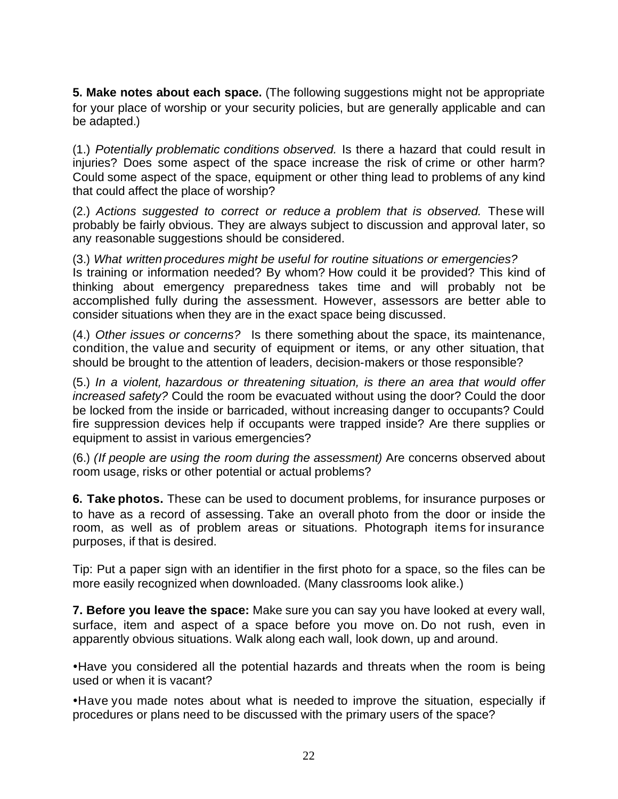**5. Make notes about each space.** (The following suggestions might not be appropriate for your place of worship or your security policies, but are generally applicable and can be adapted.)

(1.) *Potentially problematic conditions observed.* Is there a hazard that could result in injuries? Does some aspect of the space increase the risk of crime or other harm? Could some aspect of the space, equipment or other thing lead to problems of any kind that could affect the place of worship?

(2.) *Actions suggested to correct or reduce a problem that is observed.* These will probably be fairly obvious. They are always subject to discussion and approval later, so any reasonable suggestions should be considered.

(3.) *What written procedures might be useful for routine situations or emergencies?* Is training or information needed? By whom? How could it be provided? This kind of thinking about emergency preparedness takes time and will probably not be accomplished fully during the assessment. However, assessors are better able to consider situations when they are in the exact space being discussed.

(4.) *Other issues or concerns?* Is there something about the space, its maintenance, condition, the value and security of equipment or items, or any other situation, that should be brought to the attention of leaders, decision-makers or those responsible?

(5.) *In a violent, hazardous or threatening situation, is there an area that would offer increased safety?* Could the room be evacuated without using the door? Could the door be locked from the inside or barricaded, without increasing danger to occupants? Could fire suppression devices help if occupants were trapped inside? Are there supplies or equipment to assist in various emergencies?

(6.) *(If people are using the room during the assessment)* Are concerns observed about room usage, risks or other potential or actual problems?

**6. Take photos.** These can be used to document problems, for insurance purposes or to have as a record of assessing. Take an overall photo from the door or inside the room, as well as of problem areas or situations. Photograph items for insurance purposes, if that is desired.

Tip: Put a paper sign with an identifier in the first photo for a space, so the files can be more easily recognized when downloaded. (Many classrooms look alike.)

**7. Before you leave the space:** Make sure you can say you have looked at every wall, surface, item and aspect of a space before you move on. Do not rush, even in apparently obvious situations. Walk along each wall, look down, up and around.

• Have you considered all the potential hazards and threats when the room is being used or when it is vacant?

• Have you made notes about what is needed to improve the situation, especially if procedures or plans need to be discussed with the primary users of the space?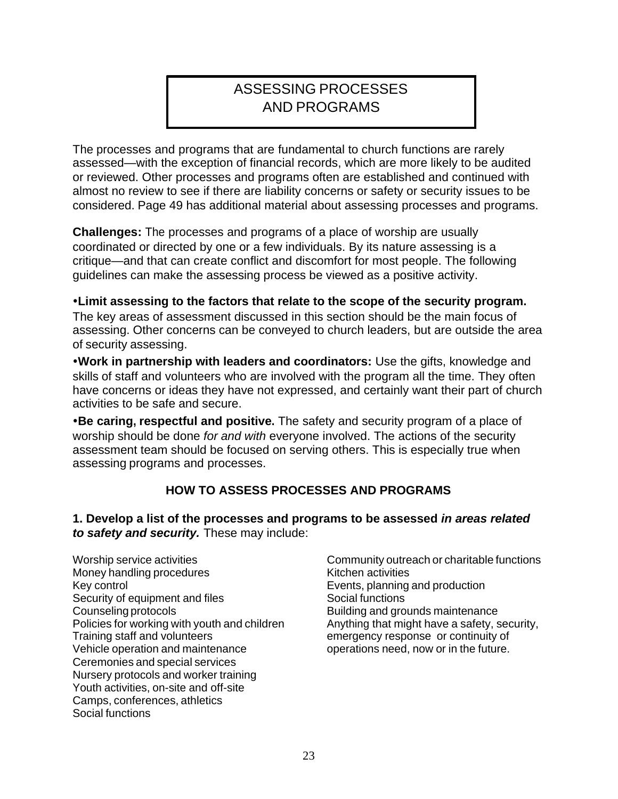# ASSESSING PROCESSES AND PROGRAMS

The processes and programs that are fundamental to church functions are rarely assessed—with the exception of financial records, which are more likely to be audited or reviewed. Other processes and programs often are established and continued with almost no review to see if there are liability concerns or safety or security issues to be considered. Page 49 has additional material about assessing processes and programs.

**Challenges:** The processes and programs of a place of worship are usually coordinated or directed by one or a few individuals. By its nature assessing is a critique—and that can create conflict and discomfort for most people. The following guidelines can make the assessing process be viewed as a positive activity.

### Ÿ**Limit assessing to the factors that relate to the scope of the security program.**

The key areas of assessment discussed in this section should be the main focus of assessing. Other concerns can be conveyed to church leaders, but are outside the area of security assessing.

**. Work in partnership with leaders and coordinators:** Use the gifts, knowledge and skills of staff and volunteers who are involved with the program all the time. They often have concerns or ideas they have not expressed, and certainly want their part of church activities to be safe and secure.

**Be caring, respectful and positive.** The safety and security program of a place of worship should be done *for and with* everyone involved. The actions of the security assessment team should be focused on serving others. This is especially true when assessing programs and processes.

### **HOW TO ASSESS PROCESSES AND PROGRAMS**

**1. Develop a list of the processes and programs to be assessed** *in areas related to safety and security.* These may include:

Worship service activities Money handling procedures Key control Security of equipment and files Counseling protocols Policies for working with youth and children Training staff and volunteers Vehicle operation and maintenance Ceremonies and special services Nursery protocols and worker training Youth activities, on-site and off-site Camps, conferences, athletics Social functions

Community outreach or charitable functions Kitchen activities Events, planning and production Social functions Building and grounds maintenance Anything that might have a safety, security, emergency response or continuity of operations need, now or in the future.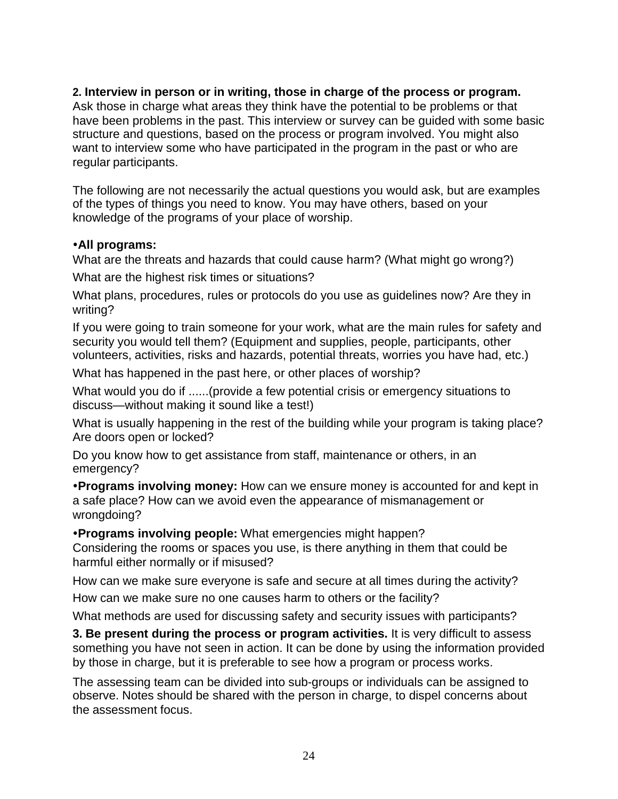### **2. Interview in person or in writing, those in charge of the process or program.**

Ask those in charge what areas they think have the potential to be problems or that have been problems in the past. This interview or survey can be guided with some basic structure and questions, based on the process or program involved. You might also want to interview some who have participated in the program in the past or who are regular participants.

The following are not necessarily the actual questions you would ask, but are examples of the types of things you need to know. You may have others, based on your knowledge of the programs of your place of worship.

### **•All programs:**

What are the threats and hazards that could cause harm? (What might go wrong?)

What are the highest risk times or situations?

What plans, procedures, rules or protocols do you use as guidelines now? Are they in writing?

If you were going to train someone for your work, what are the main rules for safety and security you would tell them? (Equipment and supplies, people, participants, other volunteers, activities, risks and hazards, potential threats, worries you have had, etc.)

What has happened in the past here, or other places of worship?

What would you do if ......(provide a few potential crisis or emergency situations to discuss—without making it sound like a test!)

What is usually happening in the rest of the building while your program is taking place? Are doors open or locked?

Do you know how to get assistance from staff, maintenance or others, in an emergency?

**• Programs involving money:** How can we ensure money is accounted for and kept in a safe place? How can we avoid even the appearance of mismanagement or wrongdoing?

**• Programs involving people:** What emergencies might happen?

Considering the rooms or spaces you use, is there anything in them that could be harmful either normally or if misused?

How can we make sure everyone is safe and secure at all times during the activity?

How can we make sure no one causes harm to others or the facility?

What methods are used for discussing safety and security issues with participants?

**3. Be present during the process or program activities.** It is very difficult to assess something you have not seen in action. It can be done by using the information provided by those in charge, but it is preferable to see how a program or process works.

The assessing team can be divided into sub-groups or individuals can be assigned to observe. Notes should be shared with the person in charge, to dispel concerns about the assessment focus.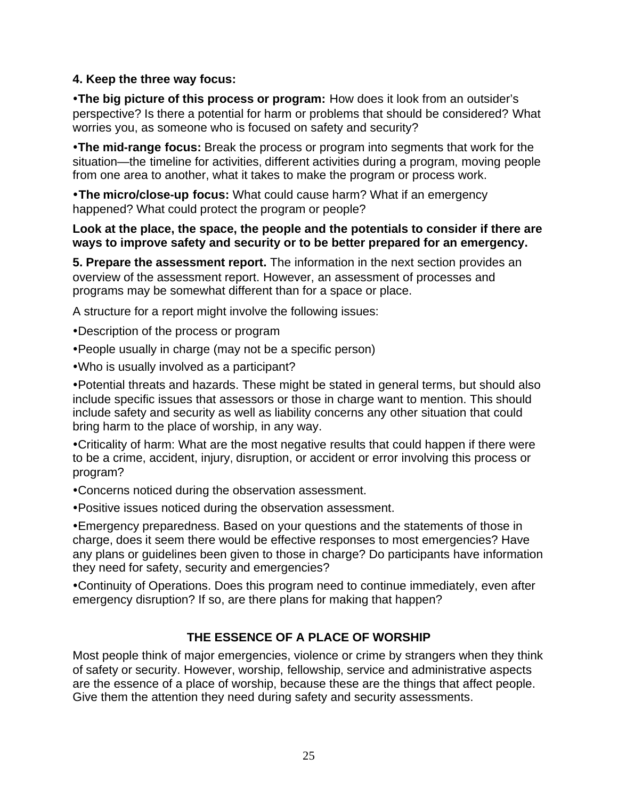### **4. Keep the three way focus:**

**•The big picture of this process or program:** How does it look from an outsider's perspective? Is there a potential for harm or problems that should be considered? What worries you, as someone who is focused on safety and security?

**•The mid-range focus:** Break the process or program into segments that work for the situation—the timeline for activities, different activities during a program, moving people from one area to another, what it takes to make the program or process work.

**• The micro/close-up focus:** What could cause harm? What if an emergency happened? What could protect the program or people?

### **Look at the place, the space, the people and the potentials to consider if there are ways to improve safety and security or to be better prepared for an emergency.**

**5. Prepare the assessment report.** The information in the next section provides an overview of the assessment report. However, an assessment of processes and programs may be somewhat different than for a space or place.

A structure for a report might involve the following issues:

• Description of the process or program

- People usually in charge (may not be a specific person)
- . Who is usually involved as a participant?

• Potential threats and hazards. These might be stated in general terms, but should also include specific issues that assessors or those in charge want to mention. This should include safety and security as well as liability concerns any other situation that could bring harm to the place of worship, in any way.

• Criticality of harm: What are the most negative results that could happen if there were to be a crime, accident, injury, disruption, or accident or error involving this process or program?

• Concerns noticed during the observation assessment.

• Positive issues noticed during the observation assessment.

• Emergency preparedness. Based on your questions and the statements of those in charge, does it seem there would be effective responses to most emergencies? Have any plans or guidelines been given to those in charge? Do participants have information they need for safety, security and emergencies?

• Continuity of Operations. Does this program need to continue immediately, even after emergency disruption? If so, are there plans for making that happen?

## **THE ESSENCE OF A PLACE OF WORSHIP**

Most people think of major emergencies, violence or crime by strangers when they think of safety or security. However, worship, fellowship, service and administrative aspects are the essence of a place of worship, because these are the things that affect people. Give them the attention they need during safety and security assessments.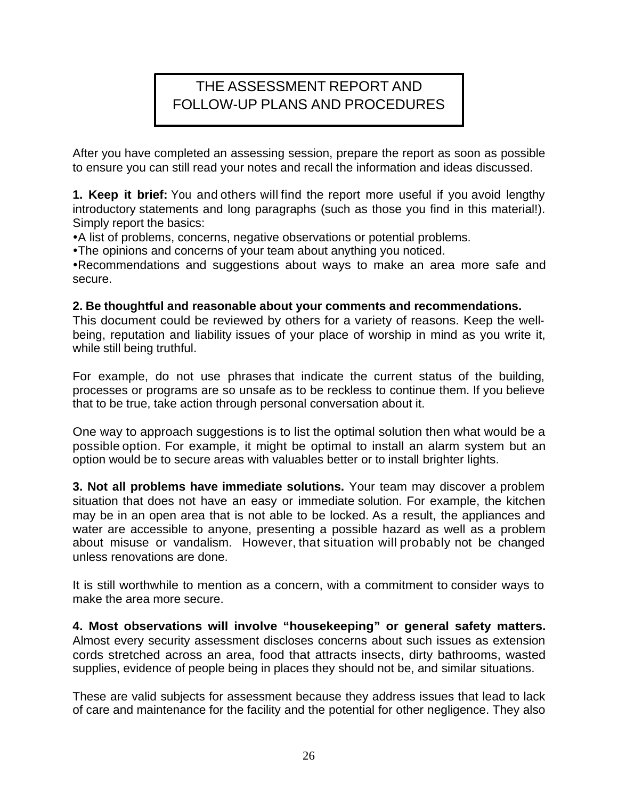# THE ASSESSMENT REPORT AND FOLLOW-UP PLANS AND PROCEDURES

After you have completed an assessing session, prepare the report as soon as possible to ensure you can still read your notes and recall the information and ideas discussed.

**1. Keep it brief:** You and others will find the report more useful if you avoid lengthy introductory statements and long paragraphs (such as those you find in this material!). Simply report the basics:

• A list of problems, concerns, negative observations or potential problems.

• The opinions and concerns of your team about anything you noticed.

• Recommendations and suggestions about ways to make an area more safe and secure.

### **2. Be thoughtful and reasonable about your comments and recommendations.**

This document could be reviewed by others for a variety of reasons. Keep the wellbeing, reputation and liability issues of your place of worship in mind as you write it, while still being truthful.

For example, do not use phrases that indicate the current status of the building, processes or programs are so unsafe as to be reckless to continue them. If you believe that to be true, take action through personal conversation about it.

One way to approach suggestions is to list the optimal solution then what would be a possible option. For example, it might be optimal to install an alarm system but an option would be to secure areas with valuables better or to install brighter lights.

**3. Not all problems have immediate solutions.** Your team may discover a problem situation that does not have an easy or immediate solution. For example, the kitchen may be in an open area that is not able to be locked. As a result, the appliances and water are accessible to anyone, presenting a possible hazard as well as a problem about misuse or vandalism. However, that situation will probably not be changed unless renovations are done.

It is still worthwhile to mention as a concern, with a commitment to consider ways to make the area more secure.

**4. Most observations will involve "housekeeping" or general safety matters.**  Almost every security assessment discloses concerns about such issues as extension cords stretched across an area, food that attracts insects, dirty bathrooms, wasted supplies, evidence of people being in places they should not be, and similar situations.

These are valid subjects for assessment because they address issues that lead to lack of care and maintenance for the facility and the potential for other negligence. They also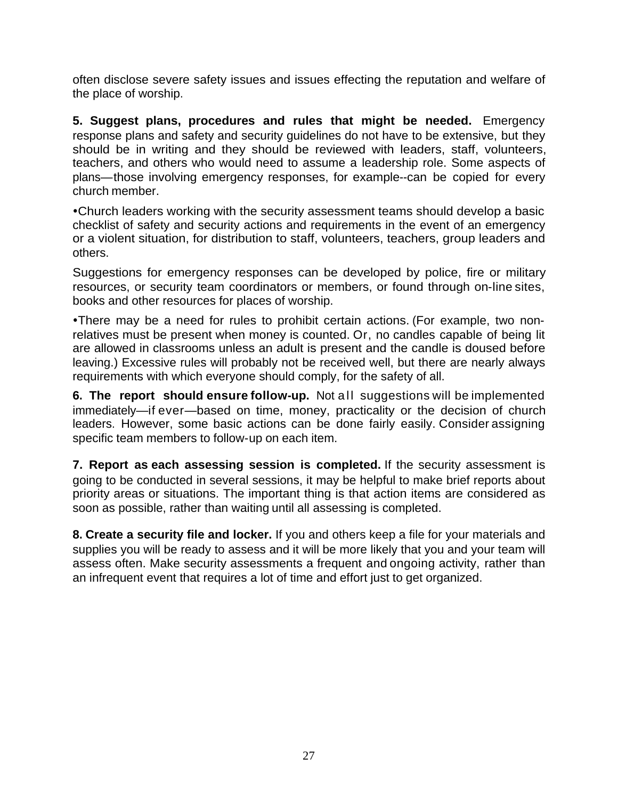often disclose severe safety issues and issues effecting the reputation and welfare of the place of worship.

**5. Suggest plans, procedures and rules that might be needed.** Emergency response plans and safety and security guidelines do not have to be extensive, but they should be in writing and they should be reviewed with leaders, staff, volunteers, teachers, and others who would need to assume a leadership role. Some aspects of plans—those involving emergency responses, for example--can be copied for every church member.

• Church leaders working with the security assessment teams should develop a basic checklist of safety and security actions and requirements in the event of an emergency or a violent situation, for distribution to staff, volunteers, teachers, group leaders and others.

Suggestions for emergency responses can be developed by police, fire or military resources, or security team coordinators or members, or found through on-line sites, books and other resources for places of worship.

• There may be a need for rules to prohibit certain actions. (For example, two nonrelatives must be present when money is counted. Or, no candles capable of being lit are allowed in classrooms unless an adult is present and the candle is doused before leaving.) Excessive rules will probably not be received well, but there are nearly always requirements with which everyone should comply, for the safety of all.

**6. The report should ensure follow-up.** Not all suggestions will be implemented immediately—if ever—based on time, money, practicality or the decision of church leaders. However, some basic actions can be done fairly easily. Consider assigning specific team members to follow-up on each item.

**7. Report as each assessing session is completed.** If the security assessment is going to be conducted in several sessions, it may be helpful to make brief reports about priority areas or situations. The important thing is that action items are considered as soon as possible, rather than waiting until all assessing is completed.

**8. Create a security file and locker.** If you and others keep a file for your materials and supplies you will be ready to assess and it will be more likely that you and your team will assess often. Make security assessments a frequent and ongoing activity, rather than an infrequent event that requires a lot of time and effort just to get organized.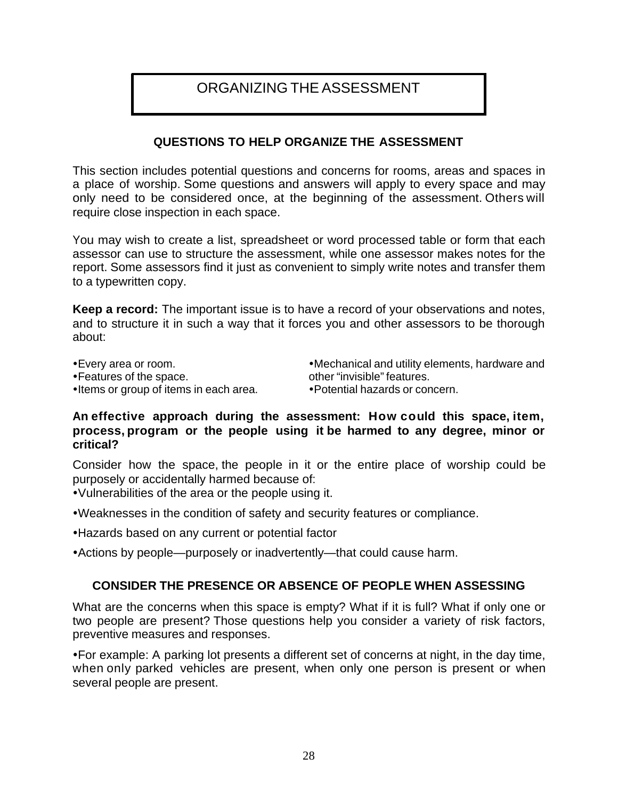# ORGANIZING THE ASSESSMENT

### **QUESTIONS TO HELP ORGANIZE THE ASSESSMENT**

This section includes potential questions and concerns for rooms, areas and spaces in a place of worship. Some questions and answers will apply to every space and may only need to be considered once, at the beginning of the assessment. Others will require close inspection in each space.

You may wish to create a list, spreadsheet or word processed table or form that each assessor can use to structure the assessment, while one assessor makes notes for the report. Some assessors find it just as convenient to simply write notes and transfer them to a typewritten copy.

**Keep a record:** The important issue is to have a record of your observations and notes, and to structure it in such a way that it forces you and other assessors to be thorough about:

• Every area or room. • Features of the space. • Items or group of items in each area. • Mechanical and utility elements, hardware and other "invisible" features. • Potential hazards or concern.

### **An effective approach during the assessment: How could this space, item, process, program or the people using it be harmed to any degree, minor or critical?**

Consider how the space, the people in it or the entire place of worship could be purposely or accidentally harmed because of:

• Vulnerabilities of the area or the people using it.

• Weaknesses in the condition of safety and security features or compliance.

- Hazards based on any current or potential factor
- Actions by people—purposely or inadvertently—that could cause harm.

### **CONSIDER THE PRESENCE OR ABSENCE OF PEOPLE WHEN ASSESSING**

What are the concerns when this space is empty? What if it is full? What if only one or two people are present? Those questions help you consider a variety of risk factors, preventive measures and responses.

• For example: A parking lot presents a different set of concerns at night, in the day time, when only parked vehicles are present, when only one person is present or when several people are present.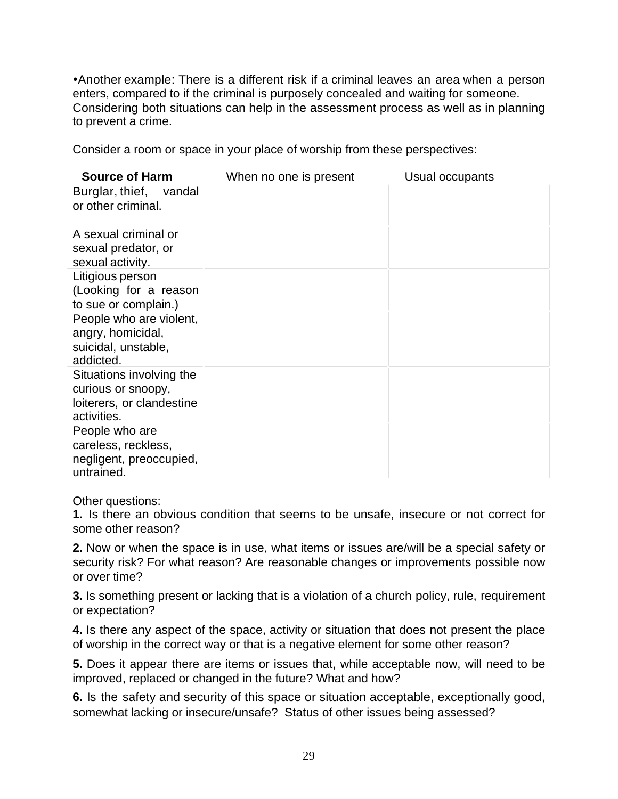• Another example: There is a different risk if a criminal leaves an area when a person enters, compared to if the criminal is purposely concealed and waiting for someone. Considering both situations can help in the assessment process as well as in planning to prevent a crime.

Consider a room or space in your place of worship from these perspectives:

| <b>Source of Harm</b>     | When no one is present | Usual occupants |
|---------------------------|------------------------|-----------------|
| Burglar, thief, vandal    |                        |                 |
| or other criminal.        |                        |                 |
|                           |                        |                 |
| A sexual criminal or      |                        |                 |
| sexual predator, or       |                        |                 |
| sexual activity.          |                        |                 |
| Litigious person          |                        |                 |
| (Looking for a reason     |                        |                 |
| to sue or complain.)      |                        |                 |
| People who are violent,   |                        |                 |
| angry, homicidal,         |                        |                 |
| suicidal, unstable,       |                        |                 |
| addicted.                 |                        |                 |
| Situations involving the  |                        |                 |
| curious or snoopy,        |                        |                 |
| loiterers, or clandestine |                        |                 |
| activities.               |                        |                 |
| People who are            |                        |                 |
| careless, reckless,       |                        |                 |
| negligent, preoccupied,   |                        |                 |
| untrained.                |                        |                 |

Other questions:

**1.** Is there an obvious condition that seems to be unsafe, insecure or not correct for some other reason?

**2.** Now or when the space is in use, what items or issues are/will be a special safety or security risk? For what reason? Are reasonable changes or improvements possible now or over time?

**3.** Is something present or lacking that is a violation of a church policy, rule, requirement or expectation?

**4.** Is there any aspect of the space, activity or situation that does not present the place of worship in the correct way or that is a negative element for some other reason?

**5.** Does it appear there are items or issues that, while acceptable now, will need to be improved, replaced or changed in the future? What and how?

**6.** Is the safety and security of this space or situation acceptable, exceptionally good, somewhat lacking or insecure/unsafe? Status of other issues being assessed?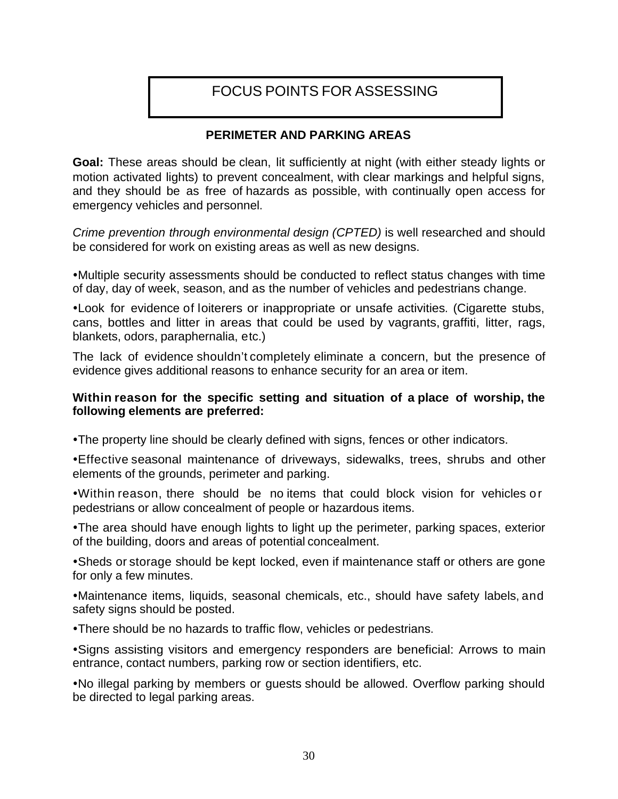# FOCUS POINTS FOR ASSESSING

### **PERIMETER AND PARKING AREAS**

**Goal:** These areas should be clean, lit sufficiently at night (with either steady lights or motion activated lights) to prevent concealment, with clear markings and helpful signs, and they should be as free of hazards as possible, with continually open access for emergency vehicles and personnel.

*Crime prevention through environmental design (CPTED)* is well researched and should be considered for work on existing areas as well as new designs.

• Multiple security assessments should be conducted to reflect status changes with time of day, day of week, season, and as the number of vehicles and pedestrians change.

• Look for evidence of loiterers or inappropriate or unsafe activities. (Cigarette stubs, cans, bottles and litter in areas that could be used by vagrants, graffiti, litter, rags, blankets, odors, paraphernalia, etc.)

The lack of evidence shouldn't completely eliminate a concern, but the presence of evidence gives additional reasons to enhance security for an area or item.

### **Within reason for the specific setting and situation of a place of worship, the following elements are preferred:**

• The property line should be clearly defined with signs, fences or other indicators.

• Effective seasonal maintenance of driveways, sidewalks, trees, shrubs and other elements of the grounds, perimeter and parking.

.Within reason, there should be no items that could block vision for vehicles or pedestrians or allow concealment of people or hazardous items.

• The area should have enough lights to light up the perimeter, parking spaces, exterior of the building, doors and areas of potential concealment.

• Sheds or storage should be kept locked, even if maintenance staff or others are gone for only a few minutes.

• Maintenance items, liquids, seasonal chemicals, etc., should have safety labels, and safety signs should be posted.

• There should be no hazards to traffic flow, vehicles or pedestrians.

• Signs assisting visitors and emergency responders are beneficial: Arrows to main entrance, contact numbers, parking row or section identifiers, etc.

•No illegal parking by members or guests should be allowed. Overflow parking should be directed to legal parking areas.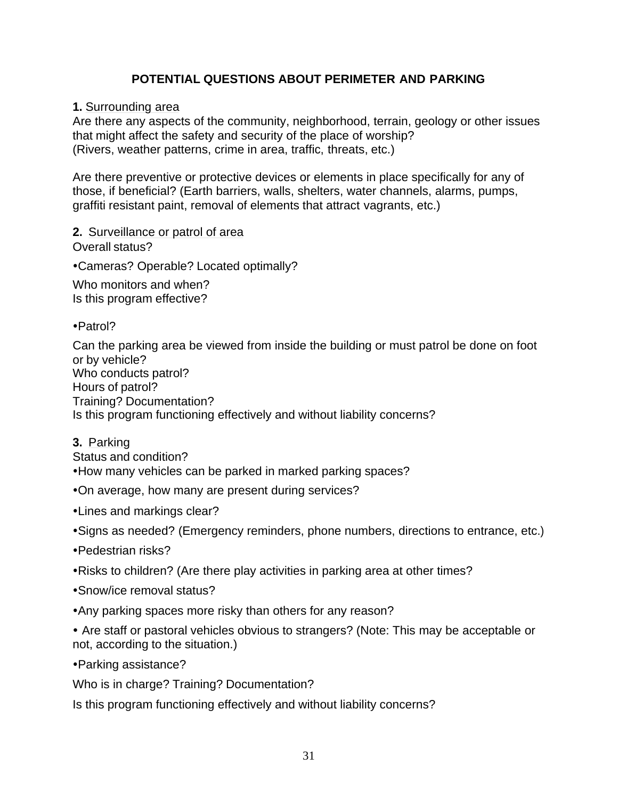## **POTENTIAL QUESTIONS ABOUT PERIMETER AND PARKING**

### **1.** Surrounding area

Are there any aspects of the community, neighborhood, terrain, geology or other issues that might affect the safety and security of the place of worship? (Rivers, weather patterns, crime in area, traffic, threats, etc.)

Are there preventive or protective devices or elements in place specifically for any of those, if beneficial? (Earth barriers, walls, shelters, water channels, alarms, pumps, graffiti resistant paint, removal of elements that attract vagrants, etc.)

### **2.** Surveillance or patrol of area

Overall status?

• Cameras? Operable? Located optimally?

Who monitors and when? Is this program effective?

•Patrol?

Can the parking area be viewed from inside the building or must patrol be done on foot or by vehicle? Who conducts patrol? Hours of patrol? Training? Documentation? Is this program functioning effectively and without liability concerns?

**3.** Parking Status and condition?

- How many vehicles can be parked in marked parking spaces?
- •On average, how many are present during services?
- •Lines and markings clear?
- Signs as needed? (Emergency reminders, phone numbers, directions to entrance, etc.)
- •Pedestrian risks?
- Risks to children? (Are there play activities in parking area at other times?
- Snow/ice removal status?
- Any parking spaces more risky than others for any reason?
- **Ÿ** Are staff or pastoral vehicles obvious to strangers? (Note: This may be acceptable or not, according to the situation.)

• Parking assistance?

Who is in charge? Training? Documentation?

Is this program functioning effectively and without liability concerns?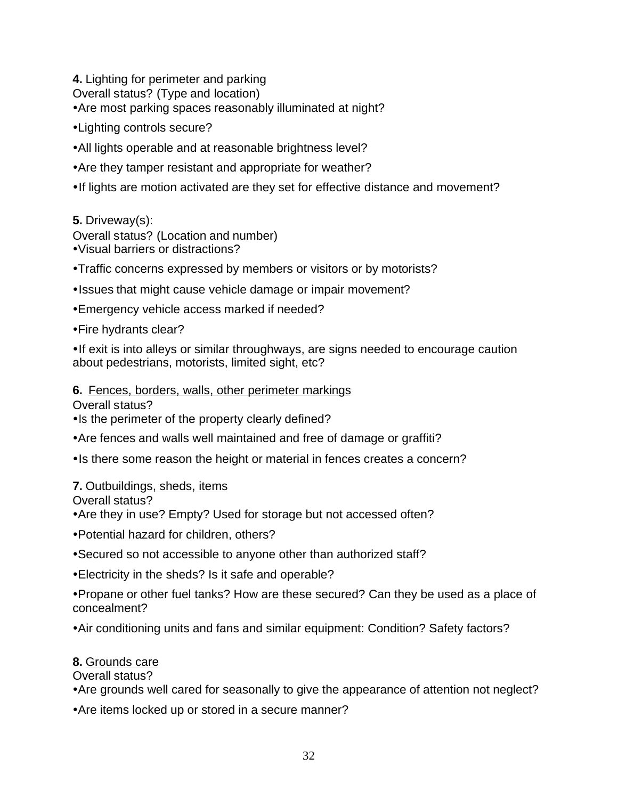**4.** Lighting for perimeter and parking

Overall status? (Type and location)

• Are most parking spaces reasonably illuminated at night?

- Lighting controls secure?
- All lights operable and at reasonable brightness level?
- Are they tamper resistant and appropriate for weather?
- If lights are motion activated are they set for effective distance and movement?

### **5.** Driveway(s):

Overall status? (Location and number) • Visual barriers or distractions?

- Traffic concerns expressed by members or visitors or by motorists?
- Issues that might cause vehicle damage or impair movement?
- **Emergency vehicle access marked if needed?**
- Fire hydrants clear?

• If exit is into alleys or similar throughways, are signs needed to encourage caution about pedestrians, motorists, limited sight, etc?

### **6.** Fences, borders, walls, other perimeter markings

Overall status?

• Is the perimeter of the property clearly defined?

- Are fences and walls well maintained and free of damage or graffiti?
- Is there some reason the height or material in fences creates a concern?

### **7.** Outbuildings, sheds, items

### Overall status?

• Are they in use? Empty? Used for storage but not accessed often?

- Potential hazard for children, others?
- Secured so not accessible to anyone other than authorized staff?
- Electricity in the sheds? Is it safe and operable?

• Propane or other fuel tanks? How are these secured? Can they be used as a place of concealment?

• Air conditioning units and fans and similar equipment: Condition? Safety factors?

### **8.** Grounds care

Overall status?

• Are grounds well cared for seasonally to give the appearance of attention not neglect?

• Are items locked up or stored in a secure manner?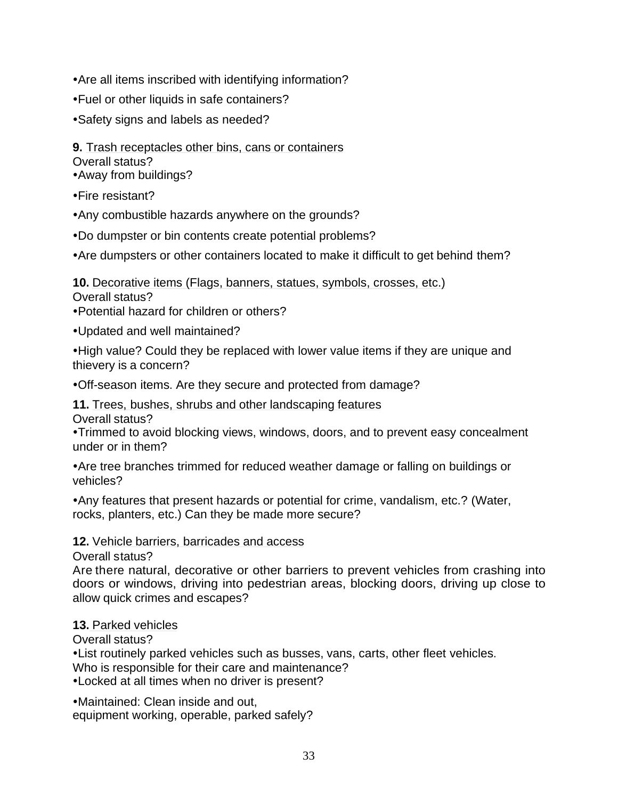- Are all items inscribed with identifying information?
- Fuel or other liquids in safe containers?
- Safety signs and labels as needed?
- **9.** Trash receptacles other bins, cans or containers

Overall status?

- Away from buildings?
- •Fire resistant?
- Any combustible hazards anywhere on the grounds?
- Do dumpster or bin contents create potential problems?
- Are dumpsters or other containers located to make it difficult to get behind them?

#### **10.** Decorative items (Flags, banners, statues, symbols, crosses, etc.) Overall status?

• Potential hazard for children or others?

• Updated and well maintained?

• High value? Could they be replaced with lower value items if they are unique and thievery is a concern?

. Off-season items. Are they secure and protected from damage?

**11.** Trees, bushes, shrubs and other landscaping features

Overall status?

• Trimmed to avoid blocking views, windows, doors, and to prevent easy concealment under or in them?

• Are tree branches trimmed for reduced weather damage or falling on buildings or vehicles?

• Any features that present hazards or potential for crime, vandalism, etc.? (Water, rocks, planters, etc.) Can they be made more secure?

### **12.** Vehicle barriers, barricades and access

Overall status?

Are there natural, decorative or other barriers to prevent vehicles from crashing into doors or windows, driving into pedestrian areas, blocking doors, driving up close to allow quick crimes and escapes?

### **13.** Parked vehicles

Overall status?

• List routinely parked vehicles such as busses, vans, carts, other fleet vehicles.

Who is responsible for their care and maintenance?

• Locked at all times when no driver is present?

• Maintained: Clean inside and out, equipment working, operable, parked safely?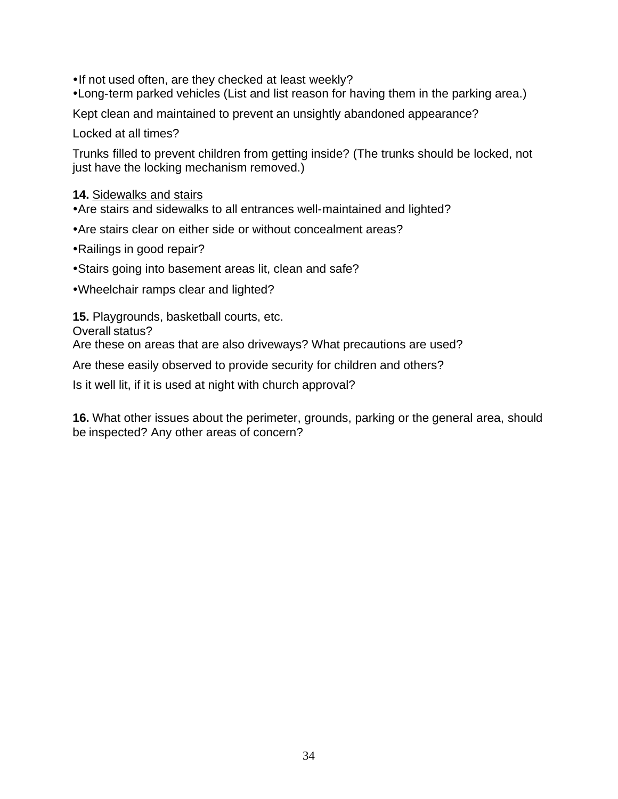• If not used often, are they checked at least weekly?

•Long-term parked vehicles (List and list reason for having them in the parking area.)

Kept clean and maintained to prevent an unsightly abandoned appearance?

Locked at all times?

Trunks filled to prevent children from getting inside? (The trunks should be locked, not just have the locking mechanism removed.)

### **14.** Sidewalks and stairs

- Are stairs and sidewalks to all entrances well-maintained and lighted?
- Are stairs clear on either side or without concealment areas?
- Railings in good repair?
- Stairs going into basement areas lit, clean and safe?
- Wheelchair ramps clear and lighted?

**15.** Playgrounds, basketball courts, etc.

Overall status?

Are these on areas that are also driveways? What precautions are used?

Are these easily observed to provide security for children and others?

Is it well lit, if it is used at night with church approval?

**16.** What other issues about the perimeter, grounds, parking or the general area, should be inspected? Any other areas of concern?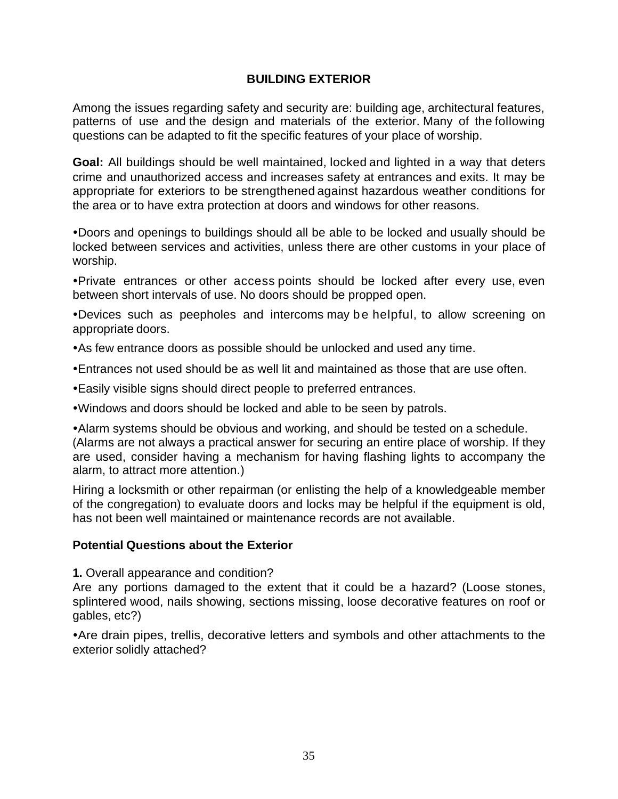### **BUILDING EXTERIOR**

Among the issues regarding safety and security are: building age, architectural features, patterns of use and the design and materials of the exterior. Many of the following questions can be adapted to fit the specific features of your place of worship.

**Goal:** All buildings should be well maintained, locked and lighted in a way that deters crime and unauthorized access and increases safety at entrances and exits. It may be appropriate for exteriors to be strengthened against hazardous weather conditions for the area or to have extra protection at doors and windows for other reasons.

•Doors and openings to buildings should all be able to be locked and usually should be locked between services and activities, unless there are other customs in your place of worship.

ŸPrivate entrances or other access points should be locked after every use, even between short intervals of use. No doors should be propped open.

•Devices such as peepholes and intercoms may be helpful, to allow screening on appropriate doors.

• As few entrance doors as possible should be unlocked and used any time.

- Entrances not used should be as well lit and maintained as those that are use often.
- Easily visible signs should direct people to preferred entrances.

. Windows and doors should be locked and able to be seen by patrols.

• Alarm systems should be obvious and working, and should be tested on a schedule. (Alarms are not always a practical answer for securing an entire place of worship. If they are used, consider having a mechanism for having flashing lights to accompany the alarm, to attract more attention.)

Hiring a locksmith or other repairman (or enlisting the help of a knowledgeable member of the congregation) to evaluate doors and locks may be helpful if the equipment is old, has not been well maintained or maintenance records are not available.

### **Potential Questions about the Exterior**

**1.** Overall appearance and condition?

Are any portions damaged to the extent that it could be a hazard? (Loose stones, splintered wood, nails showing, sections missing, loose decorative features on roof or gables, etc?)

• Are drain pipes, trellis, decorative letters and symbols and other attachments to the exterior solidly attached?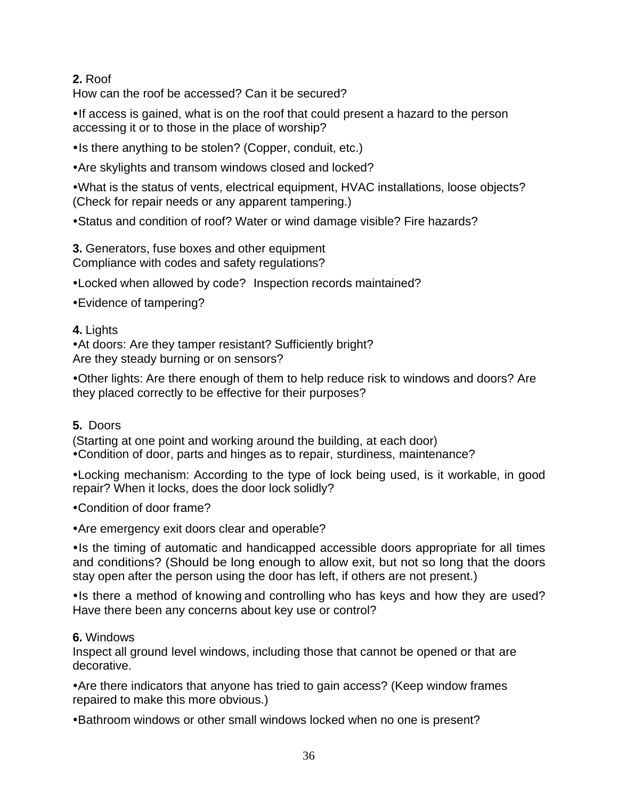# **2.** Roof

How can the roof be accessed? Can it be secured?

• If access is gained, what is on the roof that could present a hazard to the person accessing it or to those in the place of worship?

• Is there anything to be stolen? (Copper, conduit, etc.)

• Are skylights and transom windows closed and locked?

. What is the status of vents, electrical equipment, HVAC installations, loose objects? (Check for repair needs or any apparent tampering.)

• Status and condition of roof? Water or wind damage visible? Fire hazards?

# **3.** Generators, fuse boxes and other equipment

Compliance with codes and safety regulations?

•Locked when allowed by code? Inspection records maintained?

• Evidence of tampering?

### **4.** Lights

• At doors: Are they tamper resistant? Sufficiently bright? Are they steady burning or on sensors?

•Other lights: Are there enough of them to help reduce risk to windows and doors? Are they placed correctly to be effective for their purposes?

# **5.** Doors

(Starting at one point and working around the building, at each door) • Condition of door, parts and hinges as to repair, sturdiness, maintenance?

•Locking mechanism: According to the type of lock being used, is it workable, in good repair? When it locks, does the door lock solidly?

• Condition of door frame?

• Are emergency exit doors clear and operable?

• Is the timing of automatic and handicapped accessible doors appropriate for all times and conditions? (Should be long enough to allow exit, but not so long that the doors stay open after the person using the door has left, if others are not present.)

• Is there a method of knowing and controlling who has keys and how they are used? Have there been any concerns about key use or control?

#### **6.** Windows

Inspect all ground level windows, including those that cannot be opened or that are decorative.

• Are there indicators that anyone has tried to gain access? (Keep window frames repaired to make this more obvious.)

• Bathroom windows or other small windows locked when no one is present?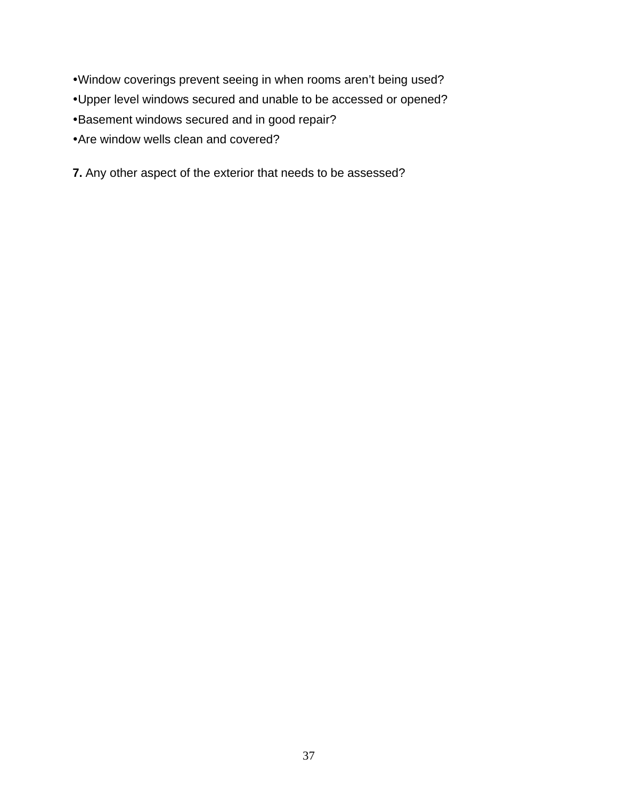- •Window coverings prevent seeing in when rooms aren't being used?
- Upper level windows secured and unable to be accessed or opened?
- Basement windows secured and in good repair?
- Are window wells clean and covered?
- **7.** Any other aspect of the exterior that needs to be assessed?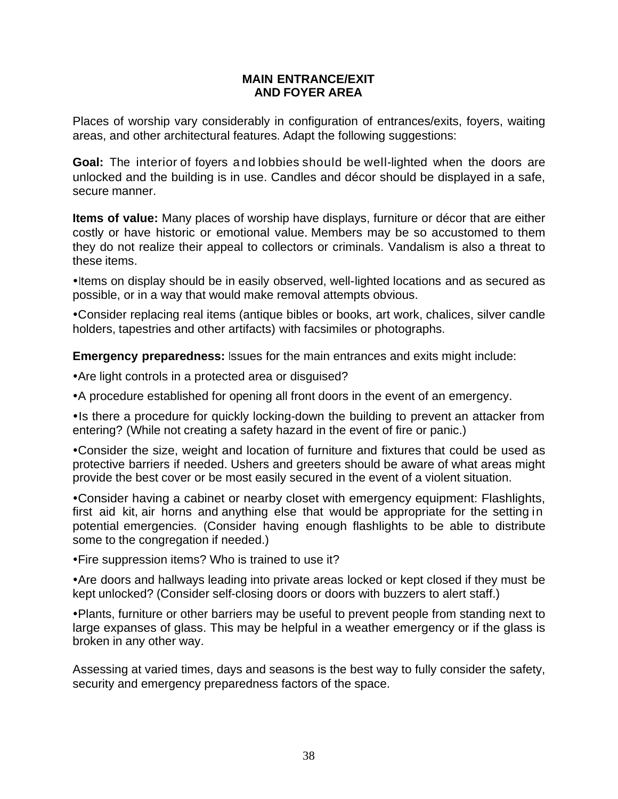#### **MAIN ENTRANCE/EXIT AND FOYER AREA**

Places of worship vary considerably in configuration of entrances/exits, foyers, waiting areas, and other architectural features. Adapt the following suggestions:

**Goal:** The interior of foyers and lobbies should be well-lighted when the doors are unlocked and the building is in use. Candles and décor should be displayed in a safe, secure manner.

**Items of value:** Many places of worship have displays, furniture or décor that are either costly or have historic or emotional value. Members may be so accustomed to them they do not realize their appeal to collectors or criminals. Vandalism is also a threat to these items.

• Items on display should be in easily observed, well-lighted locations and as secured as possible, or in a way that would make removal attempts obvious.

• Consider replacing real items (antique bibles or books, art work, chalices, silver candle holders, tapestries and other artifacts) with facsimiles or photographs.

**Emergency preparedness:** Issues for the main entrances and exits might include:

• Are light controls in a protected area or disguised?

• A procedure established for opening all front doors in the event of an emergency.

• Is there a procedure for quickly locking-down the building to prevent an attacker from entering? (While not creating a safety hazard in the event of fire or panic.)

• Consider the size, weight and location of furniture and fixtures that could be used as protective barriers if needed. Ushers and greeters should be aware of what areas might provide the best cover or be most easily secured in the event of a violent situation.

• Consider having a cabinet or nearby closet with emergency equipment: Flashlights, first aid kit, air horns and anything else that would be appropriate for the setting in potential emergencies. (Consider having enough flashlights to be able to distribute some to the congregation if needed.)

• Fire suppression items? Who is trained to use it?

• Are doors and hallways leading into private areas locked or kept closed if they must be kept unlocked? (Consider self-closing doors or doors with buzzers to alert staff.)

• Plants, furniture or other barriers may be useful to prevent people from standing next to large expanses of glass. This may be helpful in a weather emergency or if the glass is broken in any other way.

Assessing at varied times, days and seasons is the best way to fully consider the safety, security and emergency preparedness factors of the space.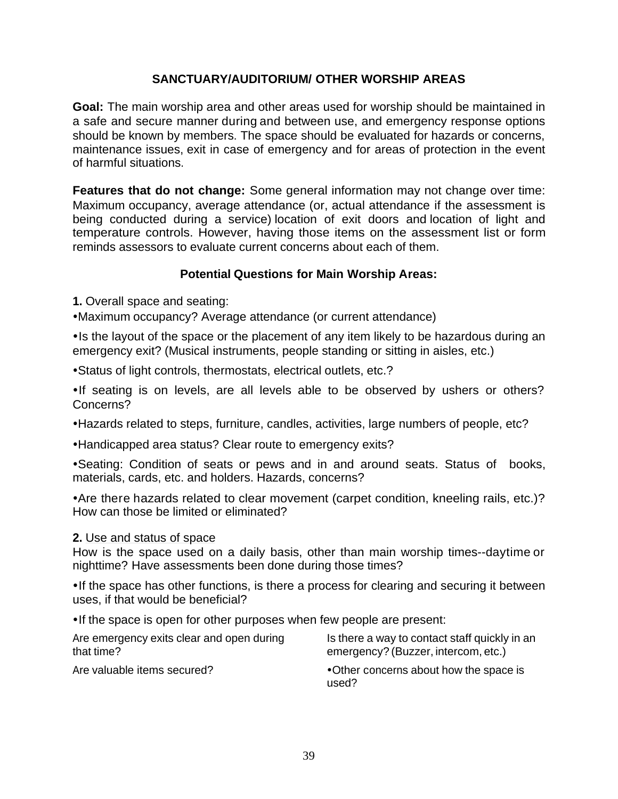# **SANCTUARY/AUDITORIUM/ OTHER WORSHIP AREAS**

**Goal:** The main worship area and other areas used for worship should be maintained in a safe and secure manner during and between use, and emergency response options should be known by members. The space should be evaluated for hazards or concerns, maintenance issues, exit in case of emergency and for areas of protection in the event of harmful situations.

**Features that do not change:** Some general information may not change over time: Maximum occupancy, average attendance (or, actual attendance if the assessment is being conducted during a service) location of exit doors and location of light and temperature controls. However, having those items on the assessment list or form reminds assessors to evaluate current concerns about each of them.

# **Potential Questions for Main Worship Areas:**

**1.** Overall space and seating:

• Maximum occupancy? Average attendance (or current attendance)

• Is the layout of the space or the placement of any item likely to be hazardous during an emergency exit? (Musical instruments, people standing or sitting in aisles, etc.)

• Status of light controls, thermostats, electrical outlets, etc.?

•If seating is on levels, are all levels able to be observed by ushers or others? Concerns?

• Hazards related to steps, furniture, candles, activities, large numbers of people, etc?

• Handicapped area status? Clear route to emergency exits?

• Seating: Condition of seats or pews and in and around seats. Status of books, materials, cards, etc. and holders. Hazards, concerns?

• Are there hazards related to clear movement (carpet condition, kneeling rails, etc.)? How can those be limited or eliminated?

#### **2.** Use and status of space

How is the space used on a daily basis, other than main worship times--daytime or nighttime? Have assessments been done during those times?

• If the space has other functions, is there a process for clearing and securing it between uses, if that would be beneficial?

• If the space is open for other purposes when few people are present:

| Are emergency exits clear and open during | Is there a way to contact staff quickly in an   |
|-------------------------------------------|-------------------------------------------------|
| that time?                                | emergency? (Buzzer, intercom, etc.)             |
| Are valuable items secured?               | •Other concerns about how the space is<br>used? |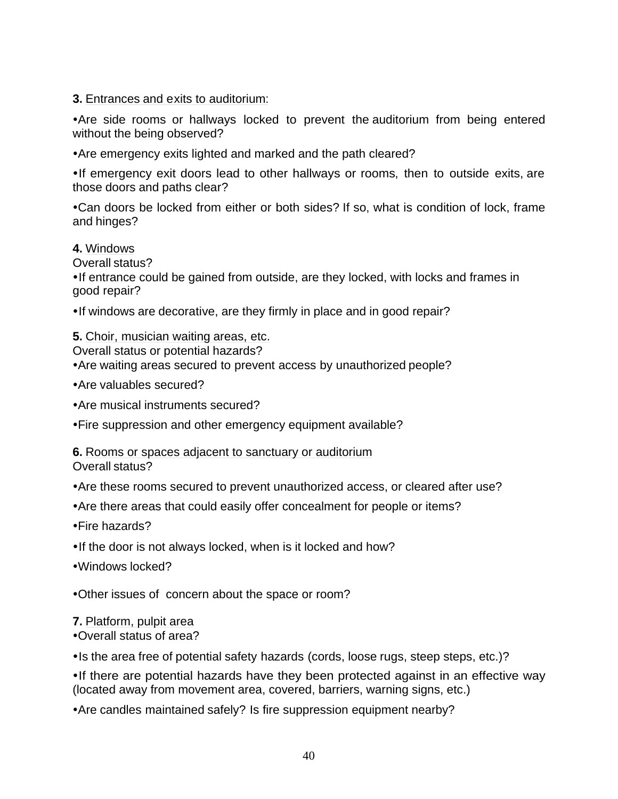#### **3.** Entrances and exits to auditorium:

• Are side rooms or hallways locked to prevent the auditorium from being entered without the being observed?

• Are emergency exits lighted and marked and the path cleared?

• If emergency exit doors lead to other hallways or rooms, then to outside exits, are those doors and paths clear?

• Can doors be locked from either or both sides? If so, what is condition of lock, frame and hinges?

#### **4.** Windows

Overall status?

• If entrance could be gained from outside, are they locked, with locks and frames in good repair?

• If windows are decorative, are they firmly in place and in good repair?

#### **5.** Choir, musician waiting areas, etc.

Overall status or potential hazards?

• Are waiting areas secured to prevent access by unauthorized people?

- Are valuables secured?
- Are musical instruments secured?

• Fire suppression and other emergency equipment available?

**6.** Rooms or spaces adjacent to sanctuary or auditorium Overall status?

• Are these rooms secured to prevent unauthorized access, or cleared after use?

- Are there areas that could easily offer concealment for people or items?
- $\cdot$ Fire hazards?
- . If the door is not always locked, when is it locked and how?
- Windows locked?

• Other issues of concern about the space or room?

#### **7.** Platform, pulpit area

•Overall status of area?

• Is the area free of potential safety hazards (cords, loose rugs, steep steps, etc.)?

• If there are potential hazards have they been protected against in an effective way (located away from movement area, covered, barriers, warning signs, etc.)

• Are candles maintained safely? Is fire suppression equipment nearby?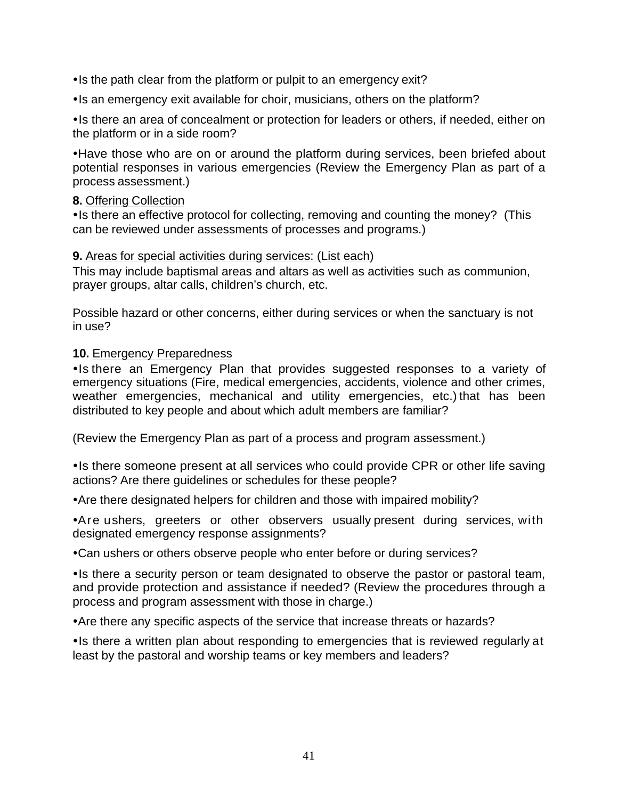• Is the path clear from the platform or pulpit to an emergency exit?

• Is an emergency exit available for choir, musicians, others on the platform?

• Is there an area of concealment or protection for leaders or others, if needed, either on the platform or in a side room?

• Have those who are on or around the platform during services, been briefed about potential responses in various emergencies (Review the Emergency Plan as part of a process assessment.)

#### **8.** Offering Collection

• Is there an effective protocol for collecting, removing and counting the money? (This can be reviewed under assessments of processes and programs.)

#### **9.** Areas for special activities during services: (List each)

This may include baptismal areas and altars as well as activities such as communion, prayer groups, altar calls, children's church, etc.

Possible hazard or other concerns, either during services or when the sanctuary is not in use?

#### **10.** Emergency Preparedness

• Is there an Emergency Plan that provides suggested responses to a variety of emergency situations (Fire, medical emergencies, accidents, violence and other crimes, weather emergencies, mechanical and utility emergencies, etc.) that has been distributed to key people and about which adult members are familiar?

(Review the Emergency Plan as part of a process and program assessment.)

• Is there someone present at all services who could provide CPR or other life saving actions? Are there guidelines or schedules for these people?

• Are there designated helpers for children and those with impaired mobility?

• Are ushers, greeters or other observers usually present during services, with designated emergency response assignments?

• Can ushers or others observe people who enter before or during services?

• Is there a security person or team designated to observe the pastor or pastoral team, and provide protection and assistance if needed? (Review the procedures through a process and program assessment with those in charge.)

• Are there any specific aspects of the service that increase threats or hazards?

• Is there a written plan about responding to emergencies that is reviewed regularly at least by the pastoral and worship teams or key members and leaders?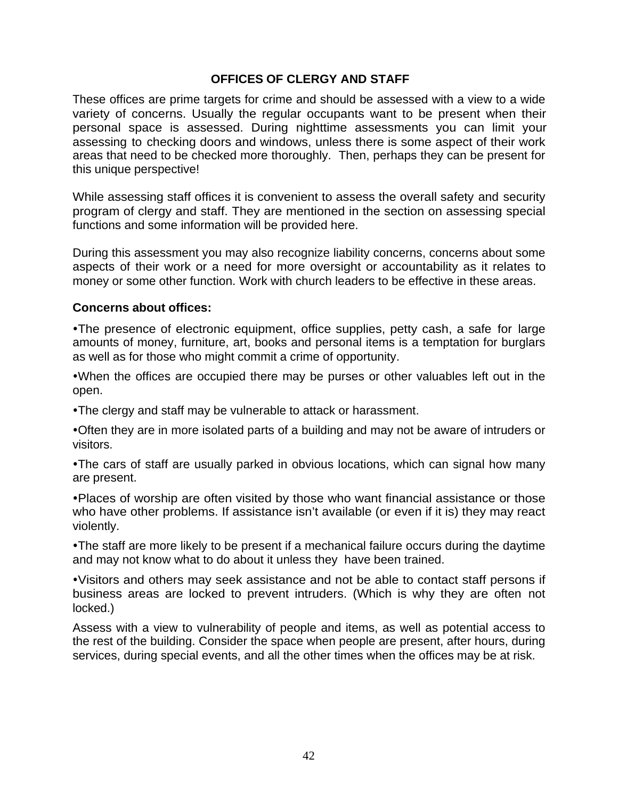#### **OFFICES OF CLERGY AND STAFF**

These offices are prime targets for crime and should be assessed with a view to a wide variety of concerns. Usually the regular occupants want to be present when their personal space is assessed. During nighttime assessments you can limit your assessing to checking doors and windows, unless there is some aspect of their work areas that need to be checked more thoroughly. Then, perhaps they can be present for this unique perspective!

While assessing staff offices it is convenient to assess the overall safety and security program of clergy and staff. They are mentioned in the section on assessing special functions and some information will be provided here.

During this assessment you may also recognize liability concerns, concerns about some aspects of their work or a need for more oversight or accountability as it relates to money or some other function. Work with church leaders to be effective in these areas.

#### **Concerns about offices:**

•The presence of electronic equipment, office supplies, petty cash, a safe for large amounts of money, furniture, art, books and personal items is a temptation for burglars as well as for those who might commit a crime of opportunity.

•When the offices are occupied there may be purses or other valuables left out in the open.

• The clergy and staff may be vulnerable to attack or harassment.

•Often they are in more isolated parts of a building and may not be aware of intruders or visitors.

• The cars of staff are usually parked in obvious locations, which can signal how many are present.

• Places of worship are often visited by those who want financial assistance or those who have other problems. If assistance isn't available (or even if it is) they may react violently.

• The staff are more likely to be present if a mechanical failure occurs during the daytime and may not know what to do about it unless they have been trained.

ŸVisitors and others may seek assistance and not be able to contact staff persons if business areas are locked to prevent intruders. (Which is why they are often not locked.)

Assess with a view to vulnerability of people and items, as well as potential access to the rest of the building. Consider the space when people are present, after hours, during services, during special events, and all the other times when the offices may be at risk.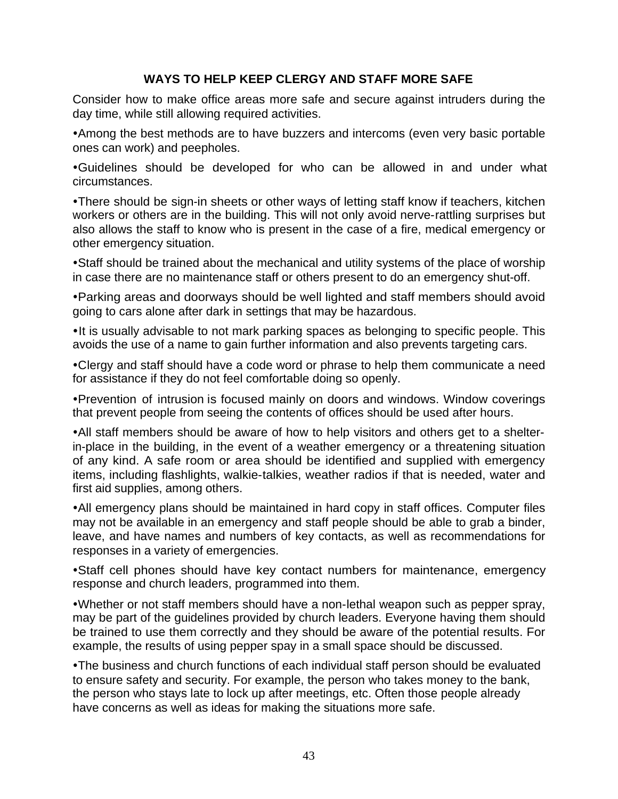### **WAYS TO HELP KEEP CLERGY AND STAFF MORE SAFE**

Consider how to make office areas more safe and secure against intruders during the day time, while still allowing required activities.

• Among the best methods are to have buzzers and intercoms (even very basic portable ones can work) and peepholes.

ŸGuidelines should be developed for who can be allowed in and under what circumstances.

• There should be sign-in sheets or other ways of letting staff know if teachers, kitchen workers or others are in the building. This will not only avoid nerve-rattling surprises but also allows the staff to know who is present in the case of a fire, medical emergency or other emergency situation.

• Staff should be trained about the mechanical and utility systems of the place of worship in case there are no maintenance staff or others present to do an emergency shut-off.

• Parking areas and doorways should be well lighted and staff members should avoid going to cars alone after dark in settings that may be hazardous.

• It is usually advisable to not mark parking spaces as belonging to specific people. This avoids the use of a name to gain further information and also prevents targeting cars.

• Clergy and staff should have a code word or phrase to help them communicate a need for assistance if they do not feel comfortable doing so openly.

• Prevention of intrusion is focused mainly on doors and windows. Window coverings that prevent people from seeing the contents of offices should be used after hours.

• All staff members should be aware of how to help visitors and others get to a shelterin-place in the building, in the event of a weather emergency or a threatening situation of any kind. A safe room or area should be identified and supplied with emergency items, including flashlights, walkie-talkies, weather radios if that is needed, water and first aid supplies, among others.

• All emergency plans should be maintained in hard copy in staff offices. Computer files may not be available in an emergency and staff people should be able to grab a binder, leave, and have names and numbers of key contacts, as well as recommendations for responses in a variety of emergencies.

• Staff cell phones should have key contact numbers for maintenance, emergency response and church leaders, programmed into them.

•Whether or not staff members should have a non-lethal weapon such as pepper spray, may be part of the guidelines provided by church leaders. Everyone having them should be trained to use them correctly and they should be aware of the potential results. For example, the results of using pepper spay in a small space should be discussed.

• The business and church functions of each individual staff person should be evaluated to ensure safety and security. For example, the person who takes money to the bank, the person who stays late to lock up after meetings, etc. Often those people already have concerns as well as ideas for making the situations more safe.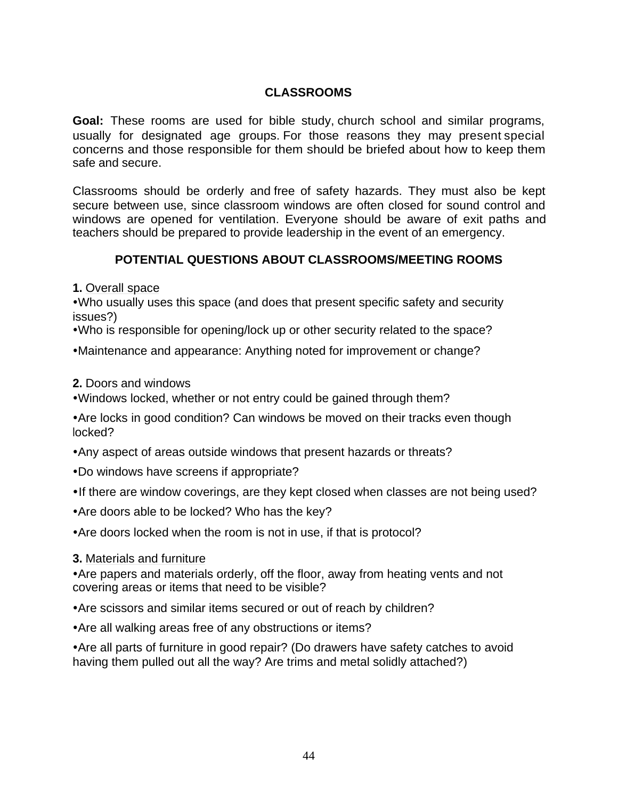# **CLASSROOMS**

**Goal:** These rooms are used for bible study, church school and similar programs, usually for designated age groups. For those reasons they may present special concerns and those responsible for them should be briefed about how to keep them safe and secure.

Classrooms should be orderly and free of safety hazards. They must also be kept secure between use, since classroom windows are often closed for sound control and windows are opened for ventilation. Everyone should be aware of exit paths and teachers should be prepared to provide leadership in the event of an emergency.

# **POTENTIAL QUESTIONS ABOUT CLASSROOMS/MEETING ROOMS**

**1.** Overall space

• Who usually uses this space (and does that present specific safety and security issues?)

• Who is responsible for opening/lock up or other security related to the space?

• Maintenance and appearance: Anything noted for improvement or change?

**2.** Doors and windows

. Windows locked, whether or not entry could be gained through them?

• Are locks in good condition? Can windows be moved on their tracks even though locked?

- Any aspect of areas outside windows that present hazards or threats?
- Do windows have screens if appropriate?
- If there are window coverings, are they kept closed when classes are not being used?
- Are doors able to be locked? Who has the key?

• Are doors locked when the room is not in use, if that is protocol?

**3.** Materials and furniture

• Are papers and materials orderly, off the floor, away from heating vents and not covering areas or items that need to be visible?

• Are scissors and similar items secured or out of reach by children?

• Are all walking areas free of any obstructions or items?

• Are all parts of furniture in good repair? (Do drawers have safety catches to avoid having them pulled out all the way? Are trims and metal solidly attached?)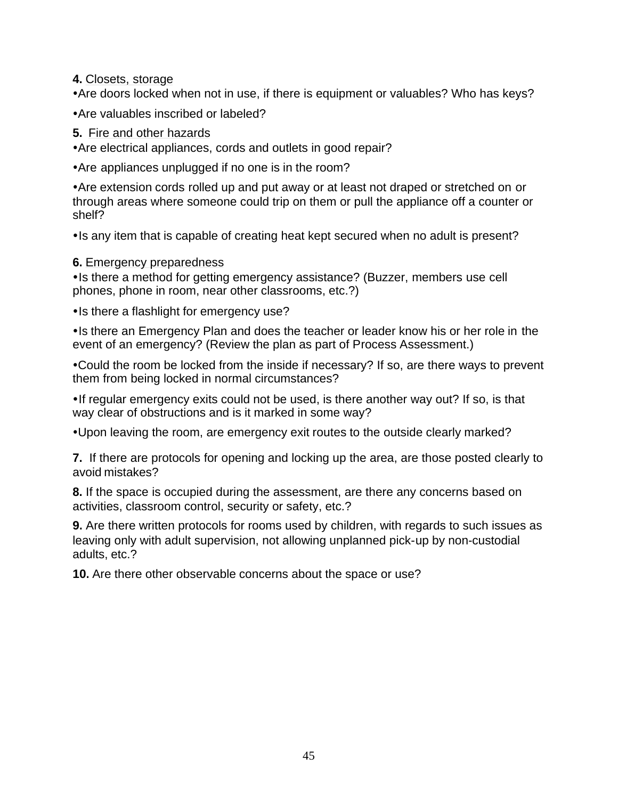**4.** Closets, storage

• Are doors locked when not in use, if there is equipment or valuables? Who has keys?

• Are valuables inscribed or labeled?

# **5.** Fire and other hazards

• Are electrical appliances, cords and outlets in good repair?

• Are appliances unplugged if no one is in the room?

• Are extension cords rolled up and put away or at least not draped or stretched on or through areas where someone could trip on them or pull the appliance off a counter or shelf?

• Is any item that is capable of creating heat kept secured when no adult is present?

# **6.** Emergency preparedness

• Is there a method for getting emergency assistance? (Buzzer, members use cell phones, phone in room, near other classrooms, etc.?)

• Is there a flashlight for emergency use?

• Is there an Emergency Plan and does the teacher or leader know his or her role in the event of an emergency? (Review the plan as part of Process Assessment.)

• Could the room be locked from the inside if necessary? If so, are there ways to prevent them from being locked in normal circumstances?

• If regular emergency exits could not be used, is there another way out? If so, is that way clear of obstructions and is it marked in some way?

• Upon leaving the room, are emergency exit routes to the outside clearly marked?

**7.** If there are protocols for opening and locking up the area, are those posted clearly to avoid mistakes?

**8.** If the space is occupied during the assessment, are there any concerns based on activities, classroom control, security or safety, etc.?

**9.** Are there written protocols for rooms used by children, with regards to such issues as leaving only with adult supervision, not allowing unplanned pick-up by non-custodial adults, etc.?

**10.** Are there other observable concerns about the space or use?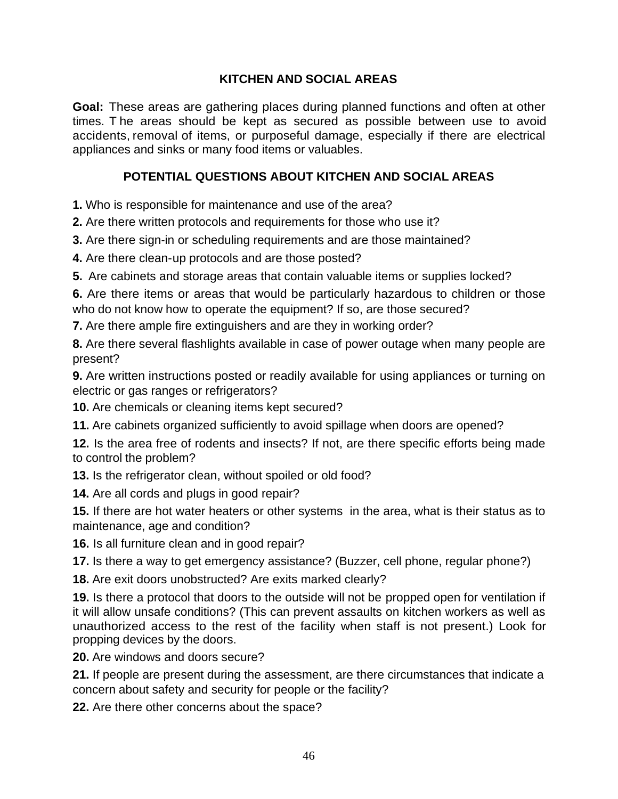# **KITCHEN AND SOCIAL AREAS**

**Goal:** These areas are gathering places during planned functions and often at other times. T he areas should be kept as secured as possible between use to avoid accidents, removal of items, or purposeful damage, especially if there are electrical appliances and sinks or many food items or valuables.

# **POTENTIAL QUESTIONS ABOUT KITCHEN AND SOCIAL AREAS**

**1.** Who is responsible for maintenance and use of the area?

**2.** Are there written protocols and requirements for those who use it?

**3.** Are there sign-in or scheduling requirements and are those maintained?

**4.** Are there clean-up protocols and are those posted?

**5.** Are cabinets and storage areas that contain valuable items or supplies locked?

**6.** Are there items or areas that would be particularly hazardous to children or those who do not know how to operate the equipment? If so, are those secured?

**7.** Are there ample fire extinguishers and are they in working order?

**8.** Are there several flashlights available in case of power outage when many people are present?

**9.** Are written instructions posted or readily available for using appliances or turning on electric or gas ranges or refrigerators?

**10.** Are chemicals or cleaning items kept secured?

**11.** Are cabinets organized sufficiently to avoid spillage when doors are opened?

**12.** Is the area free of rodents and insects? If not, are there specific efforts being made to control the problem?

**13.** Is the refrigerator clean, without spoiled or old food?

**14.** Are all cords and plugs in good repair?

**15.** If there are hot water heaters or other systems in the area, what is their status as to maintenance, age and condition?

**16.** Is all furniture clean and in good repair?

**17.** Is there a way to get emergency assistance? (Buzzer, cell phone, regular phone?)

**18.** Are exit doors unobstructed? Are exits marked clearly?

**19.** Is there a protocol that doors to the outside will not be propped open for ventilation if it will allow unsafe conditions? (This can prevent assaults on kitchen workers as well as unauthorized access to the rest of the facility when staff is not present.) Look for propping devices by the doors.

**20.** Are windows and doors secure?

**21.** If people are present during the assessment, are there circumstances that indicate a concern about safety and security for people or the facility?

**22.** Are there other concerns about the space?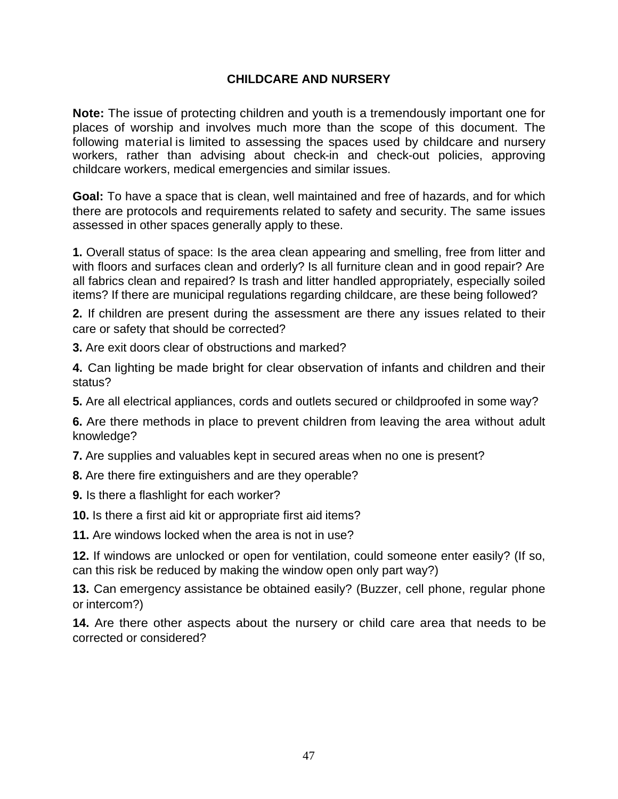# **CHILDCARE AND NURSERY**

**Note:** The issue of protecting children and youth is a tremendously important one for places of worship and involves much more than the scope of this document. The following material is limited to assessing the spaces used by childcare and nursery workers, rather than advising about check-in and check-out policies, approving childcare workers, medical emergencies and similar issues.

**Goal:** To have a space that is clean, well maintained and free of hazards, and for which there are protocols and requirements related to safety and security. The same issues assessed in other spaces generally apply to these.

**1.** Overall status of space: Is the area clean appearing and smelling, free from litter and with floors and surfaces clean and orderly? Is all furniture clean and in good repair? Are all fabrics clean and repaired? Is trash and litter handled appropriately, especially soiled items? If there are municipal regulations regarding childcare, are these being followed?

**2.** If children are present during the assessment are there any issues related to their care or safety that should be corrected?

**3.** Are exit doors clear of obstructions and marked?

**4.** Can lighting be made bright for clear observation of infants and children and their status?

**5.** Are all electrical appliances, cords and outlets secured or childproofed in some way?

**6.** Are there methods in place to prevent children from leaving the area without adult knowledge?

**7.** Are supplies and valuables kept in secured areas when no one is present?

- **8.** Are there fire extinguishers and are they operable?
- **9.** Is there a flashlight for each worker?
- **10.** Is there a first aid kit or appropriate first aid items?

**11.** Are windows locked when the area is not in use?

**12.** If windows are unlocked or open for ventilation, could someone enter easily? (If so, can this risk be reduced by making the window open only part way?)

**13.** Can emergency assistance be obtained easily? (Buzzer, cell phone, regular phone or intercom?)

**14.** Are there other aspects about the nursery or child care area that needs to be corrected or considered?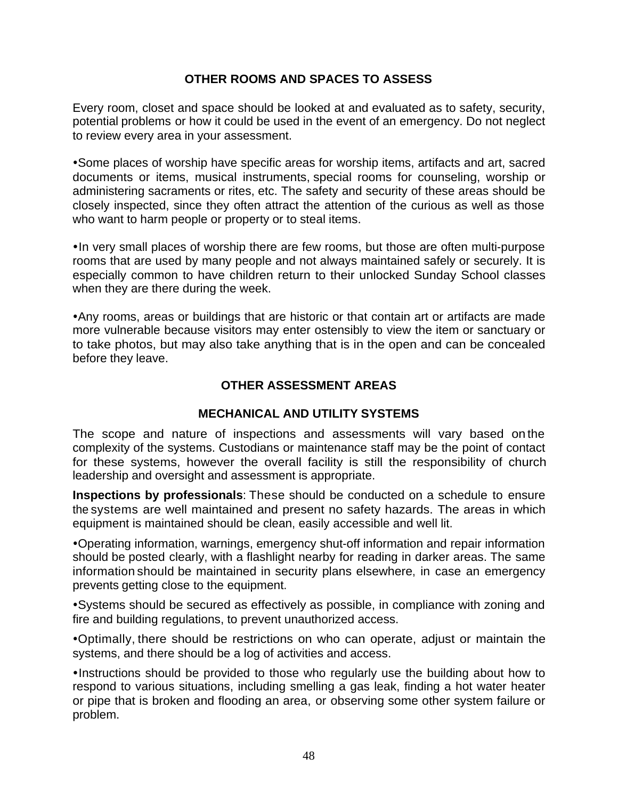### **OTHER ROOMS AND SPACES TO ASSESS**

Every room, closet and space should be looked at and evaluated as to safety, security, potential problems or how it could be used in the event of an emergency. Do not neglect to review every area in your assessment.

• Some places of worship have specific areas for worship items, artifacts and art, sacred documents or items, musical instruments, special rooms for counseling, worship or administering sacraments or rites, etc. The safety and security of these areas should be closely inspected, since they often attract the attention of the curious as well as those who want to harm people or property or to steal items.

• In very small places of worship there are few rooms, but those are often multi-purpose rooms that are used by many people and not always maintained safely or securely. It is especially common to have children return to their unlocked Sunday School classes when they are there during the week.

• Any rooms, areas or buildings that are historic or that contain art or artifacts are made more vulnerable because visitors may enter ostensibly to view the item or sanctuary or to take photos, but may also take anything that is in the open and can be concealed before they leave.

# **OTHER ASSESSMENT AREAS**

# **MECHANICAL AND UTILITY SYSTEMS**

The scope and nature of inspections and assessments will vary based on the complexity of the systems. Custodians or maintenance staff may be the point of contact for these systems, however the overall facility is still the responsibility of church leadership and oversight and assessment is appropriate.

**Inspections by professionals**: These should be conducted on a schedule to ensure the systems are well maintained and present no safety hazards. The areas in which equipment is maintained should be clean, easily accessible and well lit.

•Operating information, warnings, emergency shut-off information and repair information should be posted clearly, with a flashlight nearby for reading in darker areas. The same information should be maintained in security plans elsewhere, in case an emergency prevents getting close to the equipment.

• Systems should be secured as effectively as possible, in compliance with zoning and fire and building regulations, to prevent unauthorized access.

•Optimally, there should be restrictions on who can operate, adjust or maintain the systems, and there should be a log of activities and access.

• Instructions should be provided to those who regularly use the building about how to respond to various situations, including smelling a gas leak, finding a hot water heater or pipe that is broken and flooding an area, or observing some other system failure or problem.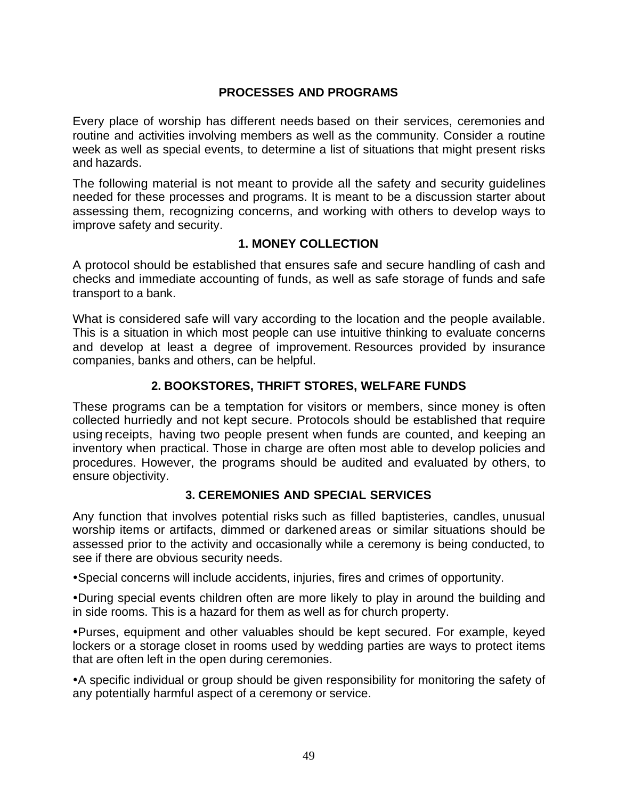# **PROCESSES AND PROGRAMS**

Every place of worship has different needs based on their services, ceremonies and routine and activities involving members as well as the community. Consider a routine week as well as special events, to determine a list of situations that might present risks and hazards.

The following material is not meant to provide all the safety and security guidelines needed for these processes and programs. It is meant to be a discussion starter about assessing them, recognizing concerns, and working with others to develop ways to improve safety and security.

#### **1. MONEY COLLECTION**

A protocol should be established that ensures safe and secure handling of cash and checks and immediate accounting of funds, as well as safe storage of funds and safe transport to a bank.

What is considered safe will vary according to the location and the people available. This is a situation in which most people can use intuitive thinking to evaluate concerns and develop at least a degree of improvement. Resources provided by insurance companies, banks and others, can be helpful.

### **2. BOOKSTORES, THRIFT STORES, WELFARE FUNDS**

These programs can be a temptation for visitors or members, since money is often collected hurriedly and not kept secure. Protocols should be established that require using receipts, having two people present when funds are counted, and keeping an inventory when practical. Those in charge are often most able to develop policies and procedures. However, the programs should be audited and evaluated by others, to ensure objectivity.

#### **3. CEREMONIES AND SPECIAL SERVICES**

Any function that involves potential risks such as filled baptisteries, candles, unusual worship items or artifacts, dimmed or darkened areas or similar situations should be assessed prior to the activity and occasionally while a ceremony is being conducted, to see if there are obvious security needs.

• Special concerns will include accidents, injuries, fires and crimes of opportunity.

•During special events children often are more likely to play in around the building and in side rooms. This is a hazard for them as well as for church property.

ŸPurses, equipment and other valuables should be kept secured. For example, keyed lockers or a storage closet in rooms used by wedding parties are ways to protect items that are often left in the open during ceremonies.

• A specific individual or group should be given responsibility for monitoring the safety of any potentially harmful aspect of a ceremony or service.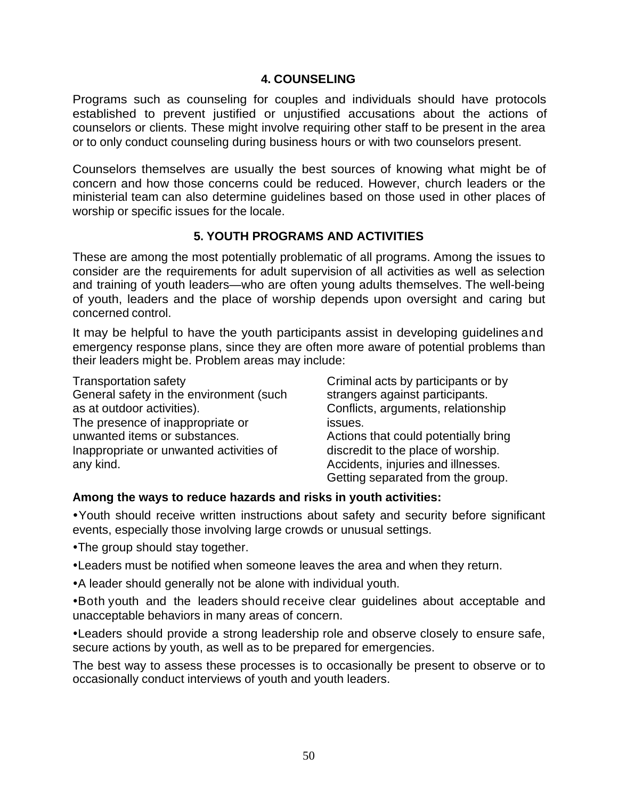#### **4. COUNSELING**

Programs such as counseling for couples and individuals should have protocols established to prevent justified or unjustified accusations about the actions of counselors or clients. These might involve requiring other staff to be present in the area or to only conduct counseling during business hours or with two counselors present.

Counselors themselves are usually the best sources of knowing what might be of concern and how those concerns could be reduced. However, church leaders or the ministerial team can also determine guidelines based on those used in other places of worship or specific issues for the locale.

### **5. YOUTH PROGRAMS AND ACTIVITIES**

These are among the most potentially problematic of all programs. Among the issues to consider are the requirements for adult supervision of all activities as well as selection and training of youth leaders—who are often young adults themselves. The well-being of youth, leaders and the place of worship depends upon oversight and caring but concerned control.

It may be helpful to have the youth participants assist in developing guidelines and emergency response plans, since they are often more aware of potential problems than their leaders might be. Problem areas may include:

Transportation safety General safety in the environment (such as at outdoor activities). The presence of inappropriate or unwanted items or substances. Inappropriate or unwanted activities of any kind. Criminal acts by participants or by strangers against participants. Conflicts, arguments, relationship issues. Actions that could potentially bring discredit to the place of worship. Accidents, injuries and illnesses. Getting separated from the group.

# **Among the ways to reduce hazards and risks in youth activities:**

ŸYouth should receive written instructions about safety and security before significant events, especially those involving large crowds or unusual settings.

- The group should stay together.
- Leaders must be notified when someone leaves the area and when they return.
- A leader should generally not be alone with individual youth.

•Both youth and the leaders should receive clear guidelines about acceptable and unacceptable behaviors in many areas of concern.

• Leaders should provide a strong leadership role and observe closely to ensure safe, secure actions by youth, as well as to be prepared for emergencies.

The best way to assess these processes is to occasionally be present to observe or to occasionally conduct interviews of youth and youth leaders.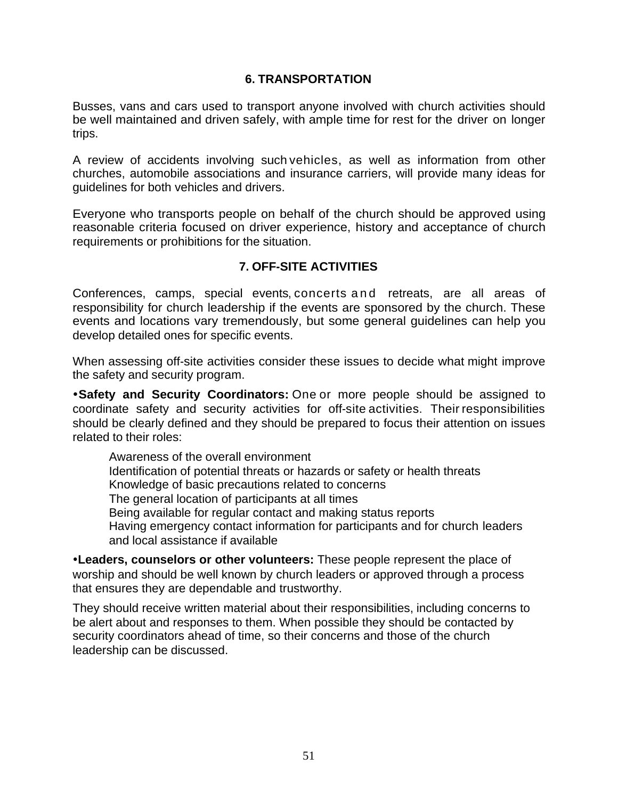#### **6. TRANSPORTATION**

Busses, vans and cars used to transport anyone involved with church activities should be well maintained and driven safely, with ample time for rest for the driver on longer trips.

A review of accidents involving such vehicles, as well as information from other churches, automobile associations and insurance carriers, will provide many ideas for guidelines for both vehicles and drivers.

Everyone who transports people on behalf of the church should be approved using reasonable criteria focused on driver experience, history and acceptance of church requirements or prohibitions for the situation.

### **7. OFF-SITE ACTIVITIES**

Conferences, camps, special events, concerts and retreats, are all areas of responsibility for church leadership if the events are sponsored by the church. These events and locations vary tremendously, but some general guidelines can help you develop detailed ones for specific events.

When assessing off-site activities consider these issues to decide what might improve the safety and security program.

**•Safety and Security Coordinators:** One or more people should be assigned to coordinate safety and security activities for off-site activities. Their responsibilities should be clearly defined and they should be prepared to focus their attention on issues related to their roles:

Awareness of the overall environment Identification of potential threats or hazards or safety or health threats Knowledge of basic precautions related to concerns The general location of participants at all times Being available for regular contact and making status reports Having emergency contact information for participants and for church leaders and local assistance if available

**•Leaders, counselors or other volunteers:** These people represent the place of worship and should be well known by church leaders or approved through a process that ensures they are dependable and trustworthy.

They should receive written material about their responsibilities, including concerns to be alert about and responses to them. When possible they should be contacted by security coordinators ahead of time, so their concerns and those of the church leadership can be discussed.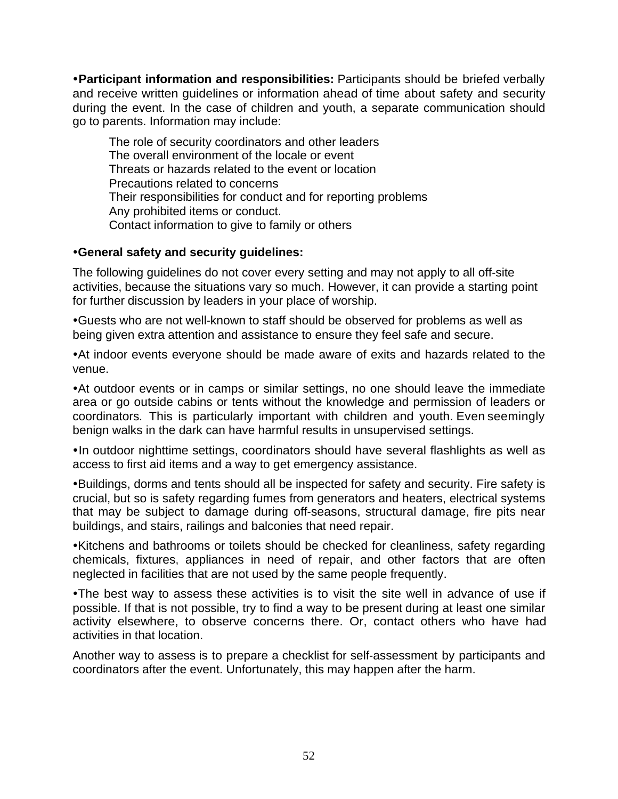**ŸParticipant information and responsibilities:** Participants should be briefed verbally and receive written guidelines or information ahead of time about safety and security during the event. In the case of children and youth, a separate communication should go to parents. Information may include:

The role of security coordinators and other leaders The overall environment of the locale or event Threats or hazards related to the event or location Precautions related to concerns Their responsibilities for conduct and for reporting problems Any prohibited items or conduct. Contact information to give to family or others

### **•General safety and security guidelines:**

The following guidelines do not cover every setting and may not apply to all off-site activities, because the situations vary so much. However, it can provide a starting point for further discussion by leaders in your place of worship.

•Guests who are not well-known to staff should be observed for problems as well as being given extra attention and assistance to ensure they feel safe and secure.

• At indoor events everyone should be made aware of exits and hazards related to the venue.

• At outdoor events or in camps or similar settings, no one should leave the immediate area or go outside cabins or tents without the knowledge and permission of leaders or coordinators. This is particularly important with children and youth. Even seemingly benign walks in the dark can have harmful results in unsupervised settings.

• In outdoor nighttime settings, coordinators should have several flashlights as well as access to first aid items and a way to get emergency assistance.

•Buildings, dorms and tents should all be inspected for safety and security. Fire safety is crucial, but so is safety regarding fumes from generators and heaters, electrical systems that may be subject to damage during off-seasons, structural damage, fire pits near buildings, and stairs, railings and balconies that need repair.

• Kitchens and bathrooms or toilets should be checked for cleanliness, safety regarding chemicals, fixtures, appliances in need of repair, and other factors that are often neglected in facilities that are not used by the same people frequently.

. The best way to assess these activities is to visit the site well in advance of use if possible. If that is not possible, try to find a way to be present during at least one similar activity elsewhere, to observe concerns there. Or, contact others who have had activities in that location.

Another way to assess is to prepare a checklist for self-assessment by participants and coordinators after the event. Unfortunately, this may happen after the harm.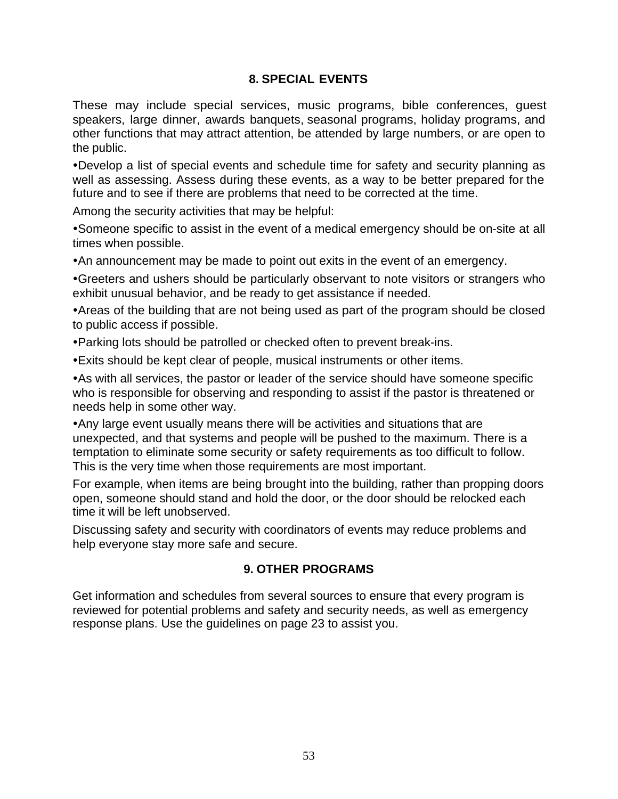# **8. SPECIAL EVENTS**

These may include special services, music programs, bible conferences, guest speakers, large dinner, awards banquets, seasonal programs, holiday programs, and other functions that may attract attention, be attended by large numbers, or are open to the public.

•Develop a list of special events and schedule time for safety and security planning as well as assessing. Assess during these events, as a way to be better prepared for the future and to see if there are problems that need to be corrected at the time.

Among the security activities that may be helpful:

• Someone specific to assist in the event of a medical emergency should be on-site at all times when possible.

• An announcement may be made to point out exits in the event of an emergency.

• Greeters and ushers should be particularly observant to note visitors or strangers who exhibit unusual behavior, and be ready to get assistance if needed.

• Areas of the building that are not being used as part of the program should be closed to public access if possible.

• Parking lots should be patrolled or checked often to prevent break-ins.

• Exits should be kept clear of people, musical instruments or other items.

• As with all services, the pastor or leader of the service should have someone specific who is responsible for observing and responding to assist if the pastor is threatened or needs help in some other way.

• Any large event usually means there will be activities and situations that are unexpected, and that systems and people will be pushed to the maximum. There is a temptation to eliminate some security or safety requirements as too difficult to follow. This is the very time when those requirements are most important.

For example, when items are being brought into the building, rather than propping doors open, someone should stand and hold the door, or the door should be relocked each time it will be left unobserved.

Discussing safety and security with coordinators of events may reduce problems and help everyone stay more safe and secure.

#### **9. OTHER PROGRAMS**

Get information and schedules from several sources to ensure that every program is reviewed for potential problems and safety and security needs, as well as emergency response plans. Use the guidelines on page 23 to assist you.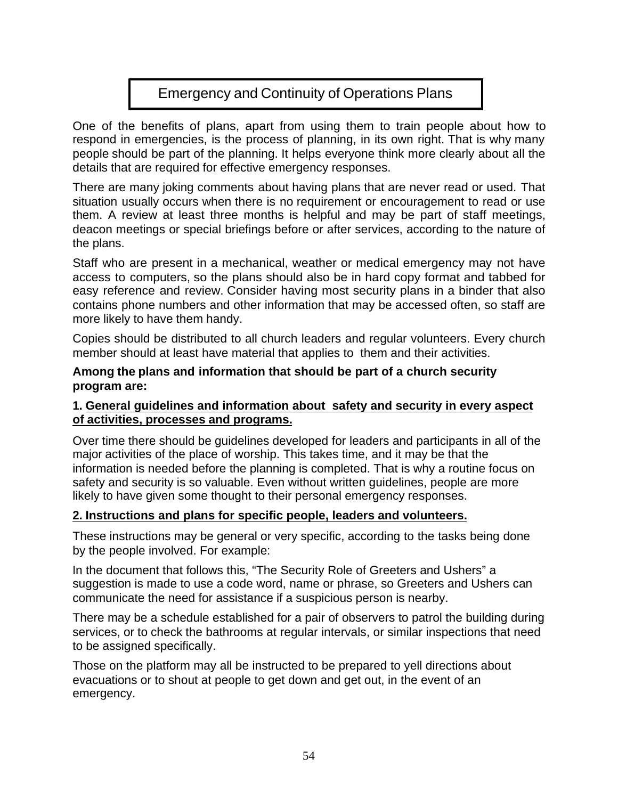# Emergency and Continuity of Operations Plans

One of the benefits of plans, apart from using them to train people about how to respond in emergencies, is the process of planning, in its own right. That is why many people should be part of the planning. It helps everyone think more clearly about all the details that are required for effective emergency responses.

There are many joking comments about having plans that are never read or used. That situation usually occurs when there is no requirement or encouragement to read or use them. A review at least three months is helpful and may be part of staff meetings, deacon meetings or special briefings before or after services, according to the nature of the plans.

Staff who are present in a mechanical, weather or medical emergency may not have access to computers, so the plans should also be in hard copy format and tabbed for easy reference and review. Consider having most security plans in a binder that also contains phone numbers and other information that may be accessed often, so staff are more likely to have them handy.

Copies should be distributed to all church leaders and regular volunteers. Every church member should at least have material that applies to them and their activities.

**Among the plans and information that should be part of a church security program are:** 

#### **1. General guidelines and information about safety and security in every aspect of activities, processes and programs.**

Over time there should be guidelines developed for leaders and participants in all of the major activities of the place of worship. This takes time, and it may be that the information is needed before the planning is completed. That is why a routine focus on safety and security is so valuable. Even without written guidelines, people are more likely to have given some thought to their personal emergency responses.

#### **2. Instructions and plans for specific people, leaders and volunteers.**

These instructions may be general or very specific, according to the tasks being done by the people involved. For example:

In the document that follows this, "The Security Role of Greeters and Ushers" a suggestion is made to use a code word, name or phrase, so Greeters and Ushers can communicate the need for assistance if a suspicious person is nearby.

There may be a schedule established for a pair of observers to patrol the building during services, or to check the bathrooms at regular intervals, or similar inspections that need to be assigned specifically.

Those on the platform may all be instructed to be prepared to yell directions about evacuations or to shout at people to get down and get out, in the event of an emergency.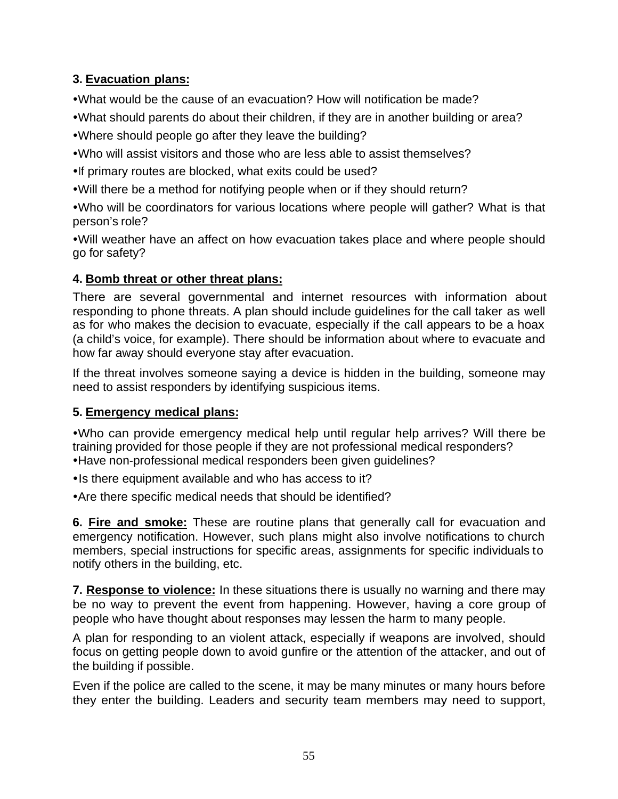# **3. Evacuation plans:**

. What would be the cause of an evacuation? How will notification be made?

- •What should parents do about their children, if they are in another building or area?
- Where should people go after they leave the building?
- Who will assist visitors and those who are less able to assist themselves?
- If primary routes are blocked, what exits could be used?
- Will there be a method for notifying people when or if they should return?

• Who will be coordinators for various locations where people will gather? What is that person's role?

•Will weather have an affect on how evacuation takes place and where people should go for safety?

# **4. Bomb threat or other threat plans:**

There are several governmental and internet resources with information about responding to phone threats. A plan should include guidelines for the call taker as well as for who makes the decision to evacuate, especially if the call appears to be a hoax (a child's voice, for example). There should be information about where to evacuate and how far away should everyone stay after evacuation.

If the threat involves someone saying a device is hidden in the building, someone may need to assist responders by identifying suspicious items.

# **5. Emergency medical plans:**

ŸWho can provide emergency medical help until regular help arrives? Will there be training provided for those people if they are not professional medical responders? • Have non-professional medical responders been given guidelines?

- Is there equipment available and who has access to it?
- Are there specific medical needs that should be identified?

**6. Fire and smoke:** These are routine plans that generally call for evacuation and emergency notification. However, such plans might also involve notifications to church members, special instructions for specific areas, assignments for specific individuals to notify others in the building, etc.

**7. Response to violence:** In these situations there is usually no warning and there may be no way to prevent the event from happening. However, having a core group of people who have thought about responses may lessen the harm to many people.

A plan for responding to an violent attack, especially if weapons are involved, should focus on getting people down to avoid gunfire or the attention of the attacker, and out of the building if possible.

Even if the police are called to the scene, it may be many minutes or many hours before they enter the building. Leaders and security team members may need to support,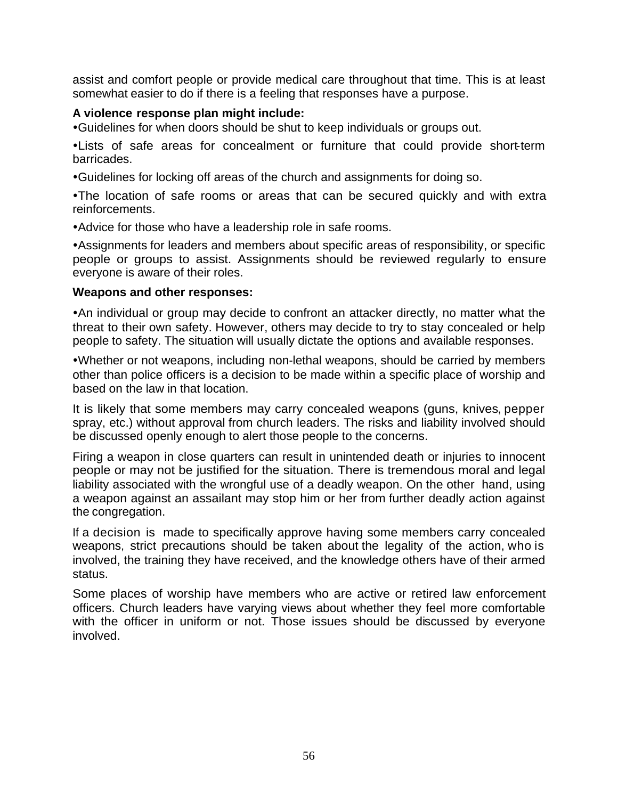assist and comfort people or provide medical care throughout that time. This is at least somewhat easier to do if there is a feeling that responses have a purpose.

#### **A violence response plan might include:**

ŸGuidelines for when doors should be shut to keep individuals or groups out.

• Lists of safe areas for concealment or furniture that could provide short-term barricades.

ŸGuidelines for locking off areas of the church and assignments for doing so.

•The location of safe rooms or areas that can be secured quickly and with extra reinforcements.

• Advice for those who have a leadership role in safe rooms.

• Assignments for leaders and members about specific areas of responsibility, or specific people or groups to assist. Assignments should be reviewed regularly to ensure everyone is aware of their roles.

#### **Weapons and other responses:**

• An individual or group may decide to confront an attacker directly, no matter what the threat to their own safety. However, others may decide to try to stay concealed or help people to safety. The situation will usually dictate the options and available responses.

• Whether or not weapons, including non-lethal weapons, should be carried by members other than police officers is a decision to be made within a specific place of worship and based on the law in that location.

It is likely that some members may carry concealed weapons (guns, knives, pepper spray, etc.) without approval from church leaders. The risks and liability involved should be discussed openly enough to alert those people to the concerns.

Firing a weapon in close quarters can result in unintended death or injuries to innocent people or may not be justified for the situation. There is tremendous moral and legal liability associated with the wrongful use of a deadly weapon. On the other hand, using a weapon against an assailant may stop him or her from further deadly action against the congregation.

If a decision is made to specifically approve having some members carry concealed weapons, strict precautions should be taken about the legality of the action, who is involved, the training they have received, and the knowledge others have of their armed status.

Some places of worship have members who are active or retired law enforcement officers. Church leaders have varying views about whether they feel more comfortable with the officer in uniform or not. Those issues should be discussed by everyone involved.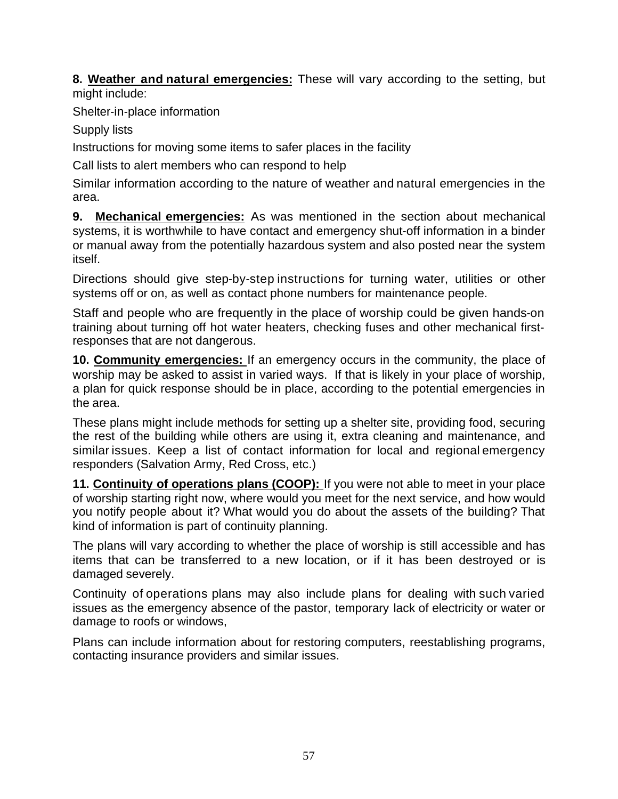**8. Weather and natural emergencies:** These will vary according to the setting, but might include:

Shelter-in-place information

Supply lists

Instructions for moving some items to safer places in the facility

Call lists to alert members who can respond to help

Similar information according to the nature of weather and natural emergencies in the area.

**9. Mechanical emergencies:** As was mentioned in the section about mechanical systems, it is worthwhile to have contact and emergency shut-off information in a binder or manual away from the potentially hazardous system and also posted near the system itself.

Directions should give step-by-step instructions for turning water, utilities or other systems off or on, as well as contact phone numbers for maintenance people.

Staff and people who are frequently in the place of worship could be given hands-on training about turning off hot water heaters, checking fuses and other mechanical firstresponses that are not dangerous.

**10. Community emergencies:** If an emergency occurs in the community, the place of worship may be asked to assist in varied ways. If that is likely in your place of worship, a plan for quick response should be in place, according to the potential emergencies in the area.

These plans might include methods for setting up a shelter site, providing food, securing the rest of the building while others are using it, extra cleaning and maintenance, and similar issues. Keep a list of contact information for local and regional emergency responders (Salvation Army, Red Cross, etc.)

**11. Continuity of operations plans (COOP):** If you were not able to meet in your place of worship starting right now, where would you meet for the next service, and how would you notify people about it? What would you do about the assets of the building? That kind of information is part of continuity planning.

The plans will vary according to whether the place of worship is still accessible and has items that can be transferred to a new location, or if it has been destroyed or is damaged severely.

Continuity of operations plans may also include plans for dealing with such varied issues as the emergency absence of the pastor, temporary lack of electricity or water or damage to roofs or windows,

Plans can include information about for restoring computers, reestablishing programs, contacting insurance providers and similar issues.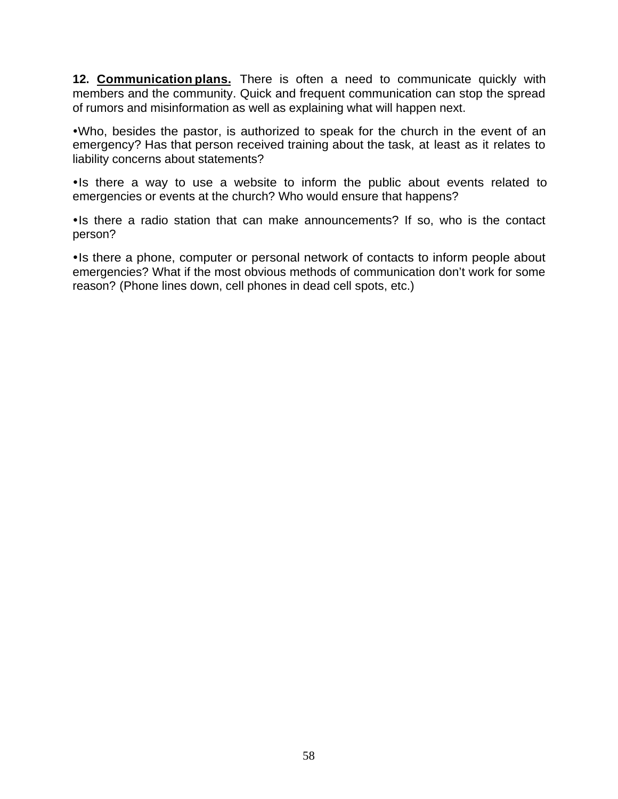**12. Communication plans.** There is often a need to communicate quickly with members and the community. Quick and frequent communication can stop the spread of rumors and misinformation as well as explaining what will happen next.

.Who, besides the pastor, is authorized to speak for the church in the event of an emergency? Has that person received training about the task, at least as it relates to liability concerns about statements?

•Is there a way to use a website to inform the public about events related to emergencies or events at the church? Who would ensure that happens?

• Is there a radio station that can make announcements? If so, who is the contact person?

• Is there a phone, computer or personal network of contacts to inform people about emergencies? What if the most obvious methods of communication don't work for some reason? (Phone lines down, cell phones in dead cell spots, etc.)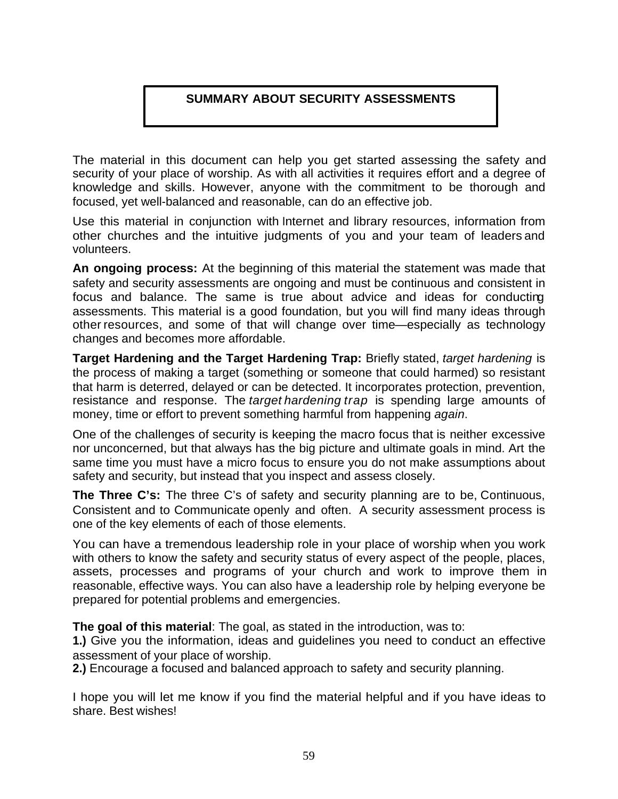# **SUMMARY ABOUT SECURITY ASSESSMENTS**

The material in this document can help you get started assessing the safety and security of your place of worship. As with all activities it requires effort and a degree of knowledge and skills. However, anyone with the commitment to be thorough and focused, yet well-balanced and reasonable, can do an effective job.

Use this material in conjunction with Internet and library resources, information from other churches and the intuitive judgments of you and your team of leaders and volunteers.

**An ongoing process:** At the beginning of this material the statement was made that safety and security assessments are ongoing and must be continuous and consistent in focus and balance. The same is true about advice and ideas for conducting assessments. This material is a good foundation, but you will find many ideas through other resources, and some of that will change over time—especially as technology changes and becomes more affordable.

**Target Hardening and the Target Hardening Trap:** Briefly stated, *target hardening* is the process of making a target (something or someone that could harmed) so resistant that harm is deterred, delayed or can be detected. It incorporates protection, prevention, resistance and response. The *target hardening trap* is spending large amounts of money, time or effort to prevent something harmful from happening *again*.

One of the challenges of security is keeping the macro focus that is neither excessive nor unconcerned, but that always has the big picture and ultimate goals in mind. Art the same time you must have a micro focus to ensure you do not make assumptions about safety and security, but instead that you inspect and assess closely.

**The Three C's:** The three C's of safety and security planning are to be, Continuous, Consistent and to Communicate openly and often. A security assessment process is one of the key elements of each of those elements.

You can have a tremendous leadership role in your place of worship when you work with others to know the safety and security status of every aspect of the people, places, assets, processes and programs of your church and work to improve them in reasonable, effective ways. You can also have a leadership role by helping everyone be prepared for potential problems and emergencies.

**The goal of this material**: The goal, as stated in the introduction, was to:

**1.)** Give you the information, ideas and guidelines you need to conduct an effective assessment of your place of worship.

**2.)** Encourage a focused and balanced approach to safety and security planning.

I hope you will let me know if you find the material helpful and if you have ideas to share. Best wishes!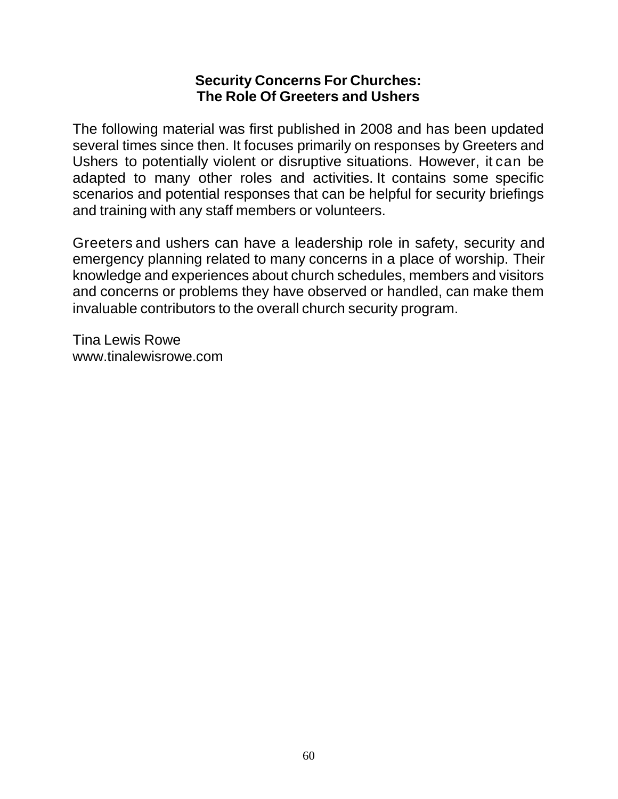# **Security Concerns For Churches: The Role Of Greeters and Ushers**

The following material was first published in 2008 and has been updated several times since then. It focuses primarily on responses by Greeters and Ushers to potentially violent or disruptive situations. However, it can be adapted to many other roles and activities. It contains some specific scenarios and potential responses that can be helpful for security briefings and training with any staff members or volunteers.

Greeters and ushers can have a leadership role in safety, security and emergency planning related to many concerns in a place of worship. Their knowledge and experiences about church schedules, members and visitors and concerns or problems they have observed or handled, can make them invaluable contributors to the overall church security program.

Tina Lewis Rowe www.tinalewisrowe.com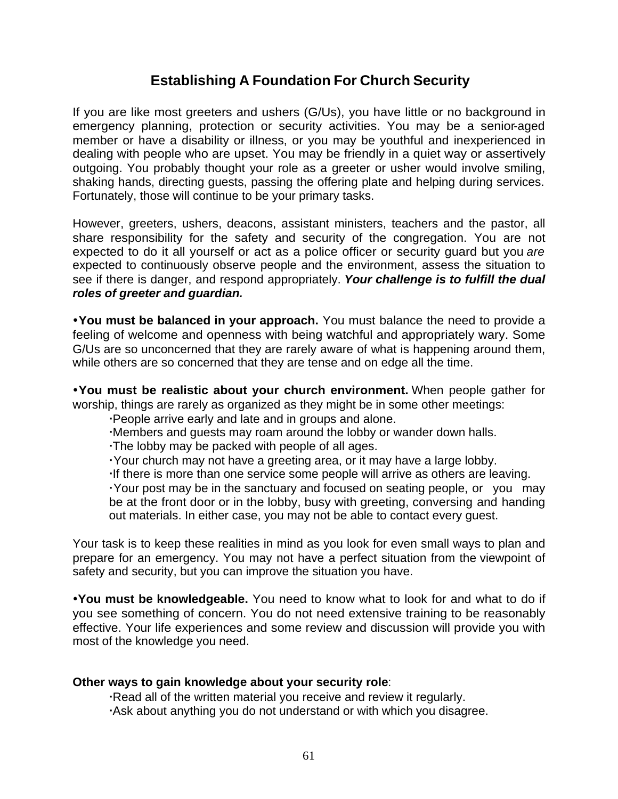# **Establishing A Foundation For Church Security**

If you are like most greeters and ushers (G/Us), you have little or no background in emergency planning, protection or security activities. You may be a senior-aged member or have a disability or illness, or you may be youthful and inexperienced in dealing with people who are upset. You may be friendly in a quiet way or assertively outgoing. You probably thought your role as a greeter or usher would involve smiling, shaking hands, directing guests, passing the offering plate and helping during services. Fortunately, those will continue to be your primary tasks.

However, greeters, ushers, deacons, assistant ministers, teachers and the pastor, all share responsibility for the safety and security of the congregation. You are not expected to do it all yourself or act as a police officer or security guard but you *are*  expected to continuously observe people and the environment, assess the situation to see if there is danger, and respond appropriately. *Your challenge is to fulfill the dual roles of greeter and guardian.*

**ŸYou must be balanced in your approach.** You must balance the need to provide a feeling of welcome and openness with being watchful and appropriately wary. Some G/Us are so unconcerned that they are rarely aware of what is happening around them, while others are so concerned that they are tense and on edge all the time.

**ŸYou must be realistic about your church environment.** When people gather for worship, things are rarely as organized as they might be in some other meetings:

People arrive early and late and in groups and alone.

Members and guests may roam around the lobby or wander down halls.

The lobby may be packed with people of all ages.

Your church may not have a greeting area, or it may have a large lobby.

If there is more than one service some people will arrive as others are leaving.

 Your post may be in the sanctuary and focused on seating people, or you may be at the front door or in the lobby, busy with greeting, conversing and handing out materials. In either case, you may not be able to contact every guest.

Your task is to keep these realities in mind as you look for even small ways to plan and prepare for an emergency. You may not have a perfect situation from the viewpoint of safety and security, but you can improve the situation you have.

Ÿ**You must be knowledgeable.** You need to know what to look for and what to do if you see something of concern. You do not need extensive training to be reasonably effective. Your life experiences and some review and discussion will provide you with most of the knowledge you need.

#### **Other ways to gain knowledge about your security role**:

 Read all of the written material you receive and review it regularly. Ask about anything you do not understand or with which you disagree.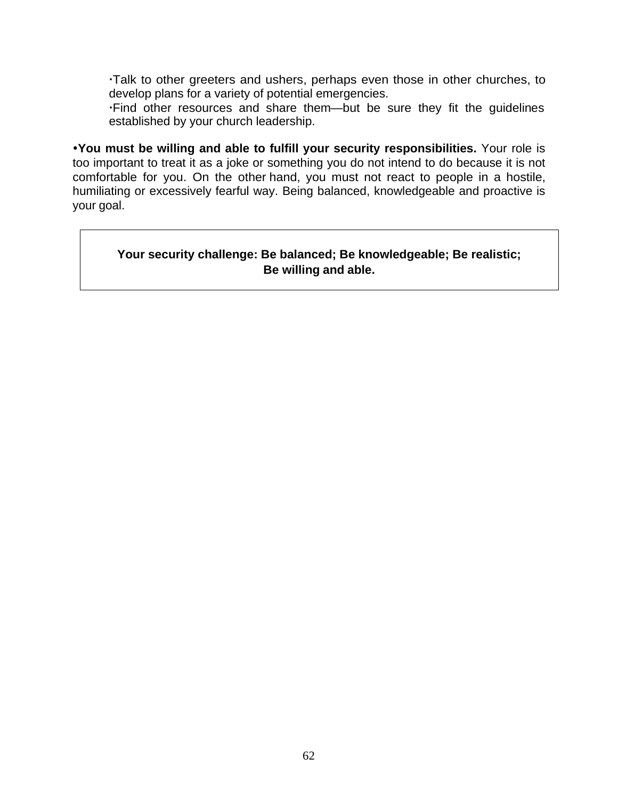Talk to other greeters and ushers, perhaps even those in other churches, to develop plans for a variety of potential emergencies.

 Find other resources and share them—but be sure they fit the guidelines established by your church leadership.

Ÿ**You must be willing and able to fulfill your security responsibilities.** Your role is too important to treat it as a joke or something you do not intend to do because it is not comfortable for you. On the other hand, you must not react to people in a hostile, humiliating or excessively fearful way. Being balanced, knowledgeable and proactive is your goal.

### **Your security challenge: Be balanced; Be knowledgeable; Be realistic; Be willing and able.**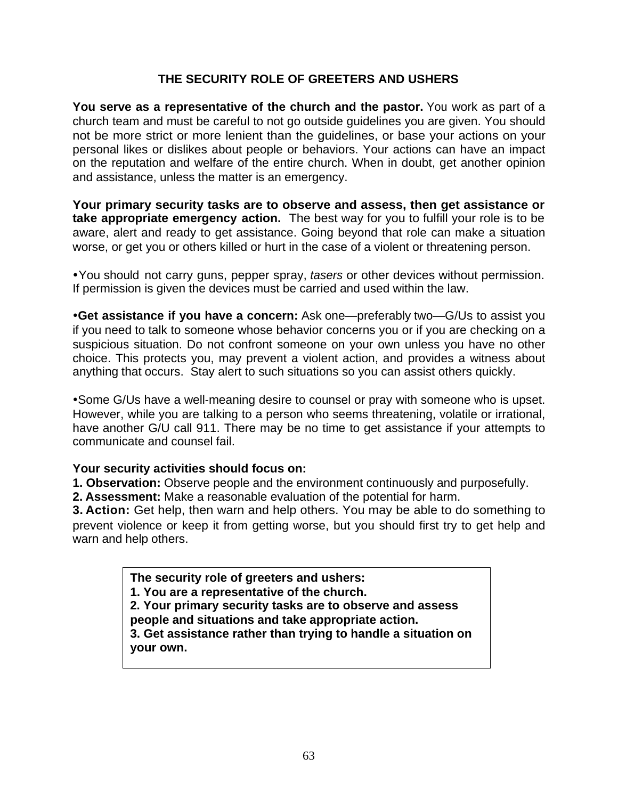# **THE SECURITY ROLE OF GREETERS AND USHERS**

**You serve as a representative of the church and the pastor.** You work as part of a church team and must be careful to not go outside guidelines you are given. You should not be more strict or more lenient than the guidelines, or base your actions on your personal likes or dislikes about people or behaviors. Your actions can have an impact on the reputation and welfare of the entire church. When in doubt, get another opinion and assistance, unless the matter is an emergency.

**Your primary security tasks are to observe and assess, then get assistance or take appropriate emergency action.** The best way for you to fulfill your role is to be aware, alert and ready to get assistance. Going beyond that role can make a situation worse, or get you or others killed or hurt in the case of a violent or threatening person.

ŸYou should not carry guns, pepper spray, *tasers* or other devices without permission. If permission is given the devices must be carried and used within the law.

**•Get assistance if you have a concern:** Ask one—preferably two—G/Us to assist you if you need to talk to someone whose behavior concerns you or if you are checking on a suspicious situation. Do not confront someone on your own unless you have no other choice. This protects you, may prevent a violent action, and provides a witness about anything that occurs. Stay alert to such situations so you can assist others quickly.

• Some G/Us have a well-meaning desire to counsel or pray with someone who is upset. However, while you are talking to a person who seems threatening, volatile or irrational, have another G/U call 911. There may be no time to get assistance if your attempts to communicate and counsel fail.

#### **Your security activities should focus on:**

**1. Observation:** Observe people and the environment continuously and purposefully.

**2. Assessment:** Make a reasonable evaluation of the potential for harm.

**3. Action:** Get help, then warn and help others. You may be able to do something to prevent violence or keep it from getting worse, but you should first try to get help and warn and help others.

> **The security role of greeters and ushers: 1. You are a representative of the church. 2. Your primary security tasks are to observe and assess people and situations and take appropriate action. 3. Get assistance rather than trying to handle a situation on your own.**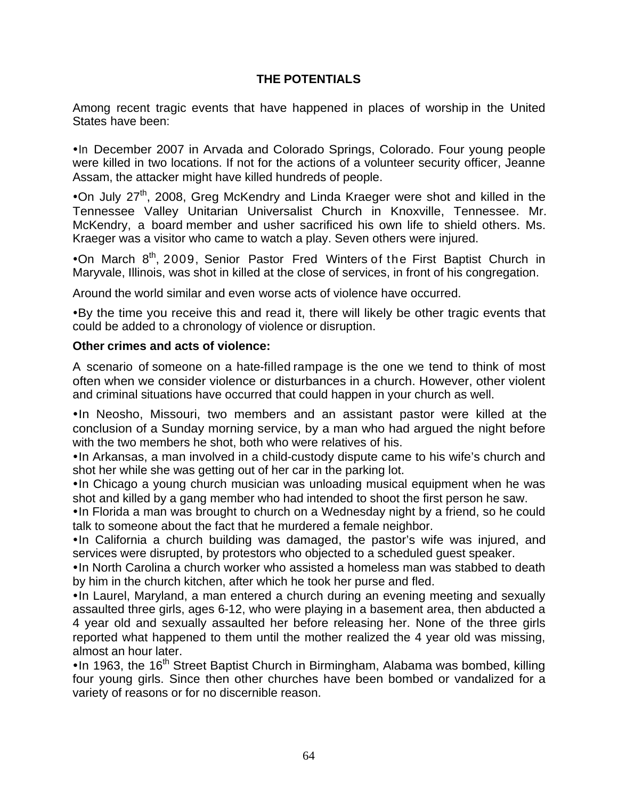# **THE POTENTIALS**

Among recent tragic events that have happened in places of worship in the United States have been:

• In December 2007 in Arvada and Colorado Springs, Colorado. Four young people were killed in two locations. If not for the actions of a volunteer security officer, Jeanne Assam, the attacker might have killed hundreds of people.

•On July  $27<sup>th</sup>$ , 2008, Greg McKendry and Linda Kraeger were shot and killed in the Tennessee Valley Unitarian Universalist Church in Knoxville, Tennessee. Mr. McKendry, a board member and usher sacrificed his own life to shield others. Ms. Kraeger was a visitor who came to watch a play. Seven others were injured.

•On March  $8<sup>th</sup>$ , 2009, Senior Pastor Fred Winters of the First Baptist Church in Maryvale, Illinois, was shot in killed at the close of services, in front of his congregation.

Around the world similar and even worse acts of violence have occurred.

•By the time you receive this and read it, there will likely be other tragic events that could be added to a chronology of violence or disruption.

#### **Other crimes and acts of violence:**

A scenario of someone on a hate-filled rampage is the one we tend to think of most often when we consider violence or disturbances in a church. However, other violent and criminal situations have occurred that could happen in your church as well.

•In Neosho, Missouri, two members and an assistant pastor were killed at the conclusion of a Sunday morning service, by a man who had argued the night before with the two members he shot, both who were relatives of his.

• In Arkansas, a man involved in a child-custody dispute came to his wife's church and shot her while she was getting out of her car in the parking lot.

• In Chicago a young church musician was unloading musical equipment when he was shot and killed by a gang member who had intended to shoot the first person he saw.

• In Florida a man was brought to church on a Wednesday night by a friend, so he could talk to someone about the fact that he murdered a female neighbor.

•In California a church building was damaged, the pastor's wife was injured, and services were disrupted, by protestors who objected to a scheduled guest speaker.

• In North Carolina a church worker who assisted a homeless man was stabbed to death by him in the church kitchen, after which he took her purse and fled.

• In Laurel, Maryland, a man entered a church during an evening meeting and sexually assaulted three girls, ages 6-12, who were playing in a basement area, then abducted a 4 year old and sexually assaulted her before releasing her. None of the three girls reported what happened to them until the mother realized the 4 year old was missing, almost an hour later.

 $\cdot$  In 1963, the 16<sup>th</sup> Street Baptist Church in Birmingham, Alabama was bombed, killing four young girls. Since then other churches have been bombed or vandalized for a variety of reasons or for no discernible reason.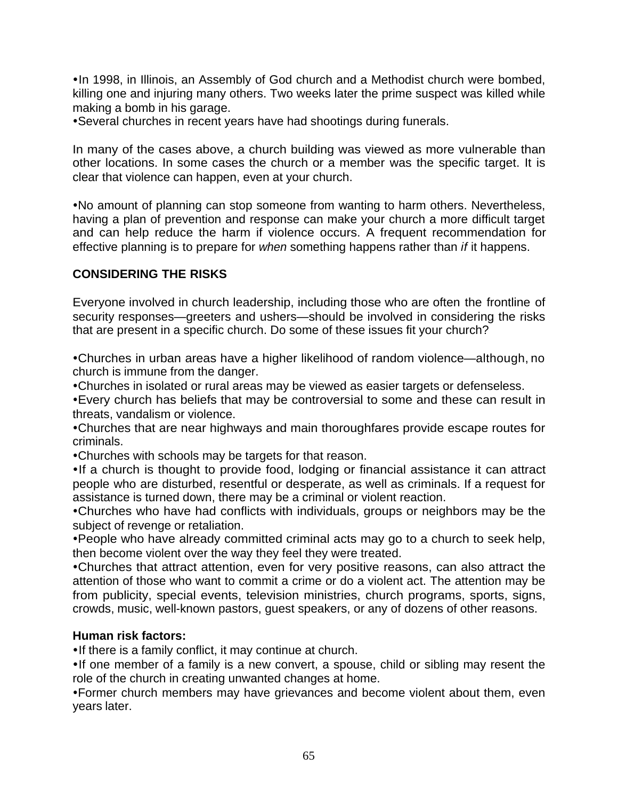• In 1998, in Illinois, an Assembly of God church and a Methodist church were bombed, killing one and injuring many others. Two weeks later the prime suspect was killed while making a bomb in his garage.

• Several churches in recent years have had shootings during funerals.

In many of the cases above, a church building was viewed as more vulnerable than other locations. In some cases the church or a member was the specific target. It is clear that violence can happen, even at your church.

• No amount of planning can stop someone from wanting to harm others. Nevertheless, having a plan of prevention and response can make your church a more difficult target and can help reduce the harm if violence occurs. A frequent recommendation for effective planning is to prepare for *when* something happens rather than *if* it happens.

# **CONSIDERING THE RISKS**

Everyone involved in church leadership, including those who are often the frontline of security responses—greeters and ushers—should be involved in considering the risks that are present in a specific church. Do some of these issues fit your church?

• Churches in urban areas have a higher likelihood of random violence—although, no church is immune from the danger.

• Churches in isolated or rural areas may be viewed as easier targets or defenseless.

• Every church has beliefs that may be controversial to some and these can result in threats, vandalism or violence.

• Churches that are near highways and main thoroughfares provide escape routes for criminals.

• Churches with schools may be targets for that reason.

• If a church is thought to provide food, lodging or financial assistance it can attract people who are disturbed, resentful or desperate, as well as criminals. If a request for assistance is turned down, there may be a criminal or violent reaction.

•Churches who have had conflicts with individuals, groups or neighbors may be the subject of revenge or retaliation.

• People who have already committed criminal acts may go to a church to seek help, then become violent over the way they feel they were treated.

•Churches that attract attention, even for very positive reasons, can also attract the attention of those who want to commit a crime or do a violent act. The attention may be from publicity, special events, television ministries, church programs, sports, signs, crowds, music, well-known pastors, guest speakers, or any of dozens of other reasons.

#### **Human risk factors:**

• If there is a family conflict, it may continue at church.

•If one member of a family is a new convert, a spouse, child or sibling may resent the role of the church in creating unwanted changes at home.

• Former church members may have grievances and become violent about them, even years later.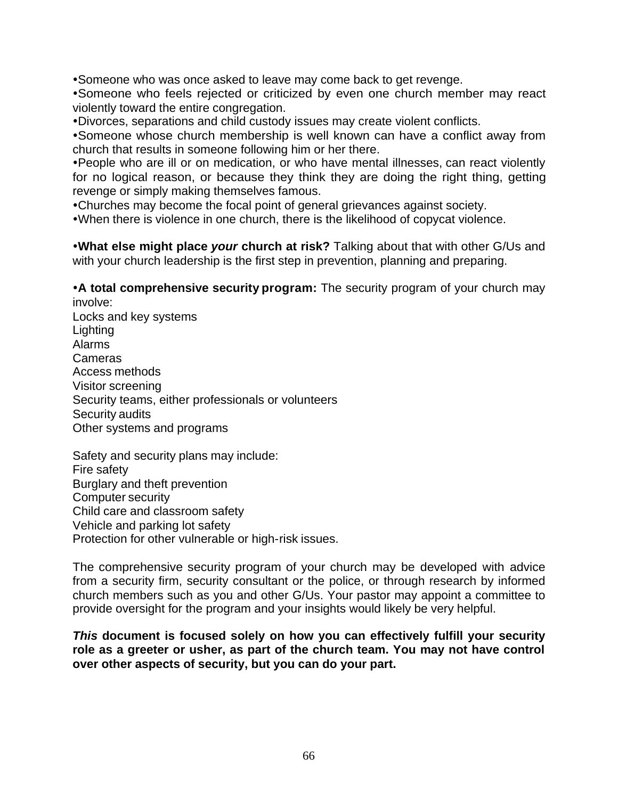• Someone who was once asked to leave may come back to get revenge.

• Someone who feels rejected or criticized by even one church member may react violently toward the entire congregation.

ŸDivorces, separations and child custody issues may create violent conflicts.

• Someone whose church membership is well known can have a conflict away from church that results in someone following him or her there.

• People who are ill or on medication, or who have mental illnesses, can react violently for no logical reason, or because they think they are doing the right thing, getting revenge or simply making themselves famous.

• Churches may become the focal point of general grievances against society.

• When there is violence in one church, there is the likelihood of copycat violence.

**•What else might place your church at risk?** Talking about that with other G/Us and with your church leadership is the first step in prevention, planning and preparing.

**A total comprehensive security program:** The security program of your church may involve:

Locks and key systems Lighting Alarms Cameras Access methods Visitor screening Security teams, either professionals or volunteers Security audits Other systems and programs

Safety and security plans may include: Fire safety Burglary and theft prevention Computer security Child care and classroom safety Vehicle and parking lot safety Protection for other vulnerable or high-risk issues.

The comprehensive security program of your church may be developed with advice from a security firm, security consultant or the police, or through research by informed church members such as you and other G/Us. Your pastor may appoint a committee to provide oversight for the program and your insights would likely be very helpful.

*This* **document is focused solely on how you can effectively fulfill your security role as a greeter or usher, as part of the church team. You may not have control over other aspects of security, but you can do your part.**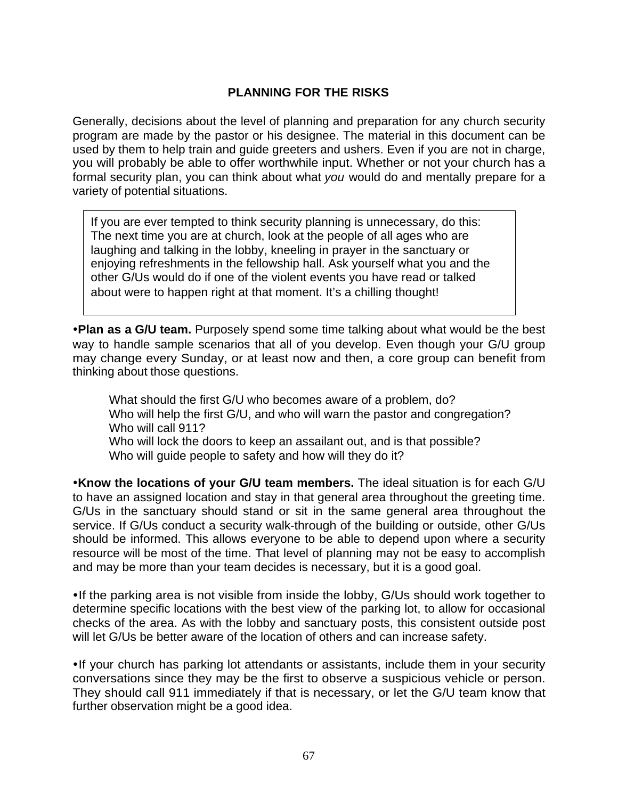### **PLANNING FOR THE RISKS**

Generally, decisions about the level of planning and preparation for any church security program are made by the pastor or his designee. The material in this document can be used by them to help train and guide greeters and ushers. Even if you are not in charge, you will probably be able to offer worthwhile input. Whether or not your church has a formal security plan, you can think about what *you* would do and mentally prepare for a variety of potential situations.

If you are ever tempted to think security planning is unnecessary, do this: The next time you are at church, look at the people of all ages who are laughing and talking in the lobby, kneeling in prayer in the sanctuary or enjoying refreshments in the fellowship hall. Ask yourself what you and the other G/Us would do if one of the violent events you have read or talked about were to happen right at that moment. It's a chilling thought!

**•Plan as a G/U team.** Purposely spend some time talking about what would be the best way to handle sample scenarios that all of you develop. Even though your G/U group may change every Sunday, or at least now and then, a core group can benefit from thinking about those questions.

What should the first G/U who becomes aware of a problem, do? Who will help the first G/U, and who will warn the pastor and congregation? Who will call 911? Who will lock the doors to keep an assailant out, and is that possible? Who will guide people to safety and how will they do it?

**Know the locations of your G/U team members.** The ideal situation is for each G/U to have an assigned location and stay in that general area throughout the greeting time. G/Us in the sanctuary should stand or sit in the same general area throughout the service. If G/Us conduct a security walk-through of the building or outside, other G/Us should be informed. This allows everyone to be able to depend upon where a security resource will be most of the time. That level of planning may not be easy to accomplish and may be more than your team decides is necessary, but it is a good goal.

• If the parking area is not visible from inside the lobby, G/Us should work together to determine specific locations with the best view of the parking lot, to allow for occasional checks of the area. As with the lobby and sanctuary posts, this consistent outside post will let G/Us be better aware of the location of others and can increase safety.

• If your church has parking lot attendants or assistants, include them in your security conversations since they may be the first to observe a suspicious vehicle or person. They should call 911 immediately if that is necessary, or let the G/U team know that further observation might be a good idea.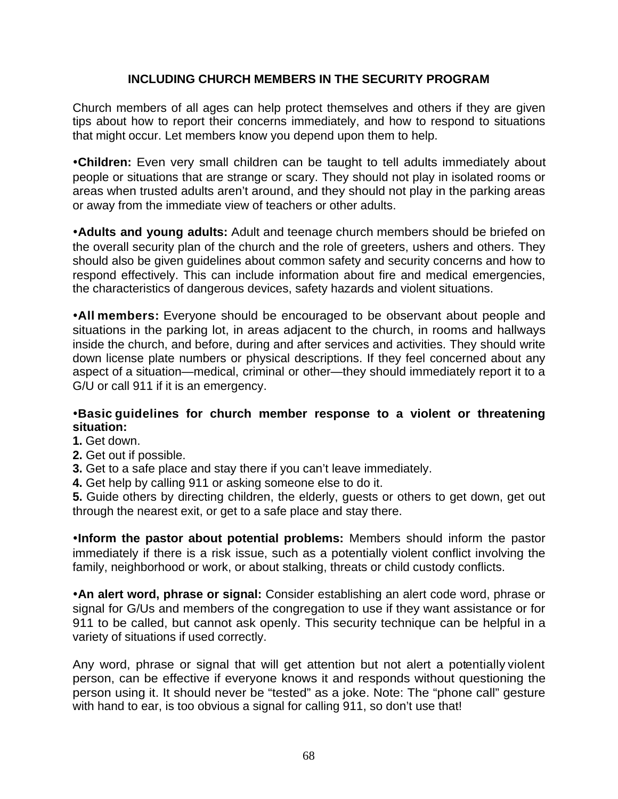### **INCLUDING CHURCH MEMBERS IN THE SECURITY PROGRAM**

Church members of all ages can help protect themselves and others if they are given tips about how to report their concerns immediately, and how to respond to situations that might occur. Let members know you depend upon them to help.

**•Children:** Even very small children can be taught to tell adults immediately about people or situations that are strange or scary. They should not play in isolated rooms or areas when trusted adults aren't around, and they should not play in the parking areas or away from the immediate view of teachers or other adults.

**•Adults and young adults:** Adult and teenage church members should be briefed on the overall security plan of the church and the role of greeters, ushers and others. They should also be given guidelines about common safety and security concerns and how to respond effectively. This can include information about fire and medical emergencies, the characteristics of dangerous devices, safety hazards and violent situations.

**.All members:** Everyone should be encouraged to be observant about people and situations in the parking lot, in areas adjacent to the church, in rooms and hallways inside the church, and before, during and after services and activities. They should write down license plate numbers or physical descriptions. If they feel concerned about any aspect of a situation—medical, criminal or other—they should immediately report it to a G/U or call 911 if it is an emergency.

#### **·Basic guidelines for church member response to a violent or threatening situation:**

- **1.** Get down.
- **2.** Get out if possible.
- **3.** Get to a safe place and stay there if you can't leave immediately.
- **4.** Get help by calling 911 or asking someone else to do it.

**5.** Guide others by directing children, the elderly, guests or others to get down, get out through the nearest exit, or get to a safe place and stay there.

**Inform the pastor about potential problems:** Members should inform the pastor immediately if there is a risk issue, such as a potentially violent conflict involving the family, neighborhood or work, or about stalking, threats or child custody conflicts.

**An alert word, phrase or signal:** Consider establishing an alert code word, phrase or signal for G/Us and members of the congregation to use if they want assistance or for 911 to be called, but cannot ask openly. This security technique can be helpful in a variety of situations if used correctly.

Any word, phrase or signal that will get attention but not alert a potentially violent person, can be effective if everyone knows it and responds without questioning the person using it. It should never be "tested" as a joke. Note: The "phone call" gesture with hand to ear, is too obvious a signal for calling 911, so don't use that!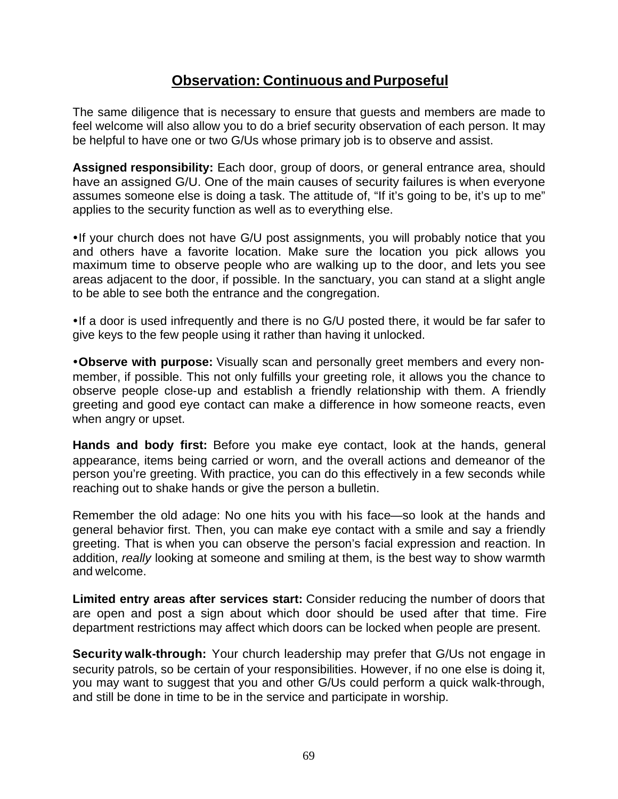# **Observation: Continuous and Purposeful**

The same diligence that is necessary to ensure that guests and members are made to feel welcome will also allow you to do a brief security observation of each person. It may be helpful to have one or two G/Us whose primary job is to observe and assist.

**Assigned responsibility:** Each door, group of doors, or general entrance area, should have an assigned G/U. One of the main causes of security failures is when everyone assumes someone else is doing a task. The attitude of, "If it's going to be, it's up to me" applies to the security function as well as to everything else.

• If your church does not have G/U post assignments, you will probably notice that you and others have a favorite location. Make sure the location you pick allows you maximum time to observe people who are walking up to the door, and lets you see areas adjacent to the door, if possible. In the sanctuary, you can stand at a slight angle to be able to see both the entrance and the congregation.

• If a door is used infrequently and there is no G/U posted there, it would be far safer to give keys to the few people using it rather than having it unlocked.

**•Observe with purpose:** Visually scan and personally greet members and every nonmember, if possible. This not only fulfills your greeting role, it allows you the chance to observe people close-up and establish a friendly relationship with them. A friendly greeting and good eye contact can make a difference in how someone reacts, even when angry or upset.

**Hands and body first:** Before you make eye contact, look at the hands, general appearance, items being carried or worn, and the overall actions and demeanor of the person you're greeting. With practice, you can do this effectively in a few seconds while reaching out to shake hands or give the person a bulletin.

Remember the old adage: No one hits you with his face—so look at the hands and general behavior first. Then, you can make eye contact with a smile and say a friendly greeting. That is when you can observe the person's facial expression and reaction. In addition, *really* looking at someone and smiling at them, is the best way to show warmth and welcome.

**Limited entry areas after services start:** Consider reducing the number of doors that are open and post a sign about which door should be used after that time. Fire department restrictions may affect which doors can be locked when people are present.

**Security walk-through:** Your church leadership may prefer that G/Us not engage in security patrols, so be certain of your responsibilities. However, if no one else is doing it, you may want to suggest that you and other G/Us could perform a quick walk-through, and still be done in time to be in the service and participate in worship.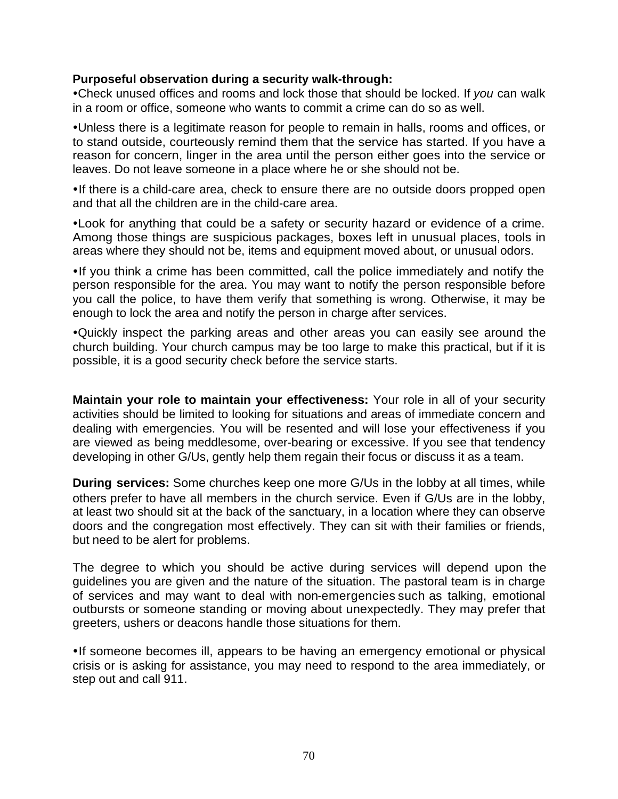#### **Purposeful observation during a security walk-through:**

• Check unused offices and rooms and lock those that should be locked. If *you* can walk in a room or office, someone who wants to commit a crime can do so as well.

• Unless there is a legitimate reason for people to remain in halls, rooms and offices, or to stand outside, courteously remind them that the service has started. If you have a reason for concern, linger in the area until the person either goes into the service or leaves. Do not leave someone in a place where he or she should not be.

• If there is a child-care area, check to ensure there are no outside doors propped open and that all the children are in the child-care area.

• Look for anything that could be a safety or security hazard or evidence of a crime. Among those things are suspicious packages, boxes left in unusual places, tools in areas where they should not be, items and equipment moved about, or unusual odors.

• If you think a crime has been committed, call the police immediately and notify the person responsible for the area. You may want to notify the person responsible before you call the police, to have them verify that something is wrong. Otherwise, it may be enough to lock the area and notify the person in charge after services.

ŸQuickly inspect the parking areas and other areas you can easily see around the church building. Your church campus may be too large to make this practical, but if it is possible, it is a good security check before the service starts.

**Maintain your role to maintain your effectiveness:** Your role in all of your security activities should be limited to looking for situations and areas of immediate concern and dealing with emergencies. You will be resented and will lose your effectiveness if you are viewed as being meddlesome, over-bearing or excessive. If you see that tendency developing in other G/Us, gently help them regain their focus or discuss it as a team.

**During services:** Some churches keep one more G/Us in the lobby at all times, while others prefer to have all members in the church service. Even if G/Us are in the lobby, at least two should sit at the back of the sanctuary, in a location where they can observe doors and the congregation most effectively. They can sit with their families or friends, but need to be alert for problems.

The degree to which you should be active during services will depend upon the guidelines you are given and the nature of the situation. The pastoral team is in charge of services and may want to deal with non-emergencies such as talking, emotional outbursts or someone standing or moving about unexpectedly. They may prefer that greeters, ushers or deacons handle those situations for them.

• If someone becomes ill, appears to be having an emergency emotional or physical crisis or is asking for assistance, you may need to respond to the area immediately, or step out and call 911.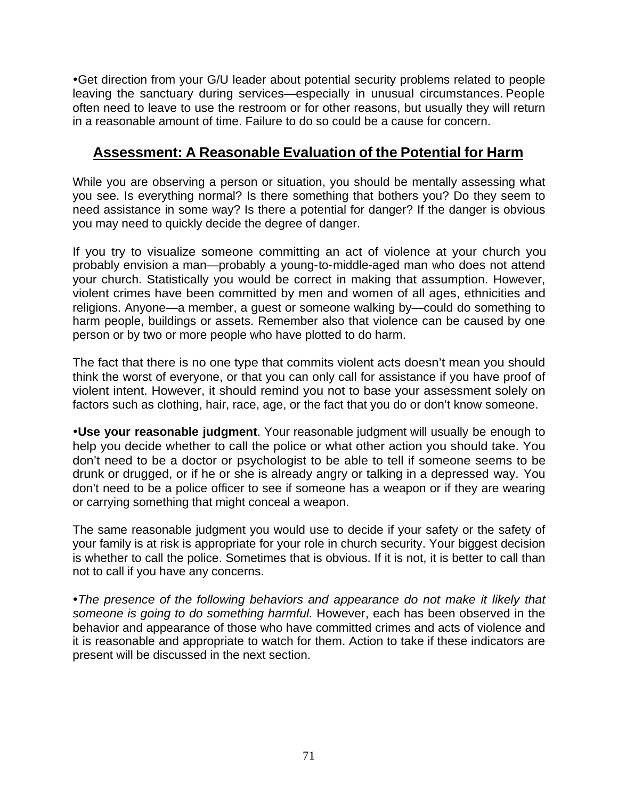• Get direction from your G/U leader about potential security problems related to people leaving the sanctuary during services—especially in unusual circumstances. People often need to leave to use the restroom or for other reasons, but usually they will return in a reasonable amount of time. Failure to do so could be a cause for concern.

# **Assessment: A Reasonable Evaluation of the Potential for Harm**

While you are observing a person or situation, you should be mentally assessing what you see. Is everything normal? Is there something that bothers you? Do they seem to need assistance in some way? Is there a potential for danger? If the danger is obvious you may need to quickly decide the degree of danger.

If you try to visualize someone committing an act of violence at your church you probably envision a man—probably a young-to-middle-aged man who does not attend your church. Statistically you would be correct in making that assumption. However, violent crimes have been committed by men and women of all ages, ethnicities and religions. Anyone—a member, a guest or someone walking by—could do something to harm people, buildings or assets. Remember also that violence can be caused by one person or by two or more people who have plotted to do harm.

The fact that there is no one type that commits violent acts doesn't mean you should think the worst of everyone, or that you can only call for assistance if you have proof of violent intent. However, it should remind you not to base your assessment solely on factors such as clothing, hair, race, age, or the fact that you do or don't know someone.

**. Use your reasonable judgment**. Your reasonable judgment will usually be enough to help you decide whether to call the police or what other action you should take. You don't need to be a doctor or psychologist to be able to tell if someone seems to be drunk or drugged, or if he or she is already angry or talking in a depressed way. You don't need to be a police officer to see if someone has a weapon or if they are wearing or carrying something that might conceal a weapon.

The same reasonable judgment you would use to decide if your safety or the safety of your family is at risk is appropriate for your role in church security. Your biggest decision is whether to call the police. Sometimes that is obvious. If it is not, it is better to call than not to call if you have any concerns.

• The presence of the following behaviors and appearance do not make it likely that *someone is going to do something harmful.* However, each has been observed in the behavior and appearance of those who have committed crimes and acts of violence and it is reasonable and appropriate to watch for them. Action to take if these indicators are present will be discussed in the next section.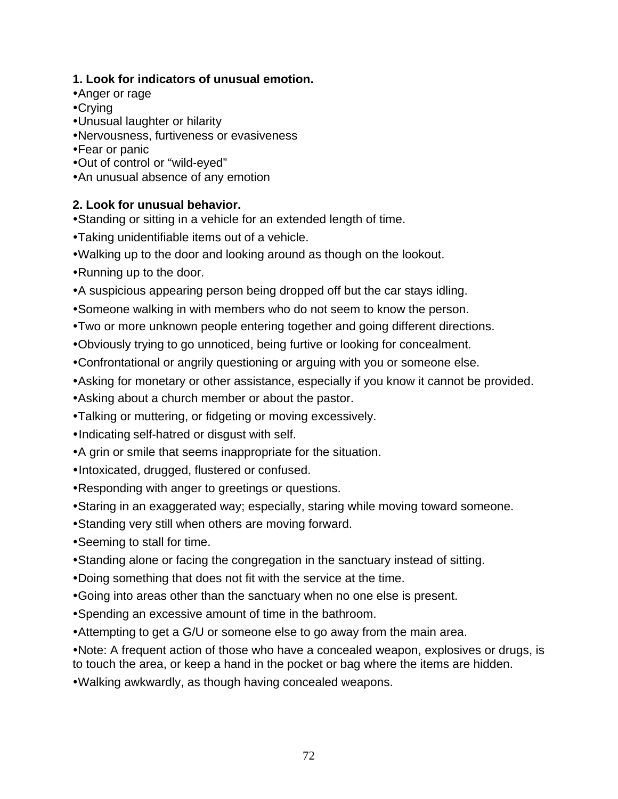# **1. Look for indicators of unusual emotion.**

- Anger or rage
- $\cdot$ Crying
- •Unusual laughter or hilarity
- •Nervousness, furtiveness or evasiveness
- •Fear or panic
- Out of control or "wild-eyed"
- An unusual absence of any emotion

# **2. Look for unusual behavior.**

- Standing or sitting in a vehicle for an extended length of time.
- Taking unidentifiable items out of a vehicle.
- Walking up to the door and looking around as though on the lookout.
- Running up to the door.
- A suspicious appearing person being dropped off but the car stays idling.
- Someone walking in with members who do not seem to know the person.
- Two or more unknown people entering together and going different directions.
- . Obviously trying to go unnoticed, being furtive or looking for concealment.
- Confrontational or angrily questioning or arguing with you or someone else.
- Asking for monetary or other assistance, especially if you know it cannot be provided.
- Asking about a church member or about the pastor.
- Talking or muttering, or fidgeting or moving excessively.
- •Indicating self-hatred or disgust with self.
- A grin or smile that seems inappropriate for the situation.
- Intoxicated, drugged, flustered or confused.
- Responding with anger to greetings or questions.
- Staring in an exaggerated way; especially, staring while moving toward someone.
- Standing very still when others are moving forward.
- Seeming to stall for time.
- Standing alone or facing the congregation in the sanctuary instead of sitting.
- Doing something that does not fit with the service at the time.
- Going into areas other than the sanctuary when no one else is present.
- Spending an excessive amount of time in the bathroom.
- Attempting to get a G/U or someone else to go away from the main area.
- Note: A frequent action of those who have a concealed weapon, explosives or drugs, is to touch the area, or keep a hand in the pocket or bag where the items are hidden.
- . Walking awkwardly, as though having concealed weapons.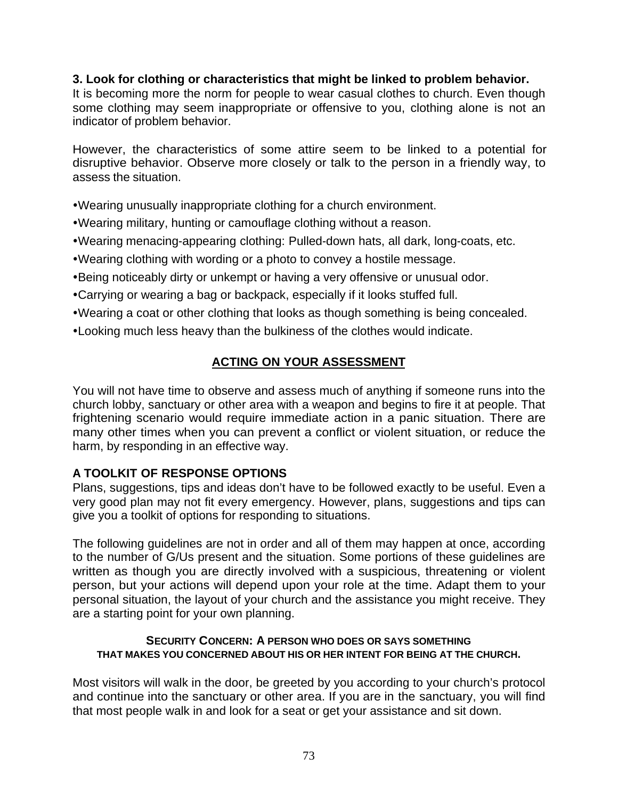### **3. Look for clothing or characteristics that might be linked to problem behavior.**

It is becoming more the norm for people to wear casual clothes to church. Even though some clothing may seem inappropriate or offensive to you, clothing alone is not an indicator of problem behavior.

However, the characteristics of some attire seem to be linked to a potential for disruptive behavior. Observe more closely or talk to the person in a friendly way, to assess the situation.

• Wearing unusually inappropriate clothing for a church environment.

- Wearing military, hunting or camouflage clothing without a reason.
- ŸWearing menacing-appearing clothing: Pulled-down hats, all dark, long-coats, etc.
- Wearing clothing with wording or a photo to convey a hostile message.
- •Being noticeably dirty or unkempt or having a very offensive or unusual odor.
- Carrying or wearing a bag or backpack, especially if it looks stuffed full.
- Wearing a coat or other clothing that looks as though something is being concealed.
- Looking much less heavy than the bulkiness of the clothes would indicate.

# **ACTING ON YOUR ASSESSMENT**

You will not have time to observe and assess much of anything if someone runs into the church lobby, sanctuary or other area with a weapon and begins to fire it at people. That frightening scenario would require immediate action in a panic situation. There are many other times when you can prevent a conflict or violent situation, or reduce the harm, by responding in an effective way.

# **A TOOLKIT OF RESPONSE OPTIONS**

Plans, suggestions, tips and ideas don't have to be followed exactly to be useful. Even a very good plan may not fit every emergency. However, plans, suggestions and tips can give you a toolkit of options for responding to situations.

The following guidelines are not in order and all of them may happen at once, according to the number of G/Us present and the situation. Some portions of these guidelines are written as though you are directly involved with a suspicious, threatening or violent person, but your actions will depend upon your role at the time. Adapt them to your personal situation, the layout of your church and the assistance you might receive. They are a starting point for your own planning.

#### **SECURITY CONCERN: A PERSON WHO DOES OR SAYS SOMETHING THAT MAKES YOU CONCERNED ABOUT HIS OR HER INTENT FOR BEING AT THE CHURCH.**

Most visitors will walk in the door, be greeted by you according to your church's protocol and continue into the sanctuary or other area. If you are in the sanctuary, you will find that most people walk in and look for a seat or get your assistance and sit down.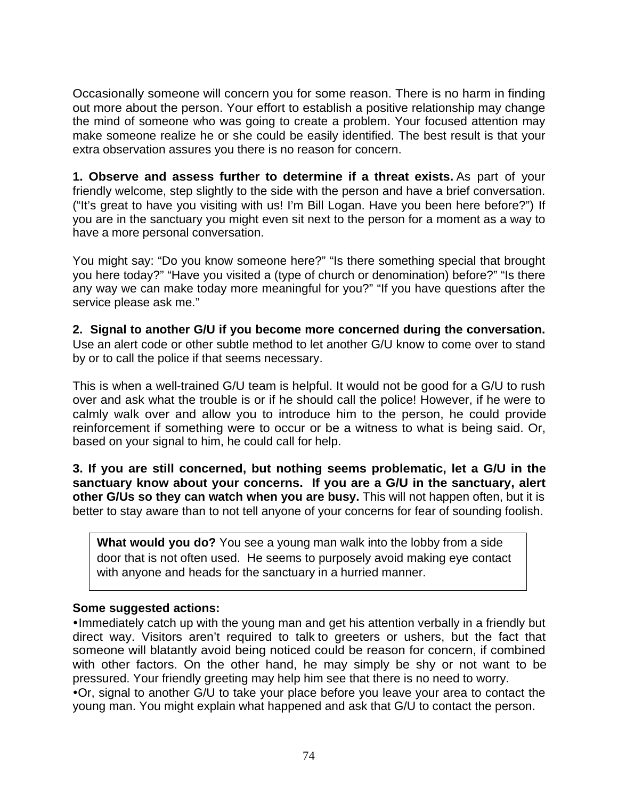Occasionally someone will concern you for some reason. There is no harm in finding out more about the person. Your effort to establish a positive relationship may change the mind of someone who was going to create a problem. Your focused attention may make someone realize he or she could be easily identified. The best result is that your extra observation assures you there is no reason for concern.

**1. Observe and assess further to determine if a threat exists.** As part of your friendly welcome, step slightly to the side with the person and have a brief conversation. ("It's great to have you visiting with us! I'm Bill Logan. Have you been here before?") If you are in the sanctuary you might even sit next to the person for a moment as a way to have a more personal conversation.

You might say: "Do you know someone here?" "Is there something special that brought you here today?" "Have you visited a (type of church or denomination) before?" "Is there any way we can make today more meaningful for you?" "If you have questions after the service please ask me."

**2. Signal to another G/U if you become more concerned during the conversation.**  Use an alert code or other subtle method to let another G/U know to come over to stand by or to call the police if that seems necessary.

This is when a well-trained G/U team is helpful. It would not be good for a G/U to rush over and ask what the trouble is or if he should call the police! However, if he were to calmly walk over and allow you to introduce him to the person, he could provide reinforcement if something were to occur or be a witness to what is being said. Or, based on your signal to him, he could call for help.

**3. If you are still concerned, but nothing seems problematic, let a G/U in the sanctuary know about your concerns. If you are a G/U in the sanctuary, alert other G/Us so they can watch when you are busy.** This will not happen often, but it is better to stay aware than to not tell anyone of your concerns for fear of sounding foolish.

**What would you do?** You see a young man walk into the lobby from a side door that is not often used. He seems to purposely avoid making eye contact with anyone and heads for the sanctuary in a hurried manner.

# **Some suggested actions:**

. Immediately catch up with the young man and get his attention verbally in a friendly but direct way. Visitors aren't required to talk to greeters or ushers, but the fact that someone will blatantly avoid being noticed could be reason for concern, if combined with other factors. On the other hand, he may simply be shy or not want to be pressured. Your friendly greeting may help him see that there is no need to worry.  $\cdot$  Or, signal to another G/U to take your place before you leave your area to contact the young man. You might explain what happened and ask that G/U to contact the person.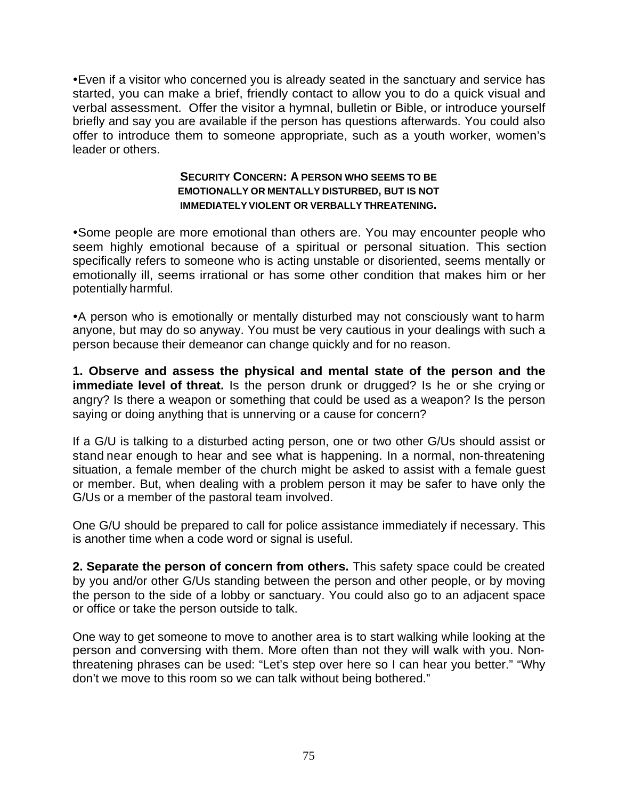• Even if a visitor who concerned you is already seated in the sanctuary and service has started, you can make a brief, friendly contact to allow you to do a quick visual and verbal assessment. Offer the visitor a hymnal, bulletin or Bible, or introduce yourself briefly and say you are available if the person has questions afterwards. You could also offer to introduce them to someone appropriate, such as a youth worker, women's leader or others.

#### **SECURITY CONCERN: A PERSON WHO SEEMS TO BE EMOTIONALLY OR MENTALLY DISTURBED, BUT IS NOT IMMEDIATELY VIOLENT OR VERBALLY THREATENING.**

• Some people are more emotional than others are. You may encounter people who seem highly emotional because of a spiritual or personal situation. This section specifically refers to someone who is acting unstable or disoriented, seems mentally or emotionally ill, seems irrational or has some other condition that makes him or her potentially harmful.

• A person who is emotionally or mentally disturbed may not consciously want to harm anyone, but may do so anyway. You must be very cautious in your dealings with such a person because their demeanor can change quickly and for no reason.

**1. Observe and assess the physical and mental state of the person and the immediate level of threat.** Is the person drunk or drugged? Is he or she crying or angry? Is there a weapon or something that could be used as a weapon? Is the person saying or doing anything that is unnerving or a cause for concern?

If a G/U is talking to a disturbed acting person, one or two other G/Us should assist or stand near enough to hear and see what is happening. In a normal, non-threatening situation, a female member of the church might be asked to assist with a female guest or member. But, when dealing with a problem person it may be safer to have only the G/Us or a member of the pastoral team involved.

One G/U should be prepared to call for police assistance immediately if necessary. This is another time when a code word or signal is useful.

**2. Separate the person of concern from others.** This safety space could be created by you and/or other G/Us standing between the person and other people, or by moving the person to the side of a lobby or sanctuary. You could also go to an adjacent space or office or take the person outside to talk.

One way to get someone to move to another area is to start walking while looking at the person and conversing with them. More often than not they will walk with you. Nonthreatening phrases can be used: "Let's step over here so I can hear you better." "Why don't we move to this room so we can talk without being bothered."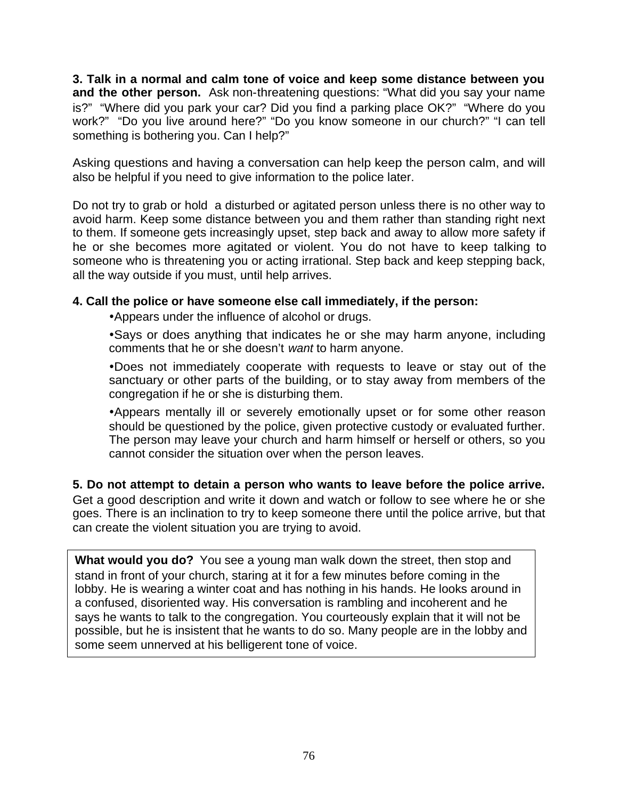**3. Talk in a normal and calm tone of voice and keep some distance between you and the other person.** Ask non-threatening questions: "What did you say your name is?" "Where did you park your car? Did you find a parking place OK?" "Where do you work?" "Do you live around here?" "Do you know someone in our church?" "I can tell something is bothering you. Can I help?"

Asking questions and having a conversation can help keep the person calm, and will also be helpful if you need to give information to the police later.

Do not try to grab or hold a disturbed or agitated person unless there is no other way to avoid harm. Keep some distance between you and them rather than standing right next to them. If someone gets increasingly upset, step back and away to allow more safety if he or she becomes more agitated or violent. You do not have to keep talking to someone who is threatening you or acting irrational. Step back and keep stepping back, all the way outside if you must, until help arrives.

### **4. Call the police or have someone else call immediately, if the person:**

• Appears under the influence of alcohol or drugs.

• Says or does anything that indicates he or she may harm anyone, including comments that he or she doesn't *want* to harm anyone.

•Does not immediately cooperate with requests to leave or stay out of the sanctuary or other parts of the building, or to stay away from members of the congregation if he or she is disturbing them.

• Appears mentally ill or severely emotionally upset or for some other reason should be questioned by the police, given protective custody or evaluated further. The person may leave your church and harm himself or herself or others, so you cannot consider the situation over when the person leaves.

**5. Do not attempt to detain a person who wants to leave before the police arrive.** Get a good description and write it down and watch or follow to see where he or she goes. There is an inclination to try to keep someone there until the police arrive, but that can create the violent situation you are trying to avoid.

**What would you do?** You see a young man walk down the street, then stop and stand in front of your church, staring at it for a few minutes before coming in the lobby. He is wearing a winter coat and has nothing in his hands. He looks around in a confused, disoriented way. His conversation is rambling and incoherent and he says he wants to talk to the congregation. You courteously explain that it will not be possible, but he is insistent that he wants to do so. Many people are in the lobby and some seem unnerved at his belligerent tone of voice.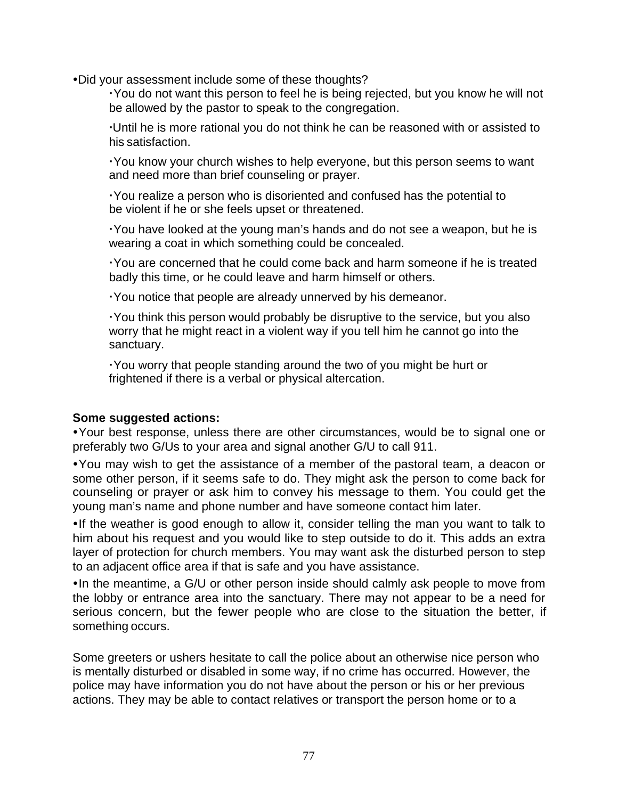• Did your assessment include some of these thoughts?

 You do not want this person to feel he is being rejected, but you know he will not be allowed by the pastor to speak to the congregation.

 Until he is more rational you do not think he can be reasoned with or assisted to his satisfaction.

 You know your church wishes to help everyone, but this person seems to want and need more than brief counseling or prayer.

 You realize a person who is disoriented and confused has the potential to be violent if he or she feels upset or threatened.

 You have looked at the young man's hands and do not see a weapon, but he is wearing a coat in which something could be concealed.

 You are concerned that he could come back and harm someone if he is treated badly this time, or he could leave and harm himself or others.

You notice that people are already unnerved by his demeanor.

 You think this person would probably be disruptive to the service, but you also worry that he might react in a violent way if you tell him he cannot go into the sanctuary.

 You worry that people standing around the two of you might be hurt or frightened if there is a verbal or physical altercation.

### **Some suggested actions:**

**Ÿ**Your best response, unless there are other circumstances, would be to signal one or preferably two G/Us to your area and signal another G/U to call 911.

ŸYou may wish to get the assistance of a member of the pastoral team, a deacon or some other person, if it seems safe to do. They might ask the person to come back for counseling or prayer or ask him to convey his message to them. You could get the young man's name and phone number and have someone contact him later.

•If the weather is good enough to allow it, consider telling the man you want to talk to him about his request and you would like to step outside to do it. This adds an extra layer of protection for church members. You may want ask the disturbed person to step to an adjacent office area if that is safe and you have assistance.

 $\bullet$  In the meantime, a G/U or other person inside should calmly ask people to move from the lobby or entrance area into the sanctuary. There may not appear to be a need for serious concern, but the fewer people who are close to the situation the better, if something occurs.

Some greeters or ushers hesitate to call the police about an otherwise nice person who is mentally disturbed or disabled in some way, if no crime has occurred. However, the police may have information you do not have about the person or his or her previous actions. They may be able to contact relatives or transport the person home or to a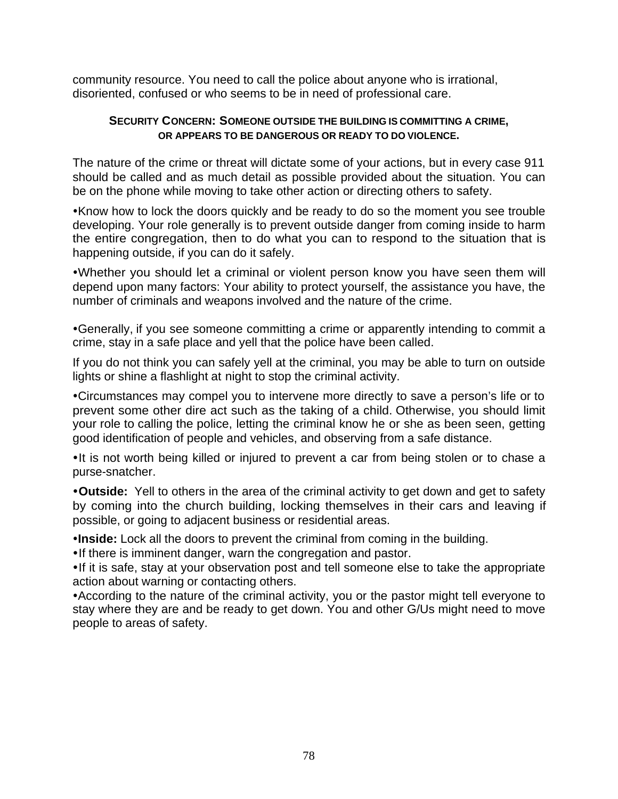community resource. You need to call the police about anyone who is irrational, disoriented, confused or who seems to be in need of professional care.

#### **SECURITY CONCERN: SOMEONE OUTSIDE THE BUILDING IS COMMITTING A CRIME, OR APPEARS TO BE DANGEROUS OR READY TO DO VIOLENCE.**

The nature of the crime or threat will dictate some of your actions, but in every case 911 should be called and as much detail as possible provided about the situation. You can be on the phone while moving to take other action or directing others to safety.

•Know how to lock the doors quickly and be ready to do so the moment you see trouble developing. Your role generally is to prevent outside danger from coming inside to harm the entire congregation, then to do what you can to respond to the situation that is happening outside, if you can do it safely.

•Whether you should let a criminal or violent person know you have seen them will depend upon many factors: Your ability to protect yourself, the assistance you have, the number of criminals and weapons involved and the nature of the crime.

•Generally, if you see someone committing a crime or apparently intending to commit a crime, stay in a safe place and yell that the police have been called.

If you do not think you can safely yell at the criminal, you may be able to turn on outside lights or shine a flashlight at night to stop the criminal activity.

•Circumstances may compel you to intervene more directly to save a person's life or to prevent some other dire act such as the taking of a child. Otherwise, you should limit your role to calling the police, letting the criminal know he or she as been seen, getting good identification of people and vehicles, and observing from a safe distance.

• It is not worth being killed or injured to prevent a car from being stolen or to chase a purse-snatcher.

**ŸOutside:** Yell to others in the area of the criminal activity to get down and get to safety by coming into the church building, locking themselves in their cars and leaving if possible, or going to adjacent business or residential areas.

**Inside:** Lock all the doors to prevent the criminal from coming in the building.

. If there is imminent danger, warn the congregation and pastor.

• If it is safe, stay at your observation post and tell someone else to take the appropriate action about warning or contacting others.

• According to the nature of the criminal activity, you or the pastor might tell everyone to stay where they are and be ready to get down. You and other G/Us might need to move people to areas of safety.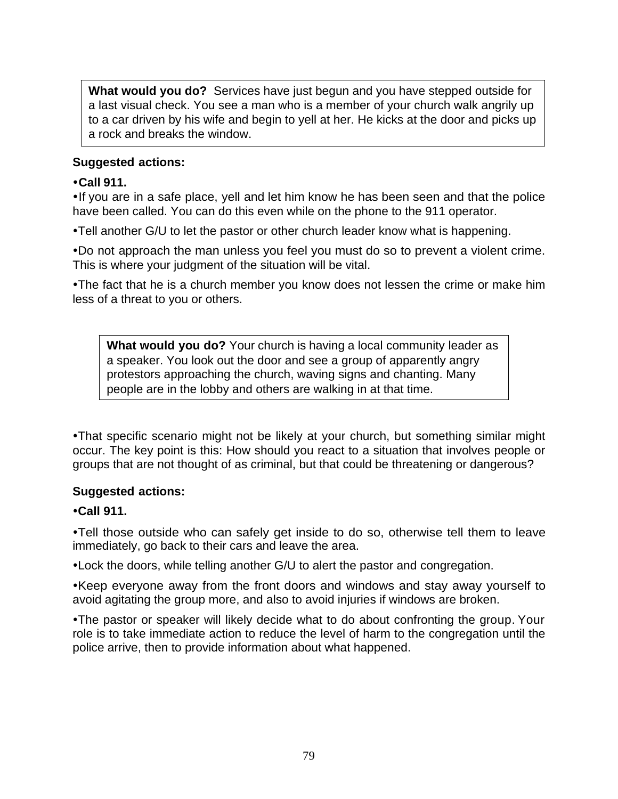**What would you do?** Services have just begun and you have stepped outside for a last visual check. You see a man who is a member of your church walk angrily up to a car driven by his wife and begin to yell at her. He kicks at the door and picks up a rock and breaks the window.

### **Suggested actions:**

### **ŸCall 911.**

•If you are in a safe place, yell and let him know he has been seen and that the police have been called. You can do this even while on the phone to the 911 operator.

•Tell another G/U to let the pastor or other church leader know what is happening.

•Do not approach the man unless you feel you must do so to prevent a violent crime. This is where your judgment of the situation will be vital.

•The fact that he is a church member you know does not lessen the crime or make him less of a threat to you or others.

**What would you do?** Your church is having a local community leader as a speaker. You look out the door and see a group of apparently angry protestors approaching the church, waving signs and chanting. Many people are in the lobby and others are walking in at that time.

• That specific scenario might not be likely at your church, but something similar might occur. The key point is this: How should you react to a situation that involves people or groups that are not thought of as criminal, but that could be threatening or dangerous?

# **Suggested actions:**

# **•Call 911.**

•Tell those outside who can safely get inside to do so, otherwise tell them to leave immediately, go back to their cars and leave the area.

• Lock the doors, while telling another G/U to alert the pastor and congregation.

•Keep everyone away from the front doors and windows and stay away yourself to avoid agitating the group more, and also to avoid injuries if windows are broken.

• The pastor or speaker will likely decide what to do about confronting the group. Your role is to take immediate action to reduce the level of harm to the congregation until the police arrive, then to provide information about what happened.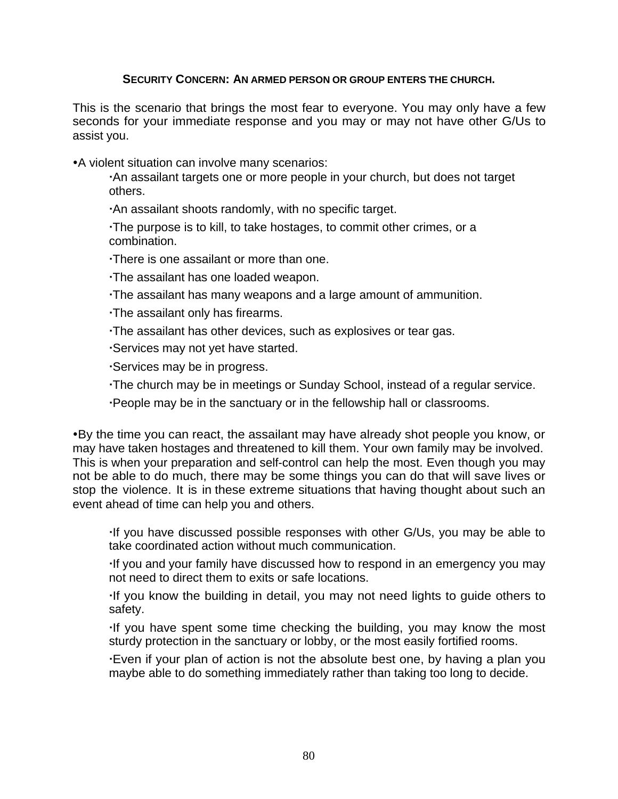### **SECURITY CONCERN: AN ARMED PERSON OR GROUP ENTERS THE CHURCH.**

This is the scenario that brings the most fear to everyone. You may only have a few seconds for your immediate response and you may or may not have other G/Us to assist you.

• A violent situation can involve many scenarios:

 An assailant targets one or more people in your church, but does not target others.

An assailant shoots randomly, with no specific target.

 The purpose is to kill, to take hostages, to commit other crimes, or a combination.

There is one assailant or more than one.

The assailant has one loaded weapon.

The assailant has many weapons and a large amount of ammunition.

The assailant only has firearms.

The assailant has other devices, such as explosives or tear gas.

Services may not yet have started.

Services may be in progress.

The church may be in meetings or Sunday School, instead of a regular service.

People may be in the sanctuary or in the fellowship hall or classrooms.

•By the time you can react, the assailant may have already shot people you know, or may have taken hostages and threatened to kill them. Your own family may be involved. This is when your preparation and self-control can help the most. Even though you may not be able to do much, there may be some things you can do that will save lives or stop the violence. It is in these extreme situations that having thought about such an event ahead of time can help you and others.

If you have discussed possible responses with other G/Us, you may be able to take coordinated action without much communication.

If you and your family have discussed how to respond in an emergency you may not need to direct them to exits or safe locations.

If you know the building in detail, you may not need lights to guide others to safety.

If you have spent some time checking the building, you may know the most sturdy protection in the sanctuary or lobby, or the most easily fortified rooms.

 Even if your plan of action is not the absolute best one, by having a plan you maybe able to do something immediately rather than taking too long to decide.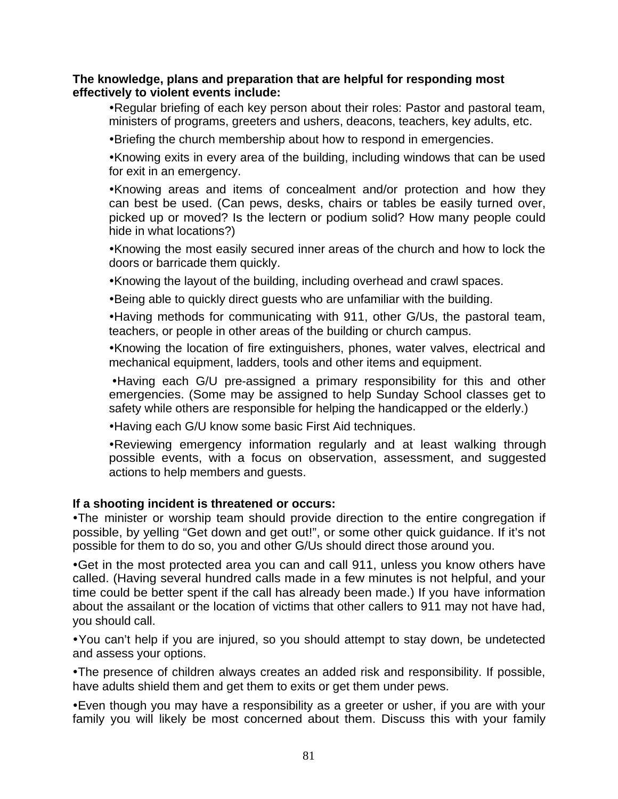#### **The knowledge, plans and preparation that are helpful for responding most effectively to violent events include:**

• Regular briefing of each key person about their roles: Pastor and pastoral team, ministers of programs, greeters and ushers, deacons, teachers, key adults, etc.

•Briefing the church membership about how to respond in emergencies.

•Knowing exits in every area of the building, including windows that can be used for exit in an emergency.

•Knowing areas and items of concealment and/or protection and how they can best be used. (Can pews, desks, chairs or tables be easily turned over, picked up or moved? Is the lectern or podium solid? How many people could hide in what locations?)

•Knowing the most easily secured inner areas of the church and how to lock the doors or barricade them quickly.

• Knowing the layout of the building, including overhead and crawl spaces.

•Being able to quickly direct guests who are unfamiliar with the building.

• Having methods for communicating with 911, other G/Us, the pastoral team, teachers, or people in other areas of the building or church campus.

•Knowing the location of fire extinguishers, phones, water valves, electrical and mechanical equipment, ladders, tools and other items and equipment.

• Having each G/U pre-assigned a primary responsibility for this and other emergencies. (Some may be assigned to help Sunday School classes get to safety while others are responsible for helping the handicapped or the elderly.)

• Having each G/U know some basic First Aid techniques.

• Reviewing emergency information regularly and at least walking through possible events, with a focus on observation, assessment, and suggested actions to help members and guests.

### **If a shooting incident is threatened or occurs:**

•The minister or worship team should provide direction to the entire congregation if possible, by yelling "Get down and get out!", or some other quick guidance. If it's not possible for them to do so, you and other G/Us should direct those around you.

• Get in the most protected area you can and call 911, unless you know others have called. (Having several hundred calls made in a few minutes is not helpful, and your time could be better spent if the call has already been made.) If you have information about the assailant or the location of victims that other callers to 911 may not have had, you should call.

ŸYou can't help if you are injured, so you should attempt to stay down, be undetected and assess your options.

• The presence of children always creates an added risk and responsibility. If possible, have adults shield them and get them to exits or get them under pews.

• Even though you may have a responsibility as a greeter or usher, if you are with your family you will likely be most concerned about them. Discuss this with your family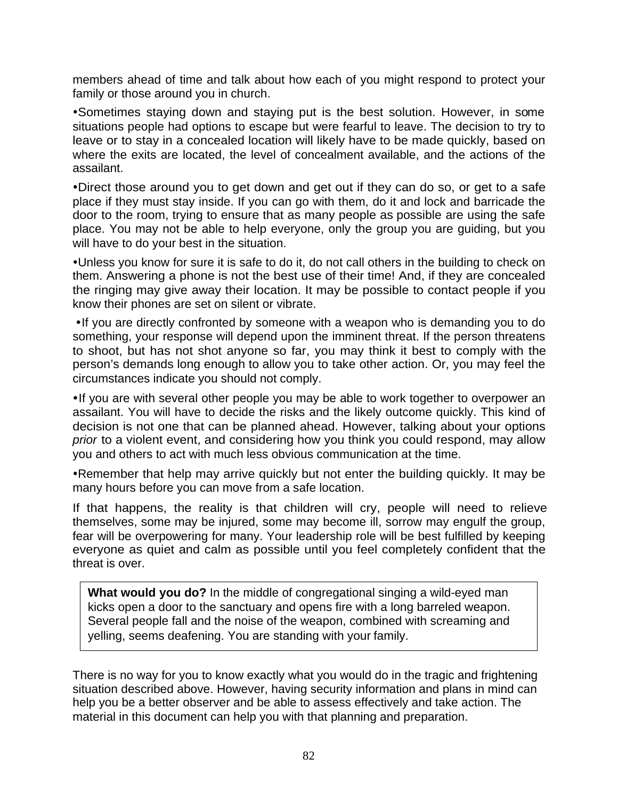members ahead of time and talk about how each of you might respond to protect your family or those around you in church.

•Sometimes staying down and staying put is the best solution. However, in some situations people had options to escape but were fearful to leave. The decision to try to leave or to stay in a concealed location will likely have to be made quickly, based on where the exits are located, the level of concealment available, and the actions of the assailant.

•Direct those around you to get down and get out if they can do so, or get to a safe place if they must stay inside. If you can go with them, do it and lock and barricade the door to the room, trying to ensure that as many people as possible are using the safe place. You may not be able to help everyone, only the group you are guiding, but you will have to do your best in the situation.

• Unless you know for sure it is safe to do it, do not call others in the building to check on them. Answering a phone is not the best use of their time! And, if they are concealed the ringing may give away their location. It may be possible to contact people if you know their phones are set on silent or vibrate.

• If you are directly confronted by someone with a weapon who is demanding you to do something, your response will depend upon the imminent threat. If the person threatens to shoot, but has not shot anyone so far, you may think it best to comply with the person's demands long enough to allow you to take other action. Or, you may feel the circumstances indicate you should not comply.

• If you are with several other people you may be able to work together to overpower an assailant. You will have to decide the risks and the likely outcome quickly. This kind of decision is not one that can be planned ahead. However, talking about your options *prior* to a violent event, and considering how you think you could respond, may allow you and others to act with much less obvious communication at the time.

• Remember that help may arrive quickly but not enter the building quickly. It may be many hours before you can move from a safe location.

If that happens, the reality is that children will cry, people will need to relieve themselves, some may be injured, some may become ill, sorrow may engulf the group, fear will be overpowering for many. Your leadership role will be best fulfilled by keeping everyone as quiet and calm as possible until you feel completely confident that the threat is over.

**What would you do?** In the middle of congregational singing a wild-eyed man kicks open a door to the sanctuary and opens fire with a long barreled weapon. Several people fall and the noise of the weapon, combined with screaming and yelling, seems deafening. You are standing with your family.

There is no way for you to know exactly what you would do in the tragic and frightening situation described above. However, having security information and plans in mind can help you be a better observer and be able to assess effectively and take action. The material in this document can help you with that planning and preparation.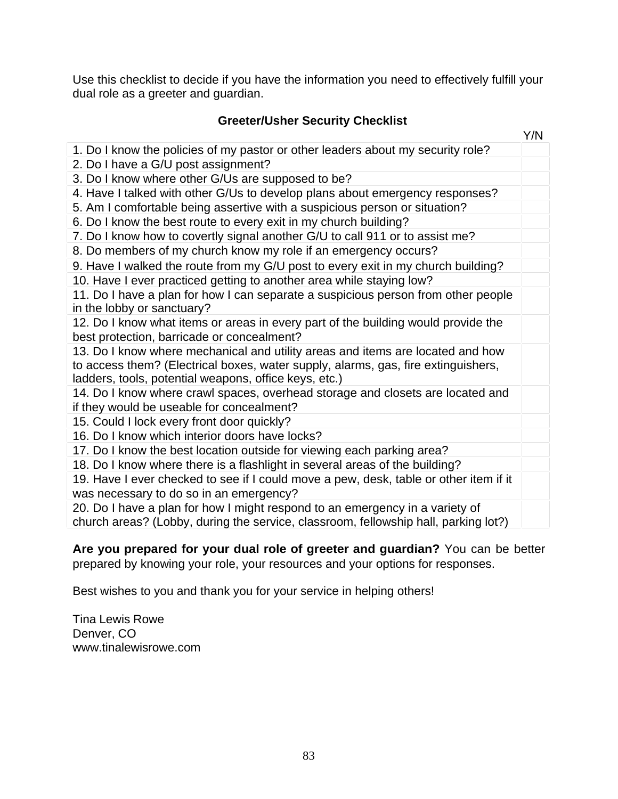Use this checklist to decide if you have the information you need to effectively fulfill your dual role as a greeter and guardian.

# **Greeter/Usher Security Checklist**

|                                                                                       | Y/N |
|---------------------------------------------------------------------------------------|-----|
| 1. Do I know the policies of my pastor or other leaders about my security role?       |     |
| 2. Do I have a G/U post assignment?                                                   |     |
| 3. Do I know where other G/Us are supposed to be?                                     |     |
| 4. Have I talked with other G/Us to develop plans about emergency responses?          |     |
| 5. Am I comfortable being assertive with a suspicious person or situation?            |     |
| 6. Do I know the best route to every exit in my church building?                      |     |
| 7. Do I know how to covertly signal another G/U to call 911 or to assist me?          |     |
| 8. Do members of my church know my role if an emergency occurs?                       |     |
| 9. Have I walked the route from my G/U post to every exit in my church building?      |     |
| 10. Have I ever practiced getting to another area while staying low?                  |     |
| 11. Do I have a plan for how I can separate a suspicious person from other people     |     |
| in the lobby or sanctuary?                                                            |     |
| 12. Do I know what items or areas in every part of the building would provide the     |     |
| best protection, barricade or concealment?                                            |     |
| 13. Do I know where mechanical and utility areas and items are located and how        |     |
| to access them? (Electrical boxes, water supply, alarms, gas, fire extinguishers,     |     |
| ladders, tools, potential weapons, office keys, etc.)                                 |     |
| 14. Do I know where crawl spaces, overhead storage and closets are located and        |     |
| if they would be useable for concealment?                                             |     |
| 15. Could I lock every front door quickly?                                            |     |
| 16. Do I know which interior doors have locks?                                        |     |
| 17. Do I know the best location outside for viewing each parking area?                |     |
| 18. Do I know where there is a flashlight in several areas of the building?           |     |
| 19. Have I ever checked to see if I could move a pew, desk, table or other item if it |     |
| was necessary to do so in an emergency?                                               |     |
| 20. Do I have a plan for how I might respond to an emergency in a variety of          |     |
| church areas? (Lobby, during the service, classroom, fellowship hall, parking lot?)   |     |

**Are you prepared for your dual role of greeter and guardian?** You can be better prepared by knowing your role, your resources and your options for responses.

Best wishes to you and thank you for your service in helping others!

Tina Lewis Rowe Denver, CO www.tinalewisrowe.com